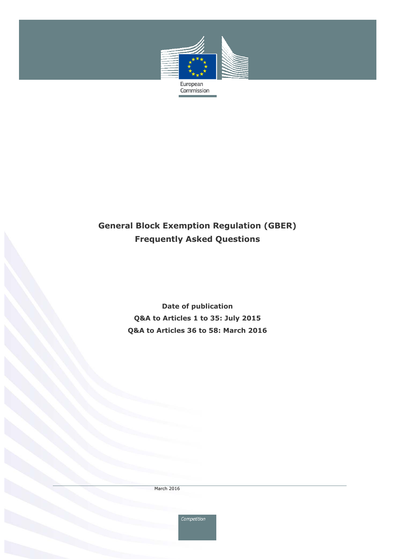

# **General Block Exemption Regulation (GBER) Frequently Asked Questions**

**Date of publication Q&A to Articles 1 to 35: July 2015 Q&A to Articles 36 to 58: March 2016** 

March 2016

Competition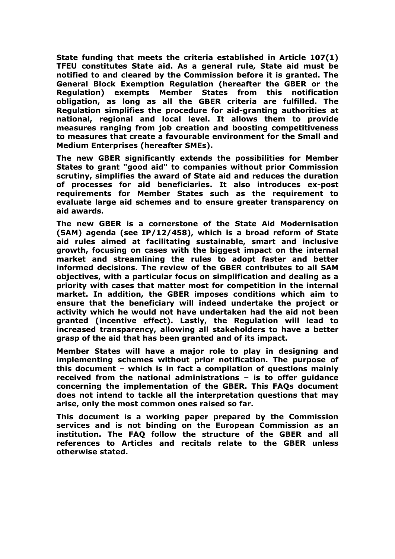**State funding that meets the criteria established in Article 107(1) TFEU constitutes State aid. As a general rule, State aid must be notified to and cleared by the Commission before it is granted. The General Block Exemption Regulation (hereafter the GBER or the Regulation) exempts Member States from this notification obligation, as long as all the GBER criteria are fulfilled. The Regulation simplifies the procedure for aid-granting authorities at national, regional and local level. It allows them to provide measures ranging from job creation and boosting competitiveness to measures that create a favourable environment for the Small and Medium Enterprises (hereafter SMEs).** 

**The new GBER significantly extends the possibilities for Member States to grant "good aid" to companies without prior Commission scrutiny, simplifies the award of State aid and reduces the duration of processes for aid beneficiaries. It also introduces ex-post requirements for Member States such as the requirement to evaluate large aid schemes and to ensure greater transparency on aid awards.** 

**The new GBER is a cornerstone of the State Aid Modernisation (SAM) agenda (see IP/12/458), which is a broad reform of State aid rules aimed at facilitating sustainable, smart and inclusive growth, focusing on cases with the biggest impact on the internal market and streamlining the rules to adopt faster and better informed decisions. The review of the GBER contributes to all SAM objectives, with a particular focus on simplification and dealing as a priority with cases that matter most for competition in the internal market. In addition, the GBER imposes conditions which aim to ensure that the beneficiary will indeed undertake the project or activity which he would not have undertaken had the aid not been granted (incentive effect). Lastly, the Regulation will lead to increased transparency, allowing all stakeholders to have a better grasp of the aid that has been granted and of its impact.** 

**Member States will have a major role to play in designing and implementing schemes without prior notification. The purpose of this document – which is in fact a compilation of questions mainly received from the national administrations – is to offer guidance concerning the implementation of the GBER. This FAQs document does not intend to tackle all the interpretation questions that may arise, only the most common ones raised so far.** 

**This document is a working paper prepared by the Commission services and is not binding on the European Commission as an institution. The FAQ follow the structure of the GBER and all references to Articles and recitals relate to the GBER unless otherwise stated.**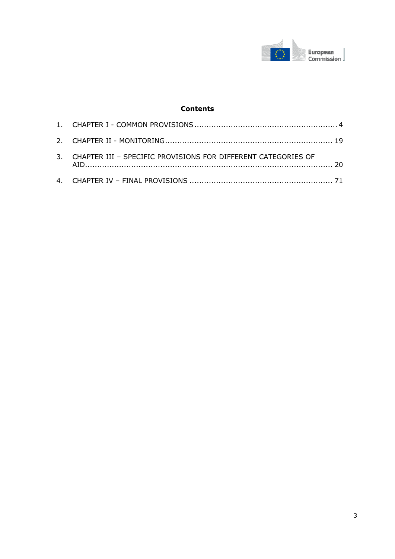

# **Contents**

| 3. CHAPTER III - SPECIFIC PROVISIONS FOR DIFFERENT CATEGORIES OF |  |
|------------------------------------------------------------------|--|
|                                                                  |  |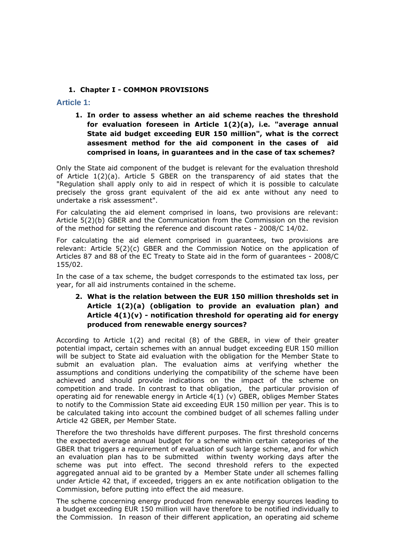#### **1. Chapter I - COMMON PROVISIONS**

<span id="page-3-0"></span>**Article 1:** 

**1. In order to assess whether an aid scheme reaches the threshold for evaluation foreseen in Article 1(2)(a), i.e. "average annual State aid budget exceeding EUR 150 million", what is the correct assesment method for the aid component in the cases of aid comprised in loans, in guarantees and in the case of tax schemes?** 

Only the State aid component of the budget is relevant for the evaluation threshold of Article 1(2)(a). Article 5 GBER on the transparency of aid states that the "Regulation shall apply only to aid in respect of which it is possible to calculate precisely the gross grant equivalent of the aid ex ante without any need to undertake a risk assessment".

For calculating the aid element comprised in loans, two provisions are relevant: Article 5(2)(b) GBER and the Communication from the Commission on the revision of the method for setting the reference and discount rates - 2008/C 14/02.

For calculating the aid element comprised in guarantees, two provisions are relevant: Article 5(2)(c) GBER and the Commission Notice on the application of Articles 87 and 88 of the EC Treaty to State aid in the form of guarantees - 2008/C 155/02.

In the case of a tax scheme, the budget corresponds to the estimated tax loss, per year, for all aid instruments contained in the scheme.

# **2. What is the relation between the EUR 150 million thresholds set in Article 1(2)(a) (obligation to provide an evaluation plan) and Article 4(1)(v) - notification threshold for operating aid for energy produced from renewable energy sources?**

According to Article 1(2) and recital (8) of the GBER, in view of their greater potential impact, certain schemes with an annual budget exceeding EUR 150 million will be subject to State aid evaluation with the obligation for the Member State to submit an evaluation plan. The evaluation aims at verifying whether the assumptions and conditions underlying the compatibility of the scheme have been achieved and should provide indications on the impact of the scheme on competition and trade. In contrast to that obligation, the particular provision of operating aid for renewable energy in Article 4(1) (v) GBER, obliges Member States to notify to the Commission State aid exceeding EUR 150 million per year. This is to be calculated taking into account the combined budget of all schemes falling under Article 42 GBER, per Member State.

Therefore the two thresholds have different purposes. The first threshold concerns the expected average annual budget for a scheme within certain categories of the GBER that triggers a requirement of evaluation of such large scheme, and for which an evaluation plan has to be submitted within twenty working days after the scheme was put into effect. The second threshold refers to the expected aggregated annual aid to be granted by a Member State under all schemes falling under Article 42 that, if exceeded, triggers an ex ante notification obligation to the Commission, before putting into effect the aid measure.

The scheme concerning energy produced from renewable energy sources leading to a budget exceeding EUR 150 million will have therefore to be notified individually to the Commission. In reason of their different application, an operating aid scheme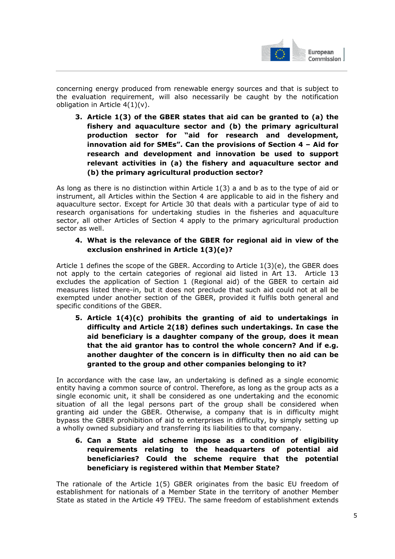

concerning energy produced from renewable energy sources and that is subject to the evaluation requirement, will also necessarily be caught by the notification obligation in Article  $4(1)(v)$ .

**3. Article 1(3) of the GBER states that aid can be granted to (a) the fishery and aquaculture sector and (b) the primary agricultural production sector for "aid for research and development, innovation aid for SMEs". Can the provisions of Section 4 – Aid for research and development and innovation be used to support relevant activities in (a) the fishery and aquaculture sector and (b) the primary agricultural production sector?** 

As long as there is no distinction within Article 1(3) a and b as to the type of aid or instrument, all Articles within the Section 4 are applicable to aid in the fishery and aquaculture sector. Except for Article 30 that deals with a particular type of aid to research organisations for undertaking studies in the fisheries and aquaculture sector, all other Articles of Section 4 apply to the primary agricultural production sector as well.

## **4. What is the relevance of the GBER for regional aid in view of the exclusion enshrined in Article 1(3)(e)?**

Article 1 defines the scope of the GBER. According to Article 1(3)(e), the GBER does not apply to the certain categories of regional aid listed in Art 13. Article 13 excludes the application of Section 1 (Regional aid) of the GBER to certain aid measures listed there-in, but it does not preclude that such aid could not at all be exempted under another section of the GBER, provided it fulfils both general and specific conditions of the GBER.

**5. Article 1(4)(c) prohibits the granting of aid to undertakings in difficulty and Article 2(18) defines such undertakings. In case the aid beneficiary is a daughter company of the group, does it mean that the aid grantor has to control the whole concern? And if e.g. another daughter of the concern is in difficulty then no aid can be granted to the group and other companies belonging to it?** 

In accordance with the case law, an undertaking is defined as a single economic entity having a common source of control. Therefore, as long as the group acts as a single economic unit, it shall be considered as one undertaking and the economic situation of all the legal persons part of the group shall be considered when granting aid under the GBER. Otherwise, a company that is in difficulty might bypass the GBER prohibition of aid to enterprises in difficulty, by simply setting up a wholly owned subsidiary and transferring its liabilities to that company.

**6. Can a State aid scheme impose as a condition of eligibility requirements relating to the headquarters of potential aid beneficiaries? Could the scheme require that the potential beneficiary is registered within that Member State?** 

The rationale of the Article 1(5) GBER originates from the basic EU freedom of establishment for nationals of a Member State in the territory of another Member State as stated in the Article 49 TFEU. The same freedom of establishment extends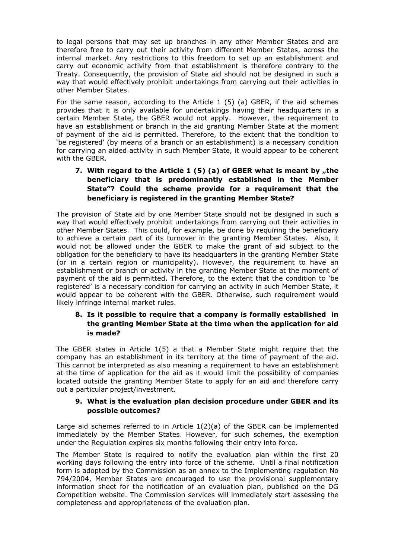to legal persons that may set up branches in any other Member States and are therefore free to carry out their activity from different Member States, across the internal market. Any restrictions to this freedom to set up an establishment and carry out economic activity from that establishment is therefore contrary to the Treaty. Consequently, the provision of State aid should not be designed in such a way that would effectively prohibit undertakings from carrying out their activities in other Member States.

For the same reason, according to the Article 1 (5) (a) GBER, if the aid schemes provides that it is only available for undertakings having their headquarters in a certain Member State, the GBER would not apply. However, the requirement to have an establishment or branch in the aid granting Member State at the moment of payment of the aid is permitted. Therefore, to the extent that the condition to 'be registered' (by means of a branch or an establishment) is a necessary condition for carrying an aided activity in such Member State, it would appear to be coherent with the GBER.

# **7.** With regard to the Article 1 (5) (a) of GBER what is meant by "the **beneficiary that is predominantly established in the Member State"? Could the scheme provide for a requirement that the beneficiary is registered in the granting Member State?**

The provision of State aid by one Member State should not be designed in such a way that would effectively prohibit undertakings from carrying out their activities in other Member States. This could, for example, be done by requiring the beneficiary to achieve a certain part of its turnover in the granting Member States. Also, it would not be allowed under the GBER to make the grant of aid subject to the obligation for the beneficiary to have its headquarters in the granting Member State (or in a certain region or municipality). However, the requirement to have an establishment or branch or activity in the granting Member State at the moment of payment of the aid is permitted. Therefore, to the extent that the condition to 'be registered' is a necessary condition for carrying an activity in such Member State, it would appear to be coherent with the GBER. Otherwise, such requirement would likely infringe internal market rules.

## **8. Is it possible to require that a company is formally established in the granting Member State at the time when the application for aid is made?**

The GBER states in Article 1(5) a that a Member State might require that the company has an establishment in its territory at the time of payment of the aid. This cannot be interpreted as also meaning a requirement to have an establishment at the time of application for the aid as it would limit the possibility of companies located outside the granting Member State to apply for an aid and therefore carry out a particular project/investment.

## **9. What is the evaluation plan decision procedure under GBER and its possible outcomes?**

Large aid schemes referred to in Article 1(2)(a) of the GBER can be implemented immediately by the Member States. However, for such schemes, the exemption under the Regulation expires six months following their entry into force.

The Member State is required to notify the evaluation plan within the first 20 working days following the entry into force of the scheme. Until a final notification form is adopted by the Commission as an annex to the Implementing regulation No 794/2004, Member States are encouraged to use the provisional supplementary information sheet for the notification of an evaluation plan, published on the DG Competition website. The Commission services will immediately start assessing the completeness and appropriateness of the evaluation plan.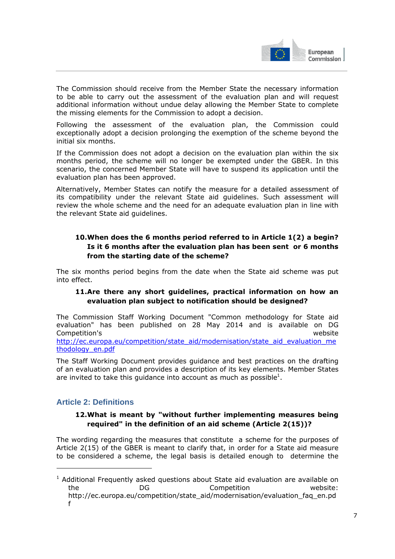

The Commission should receive from the Member State the necessary information to be able to carry out the assessment of the evaluation plan and will request additional information without undue delay allowing the Member State to complete the missing elements for the Commission to adopt a decision.

Following the assessment of the evaluation plan, the Commission could exceptionally adopt a decision prolonging the exemption of the scheme beyond the initial six months.

If the Commission does not adopt a decision on the evaluation plan within the six months period, the scheme will no longer be exempted under the GBER. In this scenario, the concerned Member State will have to suspend its application until the evaluation plan has been approved.

Alternatively, Member States can notify the measure for a detailed assessment of its compatibility under the relevant State aid guidelines. Such assessment will review the whole scheme and the need for an adequate evaluation plan in line with the relevant State aid guidelines.

# **10.When does the 6 months period referred to in Article 1(2) a begin? Is it 6 months after the evaluation plan has been sent or 6 months from the starting date of the scheme?**

The six months period begins from the date when the State aid scheme was put into effect.

## **11.Are there any short guidelines, practical information on how an evaluation plan subject to notification should be designed?**

The Commission Staff Working Document "Common methodology for State aid evaluation" has been published on 28 May 2014 and is available on DG Competition's website [http://ec.europa.eu/competition/state\\_aid/modernisation/state\\_aid\\_evaluation\\_me](http://ec.europa.eu/competition/state_aid/modernisation/state_aid_evaluation_methodology_en.pdf) [thodology\\_en.pdf](http://ec.europa.eu/competition/state_aid/modernisation/state_aid_evaluation_methodology_en.pdf)

The Staff Working Document provides guidance and best practices on the drafting of an evaluation plan and provides a description of its key elements. Member States are invited to take this guidance into account as much as possible<sup>1</sup>.

# **Article 2: Definitions**

-

# **12.What is meant by "without further implementing measures being required" in the definition of an aid scheme (Article 2(15))?**

The wording regarding the measures that constitute a scheme for the purposes of Article 2(15) of the GBER is meant to clarify that, in order for a State aid measure to be considered a scheme, the legal basis is detailed enough to determine the

 $1$  Additional Frequently asked questions about State aid evaluation are available on the DG Competition website: http://ec.europa.eu/competition/state\_aid/modernisation/evaluation\_faq\_en.pd f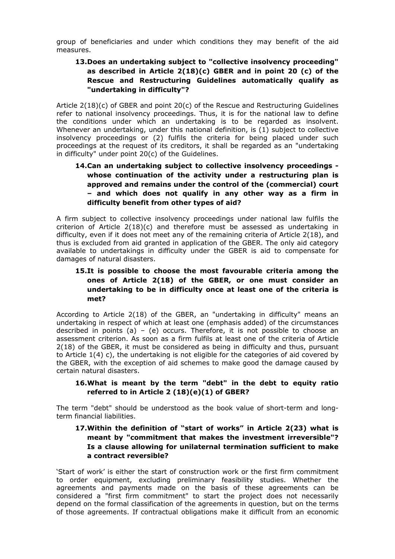group of beneficiaries and under which conditions they may benefit of the aid measures.

# **13.Does an undertaking subject to "collective insolvency proceeding" as described in Article 2(18)(c) GBER and in point 20 (c) of the Rescue and Restructuring Guidelines automatically qualify as "undertaking in difficulty"?**

Article 2(18)(c) of GBER and point 20(c) of the Rescue and Restructuring Guidelines refer to national insolvency proceedings. Thus, it is for the national law to define the conditions under which an undertaking is to be regarded as insolvent. Whenever an undertaking, under this national definition, is (1) subject to collective insolvency proceedings or (2) fulfils the criteria for being placed under such proceedings at the request of its creditors, it shall be regarded as an "undertaking in difficulty" under point 20(c) of the Guidelines.

# **14.Can an undertaking subject to collective insolvency proceedings whose continuation of the activity under a restructuring plan is approved and remains under the control of the (commercial) court – and which does not qualify in any other way as a firm in difficulty benefit from other types of aid?**

A firm subject to collective insolvency proceedings under national law fulfils the criterion of Article 2(18)(c) and therefore must be assessed as undertaking in difficulty, even if it does not meet any of the remaining criteria of Article 2(18), and thus is excluded from aid granted in application of the GBER. The only aid category available to undertakings in difficulty under the GBER is aid to compensate for damages of natural disasters.

# **15.It is possible to choose the most favourable criteria among the ones of Article 2(18) of the GBER, or one must consider an undertaking to be in difficulty once at least one of the criteria is met?**

According to Article 2(18) of the GBER, an "undertaking in difficulty" means an undertaking in respect of which at least one (emphasis added) of the circumstances described in points (a) – (e) occurs. Therefore, it is not possible to choose an assessment criterion. As soon as a firm fulfils at least one of the criteria of Article 2(18) of the GBER, it must be considered as being in difficulty and thus, pursuant to Article 1(4) c), the undertaking is not eligible for the categories of aid covered by the GBER, with the exception of aid schemes to make good the damage caused by certain natural disasters.

# **16.What is meant by the term "debt" in the debt to equity ratio referred to in Article 2 (18)(e)(1) of GBER?**

The term "debt" should be understood as the book value of short-term and longterm financial liabilities.

# **17.Within the definition of "start of works" in Article 2(23) what is meant by "commitment that makes the investment irreversible"? Is a clause allowing for unilaternal termination sufficient to make a contract reversible?**

'Start of work' is either the start of construction work or the first firm commitment to order equipment, excluding preliminary feasibility studies. Whether the agreements and payments made on the basis of these agreements can be considered a "first firm commitment" to start the project does not necessarily depend on the formal classification of the agreements in question, but on the terms of those agreements. If contractual obligations make it difficult from an economic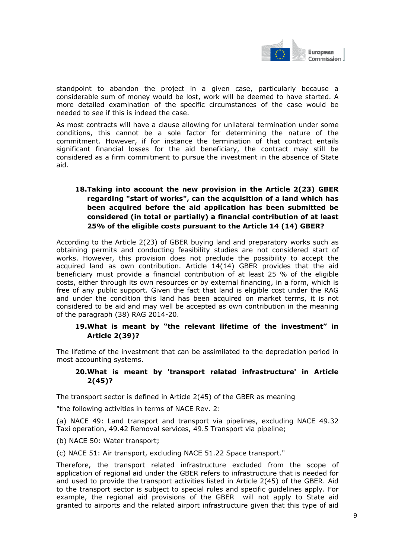

standpoint to abandon the project in a given case, particularly because a considerable sum of money would be lost, work will be deemed to have started. A more detailed examination of the specific circumstances of the case would be needed to see if this is indeed the case.

As most contracts will have a clause allowing for unilateral termination under some conditions, this cannot be a sole factor for determining the nature of the commitment. However, if for instance the termination of that contract entails significant financial losses for the aid beneficiary, the contract may still be considered as a firm commitment to pursue the investment in the absence of State aid.

# **18.Taking into account the new provision in the Article 2(23) GBER regarding "start of works", can the acquisition of a land which has been acquired before the aid application has been submitted be considered (in total or partially) a financial contribution of at least 25% of the eligible costs pursuant to the Article 14 (14) GBER?**

According to the Article 2(23) of GBER buying land and preparatory works such as obtaining permits and conducting feasibility studies are not considered start of works. However, this provision does not preclude the possibility to accept the acquired land as own contribution. Article 14(14) GBER provides that the aid beneficiary must provide a financial contribution of at least 25 % of the eligible costs, either through its own resources or by external financing, in a form, which is free of any public support. Given the fact that land is eligible cost under the RAG and under the condition this land has been acquired on market terms, it is not considered to be aid and may well be accepted as own contribution in the meaning of the paragraph (38) RAG 2014-20.

## **19.What is meant by "the relevant lifetime of the investment" in Article 2(39)?**

The lifetime of the investment that can be assimilated to the depreciation period in most accounting systems.

## **20.What is meant by 'transport related infrastructure' in Article 2(45)?**

The transport sector is defined in Article 2(45) of the GBER as meaning

"the following activities in terms of NACE Rev. 2:

(a) NACE 49: Land transport and transport via pipelines, excluding NACE 49.32 Taxi operation, 49.42 Removal services, 49.5 Transport via pipeline;

(b) NACE 50: Water transport;

(c) NACE 51: Air transport, excluding NACE 51.22 Space transport."

Therefore, the transport related infrastructure excluded from the scope of application of regional aid under the GBER refers to infrastructure that is needed for and used to provide the transport activities listed in Article 2(45) of the GBER. Aid to the transport sector is subject to special rules and specific guidelines apply. For example, the regional aid provisions of the GBER will not apply to State aid granted to airports and the related airport infrastructure given that this type of aid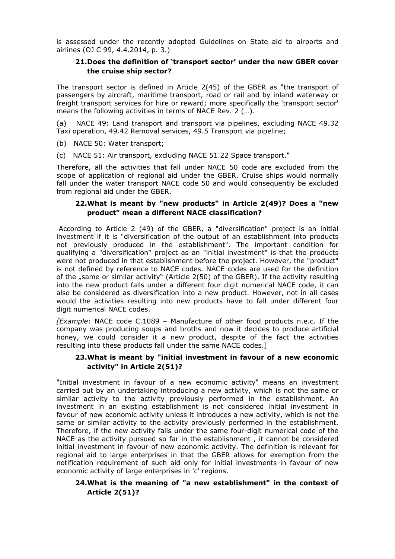is assessed under the recently adopted Guidelines on State aid to airports and airlines (OJ C 99, 4.4.2014, p. 3.)

## **21.Does the definition of 'transport sector' under the new GBER cover the cruise ship sector?**

The transport sector is defined in Article 2(45) of the GBER as "the transport of passengers by aircraft, maritime transport, road or rail and by inland waterway or freight transport services for hire or reward; more specifically the 'transport sector' means the following activities in terms of NACE Rev. 2 (…).

(a) NACE 49: Land transport and transport via pipelines, excluding NACE 49.32 Taxi operation, 49.42 Removal services, 49.5 Transport via pipeline;

(b) NACE 50: Water transport;

(c) NACE 51: Air transport, excluding NACE 51.22 Space transport."

Therefore, all the activities that fall under NACE 50 code are excluded from the scope of application of regional aid under the GBER. Cruise ships would normally fall under the water transport NACE code 50 and would consequently be excluded from regional aid under the GBER.

#### **22.What is meant by "new products" in Article 2(49)? Does a "new product" mean a different NACE classification?**

 According to Article 2 (49) of the GBER, a "diversification" project is an initial investment if it is "diversification of the output of an establishment into products not previously produced in the establishment". The important condition for qualifying a "diversification" project as an "initial investment" is that the products were not produced in that establishment before the project. However, the "product" is not defined by reference to NACE codes. NACE codes are used for the definition of the  $\mu$ same or similar activity" (Article 2(50) of the GBER). If the activity resulting into the new product falls under a different four digit numerical NACE code, it can also be considered as diversification into a new product. However, not in all cases would the activities resulting into new products have to fall under different four digit numerical NACE codes.

*[Example*: NACE code C.1089 – Manufacture of other food products n.e.c. If the company was producing soups and broths and now it decides to produce artificial honey, we could consider it a new product, despite of the fact the activities resulting into these products fall under the same NACE codes.]

#### **23.What is meant by "initial investment in favour of a new economic activity" in Article 2(51)?**

"Initial investment in favour of a new economic activity" means an investment carried out by an undertaking introducing a new activity, which is not the same or similar activity to the activity previously performed in the establishment. An investment in an existing establishment is not considered initial investment in favour of new economic activity unless it introduces a new activity, which is not the same or similar activity to the activity previously performed in the establishment. Therefore, if the new activity falls under the same four-digit numerical code of the NACE as the activity pursued so far in the establishment , it cannot be considered initial investment in favour of new economic activity. The definition is relevant for regional aid to large enterprises in that the GBER allows for exemption from the notification requirement of such aid only for initial investments in favour of new economic activity of large enterprises in 'c' regions.

## **24.What is the meaning of "a new establishment" in the context of Article 2(51)?**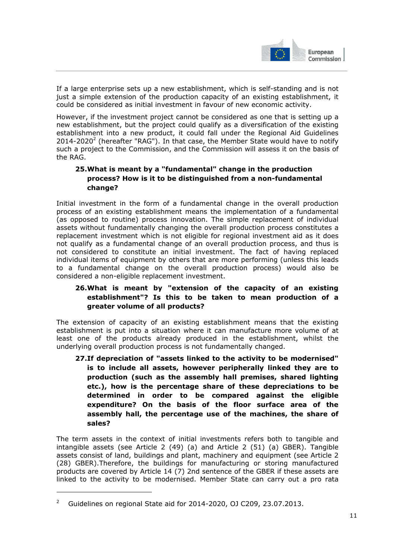

If a large enterprise sets up a new establishment, which is self-standing and is not just a simple extension of the production capacity of an existing establishment, it could be considered as initial investment in favour of new economic activity.

However, if the investment project cannot be considered as one that is setting up a new establishment, but the project could qualify as a diversification of the existing establishment into a new product, it could fall under the Regional Aid Guidelines  $2014$ -2020<sup>2</sup> (hereafter "RAG"). In that case, the Member State would have to notify such a project to the Commission, and the Commission will assess it on the basis of the RAG.

## **25.What is meant by a "fundamental" change in the production process? How is it to be distinguished from a non-fundamental change?**

Initial investment in the form of a fundamental change in the overall production process of an existing establishment means the implementation of a fundamental (as opposed to routine) process innovation. The simple replacement of individual assets without fundamentally changing the overall production process constitutes a replacement investment which is not eligible for regional investment aid as it does not qualify as a fundamental change of an overall production process, and thus is not considered to constitute an initial investment. The fact of having replaced individual items of equipment by others that are more performing (unless this leads to a fundamental change on the overall production process) would also be considered a non-eligible replacement investment.

# **26.What is meant by "extension of the capacity of an existing establishment"? Is this to be taken to mean production of a greater volume of all products?**

The extension of capacity of an existing establishment means that the existing establishment is put into a situation where it can manufacture more volume of at least one of the products already produced in the establishment, whilst the underlying overall production process is not fundamentally changed.

**27.If depreciation of "assets linked to the activity to be modernised" is to include all assets, however peripherally linked they are to production (such as the assembly hall premises, shared lighting etc.), how is the percentage share of these depreciations to be determined in order to be compared against the eligible expenditure? On the basis of the floor surface area of the assembly hall, the percentage use of the machines, the share of sales?** 

The term assets in the context of initial investments refers both to tangible and intangible assets (see Article 2 (49) (a) and Article 2 (51) (a) GBER). Tangible assets consist of land, buildings and plant, machinery and equipment (see Article 2 (28) GBER).Therefore, the buildings for manufacturing or storing manufactured products are covered by Article 14 (7) 2nd sentence of the GBER if these assets are linked to the activity to be modernised. Member State can carry out a pro rata

-

<sup>2</sup> Guidelines on regional State aid for 2014-2020, OJ C209, 23.07.2013.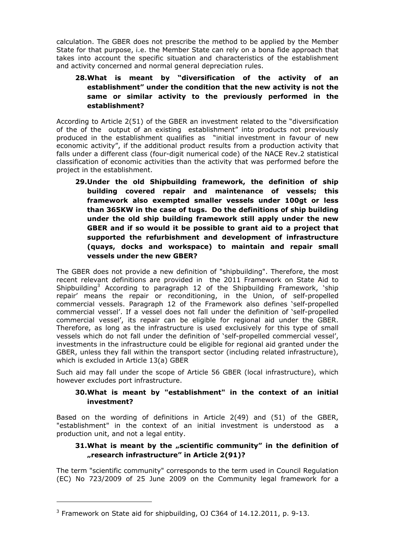calculation. The GBER does not prescribe the method to be applied by the Member State for that purpose, i.e. the Member State can rely on a bona fide approach that takes into account the specific situation and characteristics of the establishment and activity concerned and normal general depreciation rules.

# **28.What is meant by "diversification of the activity of an establishment" under the condition that the new activity is not the same or similar activity to the previously performed in the establishment?**

According to Article 2(51) of the GBER an investment related to the "diversification of the of the output of an existing establishment" into products not previously produced in the establishment qualifies as "initial investment in favour of new economic activity", if the additional product results from a production activity that falls under a different class (four-digit numerical code) of the NACE Rev.2 statistical classification of economic activities than the activity that was performed before the project in the establishment.

**29.Under the old Shipbuilding framework, the definition of ship building covered repair and maintenance of vessels; this framework also exempted smaller vessels under 100gt or less than 365KW in the case of tugs. Do the definitions of ship building under the old ship building framework still apply under the new GBER and if so would it be possible to grant aid to a project that supported the refurbishment and development of infrastructure (quays, docks and workspace) to maintain and repair small vessels under the new GBER?** 

The GBER does not provide a new definition of "shipbuilding". Therefore, the most recent relevant definitions are provided in the 2011 Framework on State Aid to Shipbuilding<sup>3</sup> According to paragraph 12 of the Shipbuilding Framework, 'ship repair' means the repair or reconditioning, in the Union, of self-propelled commercial vessels. Paragraph 12 of the Framework also defines 'self-propelled commercial vessel'. If a vessel does not fall under the definition of 'self-propelled commercial vessel', its repair can be eligible for regional aid under the GBER. Therefore, as long as the infrastructure is used exclusively for this type of small vessels which do not fall under the definition of 'self-propelled commercial vessel', investments in the infrastructure could be eligible for regional aid granted under the GBER, unless they fall within the transport sector (including related infrastructure), which is excluded in Article 13(a) GBER

Such aid may fall under the scope of Article 56 GBER (local infrastructure), which however excludes port infrastructure.

## **30.What is meant by "establishment" in the context of an initial investment?**

Based on the wording of definitions in Article 2(49) and (51) of the GBER, "establishment" in the context of an initial investment is understood as a production unit, and not a legal entity.

## **31.What is meant by the "scientific community" in the definition of "research infrastructure" in Article 2(91)?**

The term "scientific community" corresponds to the term used in Council Regulation (EC) No 723/2009 of 25 June 2009 on the Community legal framework for a

-

 $3$  Framework on State aid for shipbuilding, OJ C364 of 14.12.2011, p. 9-13.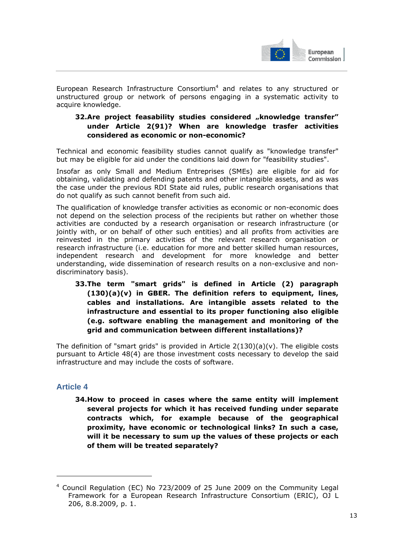

European Research Infrastructure Consortium<sup>4</sup> and relates to any structured or unstructured group or network of persons engaging in a systematic activity to acquire knowledge.

## **32.Are project feasability studies considered "knowledge transfer" under Article 2(91)? When are knowledge trasfer activities considered as economic or non-economic?**

Technical and economic feasibility studies cannot qualify as "knowledge transfer" but may be eligible for aid under the conditions laid down for "feasibility studies".

Insofar as only Small and Medium Entreprises (SMEs) are eligible for aid for obtaining, validating and defending patents and other intangible assets, and as was the case under the previous RDI State aid rules, public research organisations that do not qualify as such cannot benefit from such aid.

The qualification of knowledge transfer activities as economic or non-economic does not depend on the selection process of the recipients but rather on whether those activities are conducted by a research organisation or research infrastructure (or jointly with, or on behalf of other such entities) and all profits from activities are reinvested in the primary activities of the relevant research organisation or research infrastructure (i.e. education for more and better skilled human resources, independent research and development for more knowledge and better understanding, wide dissemination of research results on a non-exclusive and nondiscriminatory basis).

**33.The term "smart grids" is defined in Article (2) paragraph (130)(a)(v) in GBER. The definition refers to equipment, lines, cables and installations. Are intangible assets related to the infrastructure and essential to its proper functioning also eligible (e.g. software enabling the management and monitoring of the grid and communication between different installations)?** 

The definition of "smart grids" is provided in Article  $2(130)(a)(v)$ . The eligible costs pursuant to Article 48(4) are those investment costs necessary to develop the said infrastructure and may include the costs of software.

# **Article 4**

-

**34.How to proceed in cases where the same entity will implement several projects for which it has received funding under separate contracts which, for example because of the geographical proximity, have economic or technological links? In such a case, will it be necessary to sum up the values of these projects or each of them will be treated separately?** 

<sup>&</sup>lt;sup>4</sup> Council Regulation (EC) No 723/2009 of 25 June 2009 on the Community Legal Framework for a European Research Infrastructure Consortium (ERIC), OJ L 206, 8.8.2009, p. 1.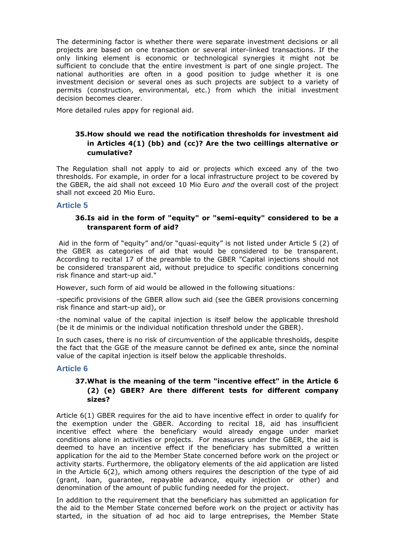The determining factor is whether there were separate investment decisions or all projects are based on one transaction or several inter-linked transactions. If the only linking element is economic or technological synergies it might not be sufficient to conclude that the entire investment is part of one single project. The national authorities are often in a good position to judge whether it is one investment decision or several ones as such projects are subject to a variety of permits (construction, environmental, etc.) from which the initial investment decision becomes clearer.

More detailed rules appy for regional aid.

## **35.How should we read the notification thresholds for investment aid in Articles 4(1) (bb) and (cc)? Are the two ceillings alternative or cumulative?**

The Regulation shall not apply to aid or projects which exceed any of the two thresholds. For example, in order for a local infrastructure project to be covered by the GBER, the aid shall not exceed 10 Mio Euro *and* the overall cost of the project shall not exceed 20 Mio Euro.

#### **Article 5**

## **36.Is aid in the form of "equity" or "semi-equity" considered to be a transparent form of aid?**

 Aid in the form of "equity" and/or "quasi-equity" is not listed under Article 5 (2) of the GBER as categories of aid that would be considered to be transparent. According to recital 17 of the preamble to the GBER "Capital injections should not be considered transparent aid, without prejudice to specific conditions concerning risk finance and start-up aid."

However, such form of aid would be allowed in the following situations:

-specific provisions of the GBER allow such aid (see the GBER provisions concerning risk finance and start-up aid), or

-the nominal value of the capital injection is itself below the applicable threshold (be it de minimis or the individual notification threshold under the GBER).

In such cases, there is no risk of circumvention of the applicable thresholds, despite the fact that the GGE of the measure cannot be defined ex ante, since the nominal value of the capital injection is itself below the applicable thresholds.

#### **Article 6**

## **37.What is the meaning of the term "incentive effect" in the Article 6 (2) (e) GBER? Are there different tests for different company sizes?**

Article 6(1) GBER requires for the aid to have incentive effect in order to qualify for the exemption under the GBER. According to recital 18, aid has insufficient incentive effect where the beneficiary would already engage under market conditions alone in activities or projects. For measures under the GBER, the aid is deemed to have an incentive effect if the beneficiary has submitted a written application for the aid to the Member State concerned before work on the project or activity starts. Furthermore, the obligatory elements of the aid application are listed in the Article 6(2), which among others requires the description of the type of aid (grant, loan, guarantee, repayable advance, equity injection or other) and denomination of the amount of public funding needed for the project.

In addition to the requirement that the beneficiary has submitted an application for the aid to the Member State concerned before work on the project or activity has started, in the situation of ad hoc aid to large entreprises, the Member State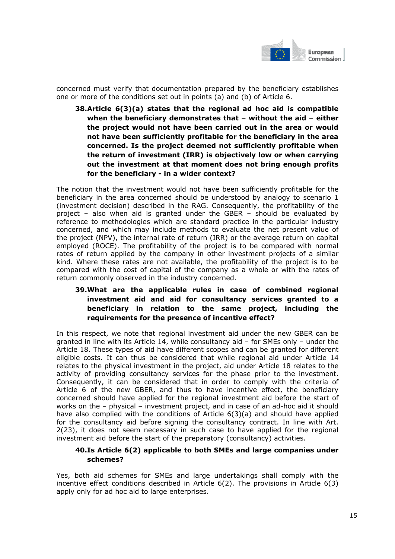

concerned must verify that documentation prepared by the beneficiary establishes one or more of the conditions set out in points (a) and (b) of Article 6.

**38.Article 6(3)(a) states that the regional ad hoc aid is compatible when the beneficiary demonstrates that – without the aid – either the project would not have been carried out in the area or would not have been sufficiently profitable for the beneficiary in the area concerned. Is the project deemed not sufficiently profitable when the return of investment (IRR) is objectively low or when carrying out the investment at that moment does not bring enough profits for the beneficiary - in a wider context?** 

The notion that the investment would not have been sufficiently profitable for the beneficiary in the area concerned should be understood by analogy to scenario 1 (investment decision) described in the RAG. Consequently, the profitability of the project – also when aid is granted under the GBER – should be evaluated by reference to methodologies which are standard practice in the particular industry concerned, and which may include methods to evaluate the net present value of the project (NPV), the internal rate of return (IRR) or the average return on capital employed (ROCE). The profitability of the project is to be compared with normal rates of return applied by the company in other investment projects of a similar kind. Where these rates are not available, the profitability of the project is to be compared with the cost of capital of the company as a whole or with the rates of return commonly observed in the industry concerned.

# **39.What are the applicable rules in case of combined regional investment aid and aid for consultancy services granted to a beneficiary in relation to the same project, including the requirements for the presence of incentive effect?**

In this respect, we note that regional investment aid under the new GBER can be granted in line with its Article 14, while consultancy aid – for SMEs only – under the Article 18. These types of aid have different scopes and can be granted for different eligible costs. It can thus be considered that while regional aid under Article 14 relates to the physical investment in the project, aid under Article 18 relates to the activity of providing consultancy services for the phase prior to the investment. Consequently, it can be considered that in order to comply with the criteria of Article 6 of the new GBER, and thus to have incentive effect, the beneficiary concerned should have applied for the regional investment aid before the start of works on the – physical – investment project, and in case of an ad-hoc aid it should have also complied with the conditions of Article 6(3)(a) and should have applied for the consultancy aid before signing the consultancy contract. In line with Art. 2(23), it does not seem necessary in such case to have applied for the regional investment aid before the start of the preparatory (consultancy) activities.

## **40.Is Article 6(2) applicable to both SMEs and large companies under schemes?**

Yes, both aid schemes for SMEs and large undertakings shall comply with the incentive effect conditions described in Article 6(2). The provisions in Article 6(3) apply only for ad hoc aid to large enterprises.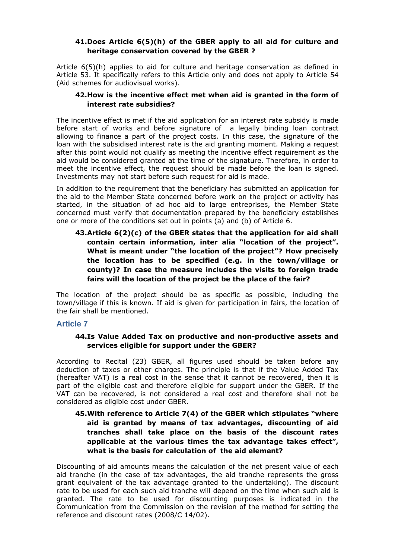## **41.Does Article 6(5)(h) of the GBER apply to all aid for culture and heritage conservation covered by the GBER ?**

Article 6(5)(h) applies to aid for culture and heritage conservation as defined in Article 53. It specifically refers to this Article only and does not apply to Article 54 (Aid schemes for audiovisual works).

## **42.How is the incentive effect met when aid is granted in the form of interest rate subsidies?**

The incentive effect is met if the aid application for an interest rate subsidy is made before start of works and before signature of a legally binding loan contract allowing to finance a part of the project costs. In this case, the signature of the loan with the subsidised interest rate is the aid granting moment. Making a request after this point would not qualify as meeting the incentive effect requirement as the aid would be considered granted at the time of the signature. Therefore, in order to meet the incentive effect, the request should be made before the loan is signed. Investments may not start before such request for aid is made.

In addition to the requirement that the beneficiary has submitted an application for the aid to the Member State concerned before work on the project or activity has started, in the situation of ad hoc aid to large entreprises, the Member State concerned must verify that documentation prepared by the beneficiary establishes one or more of the conditions set out in points (a) and (b) of Article 6.

# **43.Article 6(2)(c) of the GBER states that the application for aid shall contain certain information, inter alia "location of the project". What is meant under "the location of the project"? How precisely the location has to be specified (e.g. in the town/village or county)? In case the measure includes the visits to foreign trade fairs will the location of the project be the place of the fair?**

The location of the project should be as specific as possible, including the town/village if this is known. If aid is given for participation in fairs, the location of the fair shall be mentioned.

## **Article 7**

#### **44.Is Value Added Tax on productive and non-productive assets and services eligible for support under the GBER?**

According to Recital (23) GBER, all figures used should be taken before any deduction of taxes or other charges. The principle is that if the Value Added Tax (hereafter VAT) is a real cost in the sense that it cannot be recovered, then it is part of the eligible cost and therefore eligible for support under the GBER. If the VAT can be recovered, is not considered a real cost and therefore shall not be considered as eligible cost under GBER.

## **45.With reference to Article 7(4) of the GBER which stipulates "where aid is granted by means of tax advantages, discounting of aid tranches shall take place on the basis of the discount rates applicable at the various times the tax advantage takes effect", what is the basis for calculation of the aid element?**

Discounting of aid amounts means the calculation of the net present value of each aid tranche (in the case of tax advantages, the aid tranche represents the gross grant equivalent of the tax advantage granted to the undertaking). The discount rate to be used for each such aid tranche will depend on the time when such aid is granted. The rate to be used for discounting purposes is indicated in the Communication from the Commission on the revision of the method for setting the reference and discount rates (2008/C 14/02).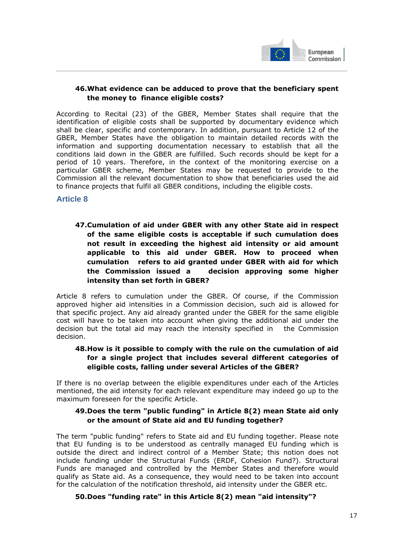

European Commission I

## **46.What evidence can be adduced to prove that the beneficiary spent the money to finance eligible costs?**

According to Recital (23) of the GBER, Member States shall require that the identification of eligible costs shall be supported by documentary evidence which shall be clear, specific and contemporary. In addition, pursuant to Article 12 of the GBER, Member States have the obligation to maintain detailed records with the information and supporting documentation necessary to establish that all the conditions laid down in the GBER are fulfilled. Such records should be kept for a period of 10 years. Therefore, in the context of the monitoring exercise on a particular GBER scheme, Member States may be requested to provide to the Commission all the relevant documentation to show that beneficiaries used the aid to finance projects that fulfil all GBER conditions, including the eligible costs.

**Article 8** 

# **47.Cumulation of aid under GBER with any other State aid in respect of the same eligible costs is acceptable if such cumulation does not result in exceeding the highest aid intensity or aid amount applicable to this aid under GBER. How to proceed when cumulation refers to aid granted under GBER with aid for which the Commission issued a decision approving some higher intensity than set forth in GBER?**

Article 8 refers to cumulation under the GBER. Of course, if the Commission approved higher aid intensities in a Commission decision, such aid is allowed for that specific project. Any aid already granted under the GBER for the same eligible cost will have to be taken into account when giving the additional aid under the decision but the total aid may reach the intensity specified in the Commission decision.

## **48.How is it possible to comply with the rule on the cumulation of aid for a single project that includes several different categories of eligible costs, falling under several Articles of the GBER?**

If there is no overlap between the eligible expenditures under each of the Articles mentioned, the aid intensity for each relevant expenditure may indeed go up to the maximum foreseen for the specific Article.

#### **49.Does the term "public funding" in Article 8(2) mean State aid only or the amount of State aid and EU funding together?**

The term "public funding" refers to State aid and EU funding together. Please note that EU funding is to be understood as centrally managed EU funding which is outside the direct and indirect control of a Member State; this notion does not include funding under the Structural Funds (ERDF, Cohesion Fund?). Structural Funds are managed and controlled by the Member States and therefore would qualify as State aid. As a consequence, they would need to be taken into account for the calculation of the notification threshold, aid intensity under the GBER etc.

## **50.Does "funding rate" in this Article 8(2) mean "aid intensity"?**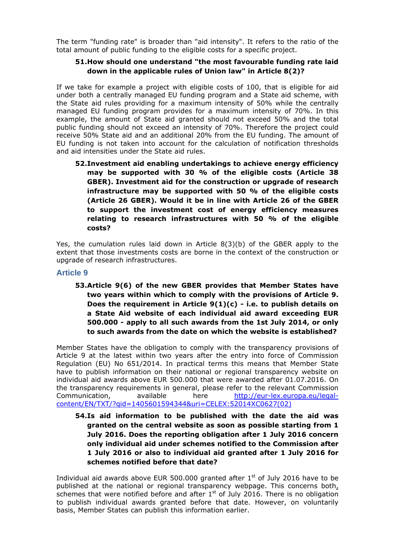The term "funding rate" is broader than "aid intensity". It refers to the ratio of the total amount of public funding to the eligible costs for a specific project.

## **51.How should one understand "the most favourable funding rate laid down in the applicable rules of Union law" in Article 8(2)?**

If we take for example a project with eligible costs of 100, that is eligible for aid under both a centrally managed EU funding program and a State aid scheme, with the State aid rules providing for a maximum intensity of 50% while the centrally managed EU funding program provides for a maximum intensity of 70%. In this example, the amount of State aid granted should not exceed 50% and the total public funding should not exceed an intensity of 70%. Therefore the project could receive 50% State aid and an additional 20% from the EU funding. The amount of EU funding is not taken into account for the calculation of notification thresholds and aid intensities under the State aid rules.

**52.Investment aid enabling undertakings to achieve energy efficiency may be supported with 30 % of the eligible costs (Article 38 GBER). Investment aid for the construction or upgrade of research infrastructure may be supported with 50 % of the eligible costs (Article 26 GBER). Would it be in line with Article 26 of the GBER to support the investment cost of energy efficiency measures relating to research infrastructures with 50 % of the eligible costs?** 

Yes, the cumulation rules laid down in Article 8(3)(b) of the GBER apply to the extent that those investments costs are borne in the context of the construction or upgrade of research infrastructures.

## **Article 9**

**53.Article 9(6) of the new GBER provides that Member States have two years within which to comply with the provisions of Article 9. Does the requirement in Article 9(1)(c) - i.e. to publish details on a State Aid website of each individual aid award exceeding EUR 500.000 - apply to all such awards from the 1st July 2014, or only to such awards from the date on which the website is established?** 

Member States have the obligation to comply with the transparency provisions of Article 9 at the latest within two years after the entry into force of Commission Regulation (EU) No 651/2014. In practical terms this means that Member State have to publish information on their national or regional transparency website on individual aid awards above EUR 500.000 that were awarded after 01.07.2016. On the transparency requirements in general, please refer to the relevant Commission Communication, available here [http://eur-lex.europa.eu/legal](http://eur-lex.europa.eu/legal-content/EN/TXT/?qid=1405601594344&uri=CELEX:52014XC0627(02))[content/EN/TXT/?qid=1405601594344&uri=CELEX:52014XC0627\(02\)](http://eur-lex.europa.eu/legal-content/EN/TXT/?qid=1405601594344&uri=CELEX:52014XC0627(02))

**54.Is aid information to be published with the date the aid was granted on the central website as soon as possible starting from 1 July 2016. Does the reporting obligation after 1 July 2016 concern only individual aid under schemes notified to the Commission after 1 July 2016 or also to individual aid granted after 1 July 2016 for schemes notified before that date?** 

Individual aid awards above EUR 500.000 granted after  $1<sup>st</sup>$  of July 2016 have to be published at the national or regional transparency webpage. This concerns both, schemes that were notified before and after  $1<sup>st</sup>$  of July 2016. There is no obligation to publish individual awards granted before that date. However, on voluntarily basis, Member States can publish this information earlier.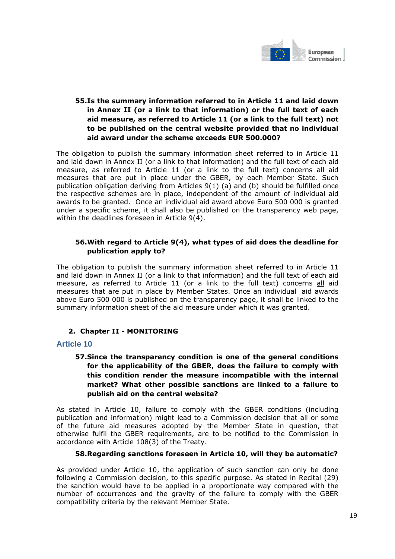

# **55.Is the summary information referred to in Article 11 and laid down in Annex II (or a link to that information) or the full text of each aid measure, as referred to Article 11 (or a link to the full text) not to be published on the central website provided that no individual aid award under the scheme exceeds EUR 500.000?**

The obligation to publish the summary information sheet referred to in Article 11 and laid down in Annex II (or a link to that information) and the full text of each aid measure, as referred to Article 11 (or a link to the full text) concerns all aid measures that are put in place under the GBER, by each Member State. Such publication obligation deriving from Articles 9(1) (a) and (b) should be fulfilled once the respective schemes are in place, independent of the amount of individual aid awards to be granted. Once an individual aid award above Euro 500 000 is granted under a specific scheme, it shall also be published on the transparency web page, within the deadlines foreseen in Article 9(4).

## **56.With regard to Article 9(4), what types of aid does the deadline for publication apply to?**

<span id="page-18-1"></span>The obligation to publish the summary information sheet referred to in Article 11 and laid down in Annex II (or a link to that information) and the full text of each aid measure, as referred to Article 11 (or a link to the full text) concerns all aid measures that are put in place by Member States. Once an individual aid awards above Euro 500 000 is published on the transparency page, it shall be linked to the summary information sheet of the aid measure under which it was granted.

## **2. Chapter II - MONITORING**

## <span id="page-18-0"></span>**Article 10**

# **57.Since the transparency condition is one of the general conditions for the applicability of the GBER, does the failure to comply with this condition render the measure incompatible with the internal market? What other possible sanctions are linked to a failure to publish aid on the central website?**

As stated in Article 10, failure to comply with the GBER conditions (including publication and information) might lead to a Commission decision that all or some of the future aid measures adopted by the Member State in question, that otherwise fulfil the GBER requirements, are to be notified to the Commission in accordance with Article 108(3) of the Treaty.

#### **58.Regarding sanctions foreseen in Article 10, will they be automatic?**

As provided under Article 10, the application of such sanction can only be done following a Commission decision, to this specific purpose. As stated in Recital (29) the sanction would have to be applied in a proportionate way compared with the number of occurrences and the gravity of the failure to comply with the GBER compatibility criteria by the relevant Member State.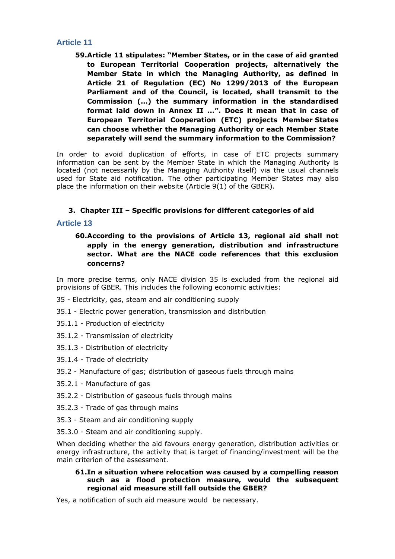## **Article 11**

**59.Article 11 stipulates: "Member States, or in the case of aid granted to European Territorial Cooperation projects, alternatively the Member State in which the Managing Authority, as defined in Article 21 of Regulation (EC) No 1299/2013 of the European Parliament and of the Council, is located, shall transmit to the Commission (…) the summary information in the standardised format laid down in Annex II ...". Does it mean that in case of European Territorial Cooperation (ETC) projects Member States can choose whether the Managing Authority or each Member State separately will send the summary information to the Commission?** 

In order to avoid duplication of efforts, in case of ETC projects summary information can be sent by the Member State in which the Managing Authority is located (not necessarily by the Managing Authority itself) via the usual channels used for State aid notification. The other participating Member States may also place the information on their website (Article 9(1) of the GBER).

## **3. Chapter III – Specific provisions for different categories of aid**

#### <span id="page-19-0"></span>**Article 13**

**60.According to the provisions of Article 13, regional aid shall not apply in the energy generation, distribution and infrastructure sector. What are the NACE code references that this exclusion concerns?** 

In more precise terms, only NACE division 35 is excluded from the regional aid provisions of GBER. This includes the following economic activities:

- 35 Electricity, gas, steam and air conditioning supply
- 35.1 Electric power generation, transmission and distribution
- 35.1.1 Production of electricity
- 35.1.2 Transmission of electricity
- 35.1.3 Distribution of electricity
- 35.1.4 Trade of electricity
- 35.2 Manufacture of gas; distribution of gaseous fuels through mains
- 35.2.1 Manufacture of gas
- 35.2.2 Distribution of gaseous fuels through mains
- 35.2.3 Trade of gas through mains
- 35.3 Steam and air conditioning supply
- 35.3.0 Steam and air conditioning supply.

When deciding whether the aid favours energy generation, distribution activities or energy infrastructure, the activity that is target of financing/investment will be the main criterion of the assessment.

#### **61.In a situation where relocation was caused by a compelling reason such as a flood protection measure, would the subsequent regional aid measure still fall outside the GBER?**

Yes, a notification of such aid measure would be necessary.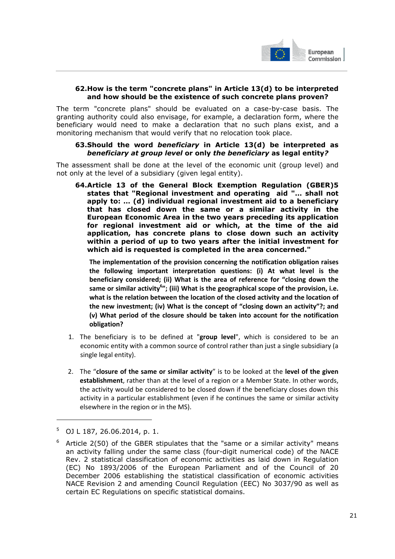

#### **62.How is the term "concrete plans" in Article 13(d) to be interpreted and how should be the existence of such concrete plans proven?**

The term "concrete plans" should be evaluated on a case-by-case basis. The granting authority could also envisage, for example, a declaration form, where the beneficiary would need to make a declaration that no such plans exist, and a monitoring mechanism that would verify that no relocation took place.

#### **63.Should the word** *beneficiary* **in Article 13(d) be interpreted as**  *beneficiary at group level* **or only** *the beneficiary* **as legal entity***?*

The assessment shall be done at the level of the economic unit (group level) and not only at the level of a subsidiary (given legal entity).

**64.Article 13 of the General Block Exemption Regulation (GBER)5 states that "Regional investment and operating aid "… shall not apply to: … (d) individual regional investment aid to a beneficiary that has closed down the same or a similar activity in the European Economic Area in the two years preceding its application for regional investment aid or which, at the time of the aid application, has concrete plans to close down such an activity within a period of up to two years after the initial investment for which aid is requested is completed in the area concerned."** 

**The implementation of the provision concerning the notification obligation raises the following important interpretation questions: (i) At what level is the beneficiary considered; (ii) What is the area of reference for "closing down the same or similar activity<sup>6</sup> "; (iii) What is the geographical scope of the provision, i.e. what is the relation between the location of the closed activity and the location of the new investment; (iv) What is the concept of "closing down an activity"?; and (v) What period of the closure should be taken into account for the notification obligation?** 

- 1. The beneficiary is to be defined at "**group level**", which is considered to be an economic entity with a common source of control rather than just a single subsidiary (a single legal entity).
- 2. The "**closure of the same or similar activity**" is to be looked at the **level of the given establishment**, rather than at the level of a region or a Member State. In other words, the activity would be considered to be closed down if the beneficiary closes down this activity in a particular establishment (even if he continues the same or similar activity elsewhere in the region or in the MS).

-

<sup>5</sup> OJ L 187, 26.06.2014, p. 1.

<sup>6</sup> Article 2(50) of the GBER stipulates that the "same or a similar activity" means an activity falling under the same class (four-digit numerical code) of the NACE Rev. 2 statistical classification of economic activities as laid down in Regulation (EC) No 1893/2006 of the European Parliament and of the Council of 20 December 2006 establishing the statistical classification of economic activities NACE Revision 2 and amending Council Regulation (EEC) No 3037/90 as well as certain EC Regulations on specific statistical domains.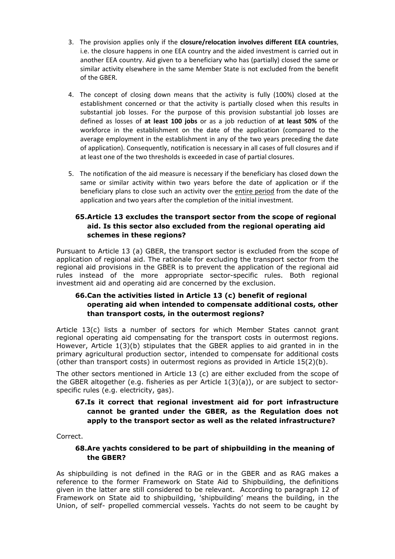- 3. The provision applies only if the **closure/relocation involves different EEA countries**, i.e. the closure happens in one EEA country and the aided investment is carried out in another EEA country. Aid given to a beneficiary who has (partially) closed the same or similar activity elsewhere in the same Member State is not excluded from the benefit of the GBER.
- 4. The concept of closing down means that the activity is fully (100%) closed at the establishment concerned or that the activity is partially closed when this results in substantial job losses. For the purpose of this provision substantial job losses are defined as losses of **at least 100 jobs** or as a job reduction of **at least 50%** of the workforce in the establishment on the date of the application (compared to the average employment in the establishment in any of the two years preceding the date of application). Consequently, notification is necessary in all cases of full closures and if at least one of the two thresholds is exceeded in case of partial closures.
- 5. The notification of the aid measure is necessary if the beneficiary has closed down the same or similar activity within two years before the date of application or if the beneficiary plans to close such an activity over the entire period from the date of the application and two years after the completion of the initial investment.

# **65.Article 13 excludes the transport sector from the scope of regional aid. Is this sector also excluded from the regional operating aid schemes in these regions?**

Pursuant to Article 13 (a) GBER, the transport sector is excluded from the scope of application of regional aid. The rationale for excluding the transport sector from the regional aid provisions in the GBER is to prevent the application of the regional aid rules instead of the more appropriate sector-specific rules. Both regional investment aid and operating aid are concerned by the exclusion.

## **66.Can the activities listed in Article 13 (c) benefit of regional operating aid when intended to compensate additional costs, other than transport costs, in the outermost regions?**

Article 13(c) lists a number of sectors for which Member States cannot grant regional operating aid compensating for the transport costs in outermost regions. However, Article 1(3)(b) stipulates that the GBER applies to aid granted in in the primary agricultural production sector, intended to compensate for additional costs (other than transport costs) in outermost regions as provided in Article 15(2)(b).

The other sectors mentioned in Article 13 (c) are either excluded from the scope of the GBER altogether (e.g. fisheries as per Article  $1(3)(a)$ ), or are subject to sectorspecific rules (e.g. electricity, gas).

## **67.Is it correct that regional investment aid for port infrastructure cannot be granted under the GBER, as the Regulation does not apply to the transport sector as well as the related infrastructure?**

Correct.

## **68.Are yachts considered to be part of shipbuilding in the meaning of the GBER?**

As shipbuilding is not defined in the RAG or in the GBER and as RAG makes a reference to the former Framework on State Aid to Shipbuilding, the definitions given in the latter are still considered to be relevant. According to paragraph 12 of Framework on State aid to shipbuilding, 'shipbuilding' means the building, in the Union, of self- propelled commercial vessels. Yachts do not seem to be caught by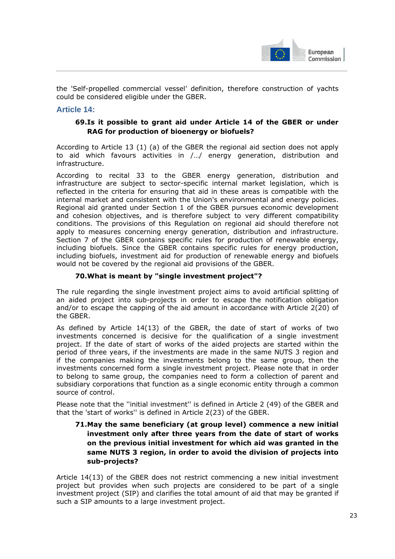

the 'Self-propelled commercial vessel' definition, therefore construction of yachts could be considered eligible under the GBER.

#### **Article 14:**

## **69.Is it possible to grant aid under Article 14 of the GBER or under RAG for production of bioenergy or biofuels?**

According to Article 13 (1) (a) of the GBER the regional aid section does not apply to aid which favours activities in /…/ energy generation, distribution and infrastructure.

According to recital 33 to the GBER energy generation, distribution and infrastructure are subject to sector-specific internal market legislation, which is reflected in the criteria for ensuring that aid in these areas is compatible with the internal market and consistent with the Union's environmental and energy policies. Regional aid granted under Section 1 of the GBER pursues economic development and cohesion objectives, and is therefore subject to very different compatibility conditions. The provisions of this Regulation on regional aid should therefore not apply to measures concerning energy generation, distribution and infrastructure. Section 7 of the GBER contains specific rules for production of renewable energy, including biofuels. Since the GBER contains specific rules for energy production, including biofuels, investment aid for production of renewable energy and biofuels would not be covered by the regional aid provisions of the GBER.

#### **70.What is meant by "single investment project"?**

The rule regarding the single investment project aims to avoid artificial splitting of an aided project into sub-projects in order to escape the notification obligation and/or to escape the capping of the aid amount in accordance with Article 2(20) of the GBER.

As defined by Article 14(13) of the GBER, the date of start of works of two investments concerned is decisive for the qualification of a single investment project. If the date of start of works of the aided projects are started within the period of three years, if the investments are made in the same NUTS 3 region and if the companies making the investments belong to the same group, then the investments concerned form a single investment project. Please note that in order to belong to same group, the companies need to form a collection of parent and subsidiary corporations that function as a single economic entity through a common source of control.

Please note that the ''initial investment'' is defined in Article 2 (49) of the GBER and that the 'start of works'' is defined in Article 2(23) of the GBER.

## **71.May the same beneficiary (at group level) commence a new initial investment only after three years from the date of start of works on the previous initial investment for which aid was granted in the same NUTS 3 region, in order to avoid the division of projects into sub-projects?**

Article 14(13) of the GBER does not restrict commencing a new initial investment project but provides when such projects are considered to be part of a single investment project (SIP) and clarifies the total amount of aid that may be granted if such a SIP amounts to a large investment project.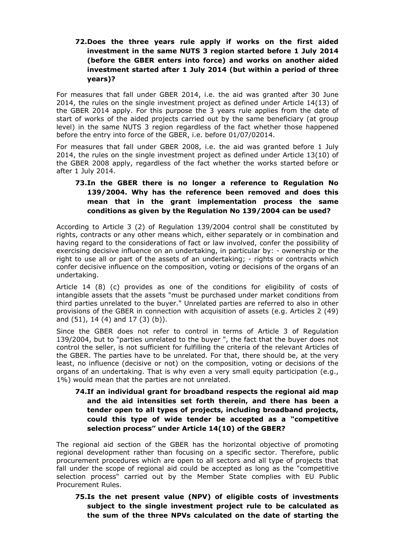## **72.Does the three years rule apply if works on the first aided investment in the same NUTS 3 region started before 1 July 2014 (before the GBER enters into force) and works on another aided investment started after 1 July 2014 (but within a period of three years)?**

For measures that fall under GBER 2014, i.e. the aid was granted after 30 June 2014, the rules on the single investment project as defined under Article 14(13) of the GBER 2014 apply. For this purpose the 3 years rule applies from the date of start of works of the aided projects carried out by the same beneficiary (at group level) in the same NUTS 3 region regardless of the fact whether those happened before the entry into force of the GBER, i.e. before 01/07/02014.

For measures that fall under GBER 2008, i.e. the aid was granted before 1 July 2014, the rules on the single investment project as defined under Article 13(10) of the GBER 2008 apply, regardless of the fact whether the works started before or after 1 July 2014.

# **73.In the GBER there is no longer a reference to Regulation No 139/2004. Why has the reference been removed and does this mean that in the grant implementation process the same conditions as given by the Regulation No 139/2004 can be used?**

According to Article 3 (2) of Regulation 139/2004 control shall be constituted by rights, contracts or any other means which, either separately or in combination and having regard to the considerations of fact or law involved, confer the possibility of exercising decisive influence on an undertaking, in particular by: - ownership or the right to use all or part of the assets of an undertaking; - rights or contracts which confer decisive influence on the composition, voting or decisions of the organs of an undertaking.

Article 14 (8) (c) provides as one of the conditions for eligibility of costs of intangible assets that the assets "must be purchased under market conditions from third parties unrelated to the buyer." Unrelated parties are referred to also in other provisions of the GBER in connection with acquisition of assets (e.g. Articles 2 (49) and (51), 14 (4) and 17 (3) (b)).

Since the GBER does not refer to control in terms of Article 3 of Regulation 139/2004, but to "parties unrelated to the buyer ", the fact that the buyer does not control the seller, is not sufficient for fulfilling the criteria of the relevant Articles of the GBER. The parties have to be unrelated. For that, there should be, at the very least, no influence (decisive or not) on the composition, voting or decisions of the organs of an undertaking. That is why even a very small equity participation (e.g., 1%) would mean that the parties are not unrelated.

## **74.If an individual grant for broadband respects the regional aid map and the aid intensities set forth therein, and there has been a tender open to all types of projects, including broadband projects, could this type of wide tender be accepted as a "competitive selection process" under Article 14(10) of the GBER?**

The regional aid section of the GBER has the horizontal objective of promoting regional development rather than focusing on a specific sector. Therefore, public procurement procedures which are open to all sectors and all type of projects that fall under the scope of regional aid could be accepted as long as the "competitive selection process" carried out by the Member State complies with EU Public Procurement Rules.

**75.Is the net present value (NPV) of eligible costs of investments subject to the single investment project rule to be calculated as the sum of the three NPVs calculated on the date of starting the**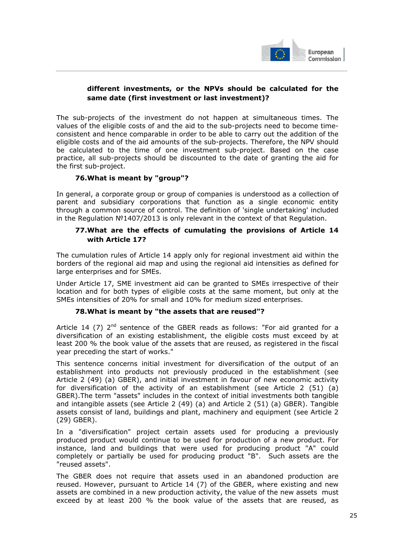

## **different investments, or the NPVs should be calculated for the same date (first investment or last investment)?**

The sub-projects of the investment do not happen at simultaneous times. The values of the eligible costs of and the aid to the sub-projects need to become timeconsistent and hence comparable in order to be able to carry out the addition of the eligible costs and of the aid amounts of the sub-projects. Therefore, the NPV should be calculated to the time of one investment sub-project. Based on the case practice, all sub-projects should be discounted to the date of granting the aid for the first sub-project.

## **76.What is meant by "group"?**

In general, a corporate group or group of companies is understood as a collection of parent and subsidiary corporations that function as a single economic entity through a common source of control. The definition of 'single undertaking' included in the Regulation №1407/2013 is only relevant in the context of that Regulation.

#### **77.What are the effects of cumulating the provisions of Article 14 with Article 17?**

The cumulation rules of Article 14 apply only for regional investment aid within the borders of the regional aid map and using the regional aid intensities as defined for large enterprises and for SMEs.

Under Article 17, SME investment aid can be granted to SMEs irrespective of their location and for both types of eligible costs at the same moment, but only at the SMEs intensities of 20% for small and 10% for medium sized enterprises.

## **78.What is meant by "the assets that are reused"?**

Article 14 (7)  $2<sup>nd</sup>$  sentence of the GBER reads as follows: "For aid granted for a diversification of an existing establishment, the eligible costs must exceed by at least 200 % the book value of the assets that are reused, as registered in the fiscal year preceding the start of works."

This sentence concerns initial investment for diversification of the output of an establishment into products not previously produced in the establishment (see Article 2 (49) (a) GBER), and initial investment in favour of new economic activity for diversification of the activity of an establishment (see Article 2 (51) (a) GBER).The term "assets" includes in the context of initial investments both tangible and intangible assets (see Article 2 (49) (a) and Article 2 (51) (a) GBER). Tangible assets consist of land, buildings and plant, machinery and equipment (see Article 2 (29) GBER).

In a "diversification" project certain assets used for producing a previously produced product would continue to be used for production of a new product. For instance, land and buildings that were used for producing product "A" could completely or partially be used for producing product "B". Such assets are the "reused assets".

The GBER does not require that assets used in an abandoned production are reused. However, pursuant to Article 14 (7) of the GBER, where existing and new assets are combined in a new production activity, the value of the new assets must exceed by at least 200 % the book value of the assets that are reused, as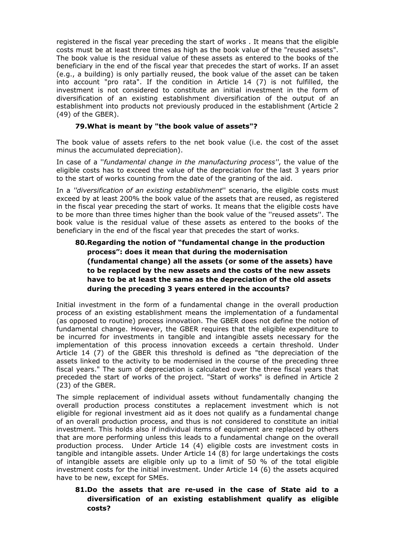registered in the fiscal year preceding the start of works . It means that the eligible costs must be at least three times as high as the book value of the "reused assets". The book value is the residual value of these assets as entered to the books of the beneficiary in the end of the fiscal year that precedes the start of works. If an asset (e.g., a building) is only partially reused, the book value of the asset can be taken into account "pro rata". If the condition in Article 14 (7) is not fulfilled, the investment is not considered to constitute an initial investment in the form of diversification of an existing establishment diversification of the output of an establishment into products not previously produced in the establishment (Article 2 (49) of the GBER).

#### **79.What is meant by "the book value of assets"?**

The book value of assets refers to the net book value (i.e. the cost of the asset minus the accumulated depreciation).

In case of a ''*fundamental change in the manufacturing process''*, the value of the eligible costs has to exceed the value of the depreciation for the last 3 years prior to the start of works counting from the date of the granting of the aid.

In a *''diversification of an existing establishment*'' scenario, the eligible costs must exceed by at least 200% the book value of the assets that are reused, as registered in the fiscal year preceding the start of works. It means that the eligible costs have to be more than three times higher than the book value of the ''reused assets''. The book value is the residual value of these assets as entered to the books of the beneficiary in the end of the fiscal year that precedes the start of works.

## **80.Regarding the notion of "fundamental change in the production process": does it mean that during the modernisation (fundamental change) all the assets (or some of the assets) have to be replaced by the new assets and the costs of the new assets have to be at least the same as the depreciation of the old assets during the preceding 3 years entered in the accounts?**

Initial investment in the form of a fundamental change in the overall production process of an existing establishment means the implementation of a fundamental (as opposed to routine) process innovation. The GBER does not define the notion of fundamental change. However, the GBER requires that the eligible expenditure to be incurred for investments in tangible and intangible assets necessary for the implementation of this process innovation exceeds a certain threshold. Under Article 14 (7) of the GBER this threshold is defined as "the depreciation of the assets linked to the activity to be modernised in the course of the preceding three fiscal years." The sum of depreciation is calculated over the three fiscal years that preceded the start of works of the project. "Start of works" is defined in Article 2 (23) of the GBER.

The simple replacement of individual assets without fundamentally changing the overall production process constitutes a replacement investment which is not eligible for regional investment aid as it does not qualify as a fundamental change of an overall production process, and thus is not considered to constitute an initial investment. This holds also if individual items of equipment are replaced by others that are more performing unless this leads to a fundamental change on the overall production process. Under Article 14 (4) eligible costs are investment costs in tangible and intangible assets. Under Article 14 (8) for large undertakings the costs of intangible assets are eligible only up to a limit of 50 % of the total eligible investment costs for the initial investment. Under Article 14 (6) the assets acquired have to be new, except for SMEs.

## **81.Do the assets that are re-used in the case of State aid to a diversification of an existing establishment qualify as eligible costs?**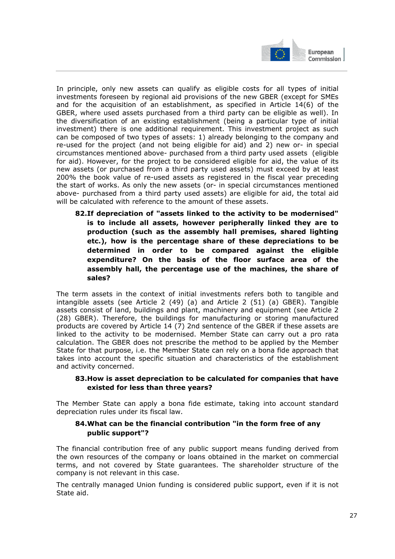

In principle, only new assets can qualify as eligible costs for all types of initial investments foreseen by regional aid provisions of the new GBER (except for SMEs and for the acquisition of an establishment, as specified in Article 14(6) of the GBER, where used assets purchased from a third party can be eligible as well). In the diversification of an existing establishment (being a particular type of initial investment) there is one additional requirement. This investment project as such can be composed of two types of assets: 1) already belonging to the company and re-used for the project (and not being eligible for aid) and 2) new or- in special circumstances mentioned above- purchased from a third party used assets (eligible for aid). However, for the project to be considered eligible for aid, the value of its new assets (or purchased from a third party used assets) must exceed by at least 200% the book value of re-used assets as registered in the fiscal year preceding the start of works. As only the new assets (or- in special circumstances mentioned above- purchased from a third party used assets) are eligible for aid, the total aid will be calculated with reference to the amount of these assets.

**82.If depreciation of "assets linked to the activity to be modernised" is to include all assets, however peripherally linked they are to production (such as the assembly hall premises, shared lighting etc.), how is the percentage share of these depreciations to be determined in order to be compared against the eligible expenditure? On the basis of the floor surface area of the assembly hall, the percentage use of the machines, the share of sales?**

The term assets in the context of initial investments refers both to tangible and intangible assets (see Article 2 (49) (a) and Article 2 (51) (a) GBER). Tangible assets consist of land, buildings and plant, machinery and equipment (see Article 2 (28) GBER). Therefore, the buildings for manufacturing or storing manufactured products are covered by Article 14 (7) 2nd sentence of the GBER if these assets are linked to the activity to be modernised. Member State can carry out a pro rata calculation. The GBER does not prescribe the method to be applied by the Member State for that purpose, i.e. the Member State can rely on a bona fide approach that takes into account the specific situation and characteristics of the establishment and activity concerned.

## **83.How is asset depreciation to be calculated for companies that have existed for less than three years?**

The Member State can apply a bona fide estimate, taking into account standard depreciation rules under its fiscal law.

## **84.What can be the financial contribution "in the form free of any public support"?**

The financial contribution free of any public support means funding derived from the own resources of the company or loans obtained in the market on commercial terms, and not covered by State guarantees. The shareholder structure of the company is not relevant in this case.

The centrally managed Union funding is considered public support, even if it is not State aid.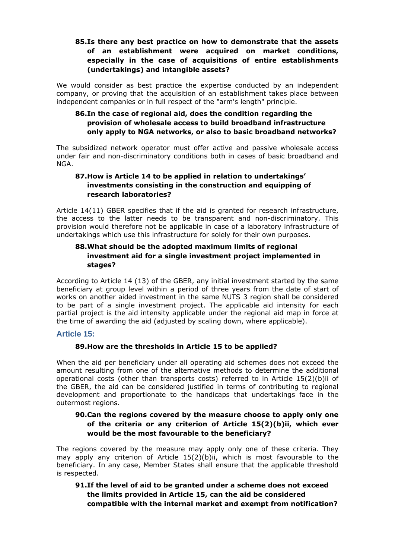# **85.Is there any best practice on how to demonstrate that the assets of an establishment were acquired on market conditions, especially in the case of acquisitions of entire establishments (undertakings) and intangible assets?**

We would consider as best practice the expertise conducted by an independent company, or proving that the acquisition of an establishment takes place between independent companies or in full respect of the "arm's length" principle.

# **86.In the case of regional aid, does the condition regarding the provision of wholesale access to build broadband infrastructure only apply to NGA networks, or also to basic broadband networks?**

The subsidized network operator must offer active and passive wholesale access under fair and non-discriminatory conditions both in cases of basic broadband and NGA.

## **87.How is Article 14 to be applied in relation to undertakings' investments consisting in the construction and equipping of research laboratories?**

Article 14(11) GBER specifies that if the aid is granted for research infrastructure, the access to the latter needs to be transparent and non-discriminatory. This provision would therefore not be applicable in case of a laboratory infrastructure of undertakings which use this infrastructure for solely for their own purposes.

## **88.What should be the adopted maximum limits of regional investment aid for a single investment project implemented in stages?**

According to Article 14 (13) of the GBER, any initial investment started by the same beneficiary at group level within a period of three years from the date of start of works on another aided investment in the same NUTS 3 region shall be considered to be part of a single investment project. The applicable aid intensity for each partial project is the aid intensity applicable under the regional aid map in force at the time of awarding the aid (adjusted by scaling down, where applicable).

## **Article 15:**

## **89.How are the thresholds in Article 15 to be applied?**

When the aid per beneficiary under all operating aid schemes does not exceed the amount resulting from one of the alternative methods to determine the additional operational costs (other than transports costs) referred to in Article 15(2)(b)ii of the GBER, the aid can be considered justified in terms of contributing to regional development and proportionate to the handicaps that undertakings face in the outermost regions.

## **90.Can the regions covered by the measure choose to apply only one of the criteria or any criterion of Article 15(2)(b)ii, which ever would be the most favourable to the beneficiary?**

The regions covered by the measure may apply only one of these criteria. They may apply any criterion of Article 15(2)(b)ii, which is most favourable to the beneficiary. In any case, Member States shall ensure that the applicable threshold is respected.

**91.If the level of aid to be granted under a scheme does not exceed the limits provided in Article 15, can the aid be considered compatible with the internal market and exempt from notification?**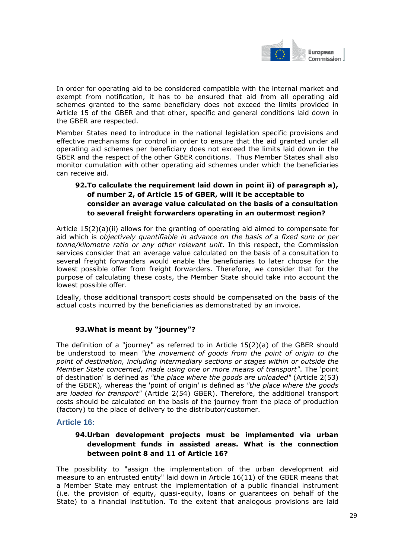

In order for operating aid to be considered compatible with the internal market and exempt from notification, it has to be ensured that aid from all operating aid schemes granted to the same beneficiary does not exceed the limits provided in Article 15 of the GBER and that other, specific and general conditions laid down in the GBER are respected.

Member States need to introduce in the national legislation specific provisions and effective mechanisms for control in order to ensure that the aid granted under all operating aid schemes per beneficiary does not exceed the limits laid down in the GBER and the respect of the other GBER conditions. Thus Member States shall also monitor cumulation with other operating aid schemes under which the beneficiaries can receive aid.

## **92.To calculate the requirement laid down in point ii) of paragraph a), of number 2, of Article 15 of GBER, will it be acceptable to consider an average value calculated on the basis of a consultation to several freight forwarders operating in an outermost region?**

Article 15(2)(a)(ii) allows for the granting of operating aid aimed to compensate for aid which is *objectively quantifiable in advance on the basis of a fixed sum or per tonne/kilometre ratio or any other relevant unit*. In this respect, the Commission services consider that an average value calculated on the basis of a consultation to several freight forwarders would enable the beneficiaries to later choose for the lowest possible offer from freight forwarders. Therefore, we consider that for the purpose of calculating these costs, the Member State should take into account the lowest possible offer.

Ideally, those additional transport costs should be compensated on the basis of the actual costs incurred by the beneficiaries as demonstrated by an invoice.

## **93.What is meant by "journey"?**

The definition of a "journey" as referred to in Article 15(2)(a) of the GBER should be understood to mean *"the movement of goods from the point of origin to the point of destination, including intermediary sections or stages within or outside the Member State concerned, made using one or more means of transport"*. The 'point of destination' is defined as *"the place where the goods are unloaded"* (Article 2(53) of the GBER)*,* whereas the 'point of origin' is defined as *"the place where the goods are loaded for transport"* (Article 2(54) GBER). Therefore, the additional transport costs should be calculated on the basis of the journey from the place of production (factory) to the place of delivery to the distributor/customer.

## **Article 16:**

## **94.Urban development projects must be implemented via urban development funds in assisted areas. What is the connection between point 8 and 11 of Article 16?**

The possibility to "assign the implementation of the urban development aid measure to an entrusted entity" laid down in Article 16(11) of the GBER means that a Member State may entrust the implementation of a public financial instrument (i.e. the provision of equity, quasi-equity, loans or guarantees on behalf of the State) to a financial institution. To the extent that analogous provisions are laid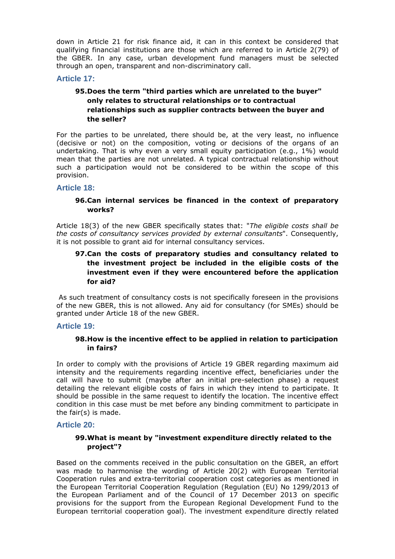down in Article 21 for risk finance aid, it can in this context be considered that qualifying financial institutions are those which are referred to in Article 2(79) of the GBER. In any case, urban development fund managers must be selected through an open, transparent and non-discriminatory call.

#### **Article 17:**

# **95.Does the term "third parties which are unrelated to the buyer" only relates to structural relationships or to contractual relationships such as supplier contracts between the buyer and the seller?**

For the parties to be unrelated, there should be, at the very least, no influence (decisive or not) on the composition, voting or decisions of the organs of an undertaking. That is why even a very small equity participation (e.g., 1%) would mean that the parties are not unrelated. A typical contractual relationship without such a participation would not be considered to be within the scope of this provision.

#### **Article 18:**

#### **96.Can internal services be financed in the context of preparatory works?**

Article 18(3) of the new GBER specifically states that: "*The eligible costs shall be the costs of consultancy services provided by external consultants*". Consequently, it is not possible to grant aid for internal consultancy services.

# **97.Can the costs of preparatory studies and consultancy related to the investment project be included in the eligible costs of the investment even if they were encountered before the application for aid?**

 As such treatment of consultancy costs is not specifically foreseen in the provisions of the new GBER, this is not allowed. Any aid for consultancy (for SMEs) should be granted under Article 18 of the new GBER.

#### **Article 19:**

#### **98.How is the incentive effect to be applied in relation to participation in fairs?**

In order to comply with the provisions of Article 19 GBER regarding maximum aid intensity and the requirements regarding incentive effect, beneficiaries under the call will have to submit (maybe after an initial pre-selection phase) a request detailing the relevant eligible costs of fairs in which they intend to participate. It should be possible in the same request to identify the location. The incentive effect condition in this case must be met before any binding commitment to participate in the fair(s) is made.

#### **Article 20:**

#### **99.What is meant by "investment expenditure directly related to the project"?**

Based on the comments received in the public consultation on the GBER, an effort was made to harmonise the wording of Article 20(2) with European Territorial Cooperation rules and extra-territorial cooperation cost categories as mentioned in the European Territorial Cooperation Regulation (Regulation (EU) No 1299/2013 of the European Parliament and of the Council of 17 December 2013 on specific provisions for the support from the European Regional Development Fund to the European territorial cooperation goal). The investment expenditure directly related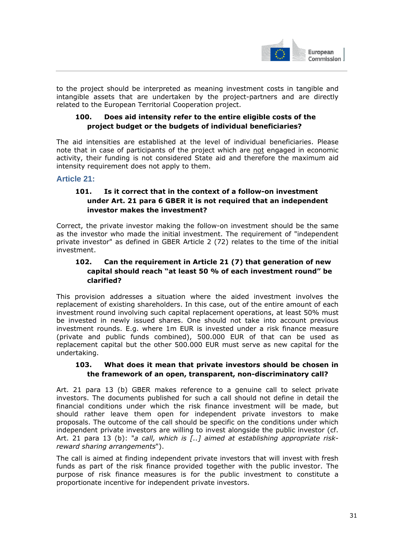

to the project should be interpreted as meaning investment costs in tangible and intangible assets that are undertaken by the project-partners and are directly related to the European Territorial Cooperation project.

## **100. Does aid intensity refer to the entire eligible costs of the project budget or the budgets of individual beneficiaries?**

The aid intensities are established at the level of individual beneficiaries. Please note that in case of participants of the project which are not engaged in economic activity, their funding is not considered State aid and therefore the maximum aid intensity requirement does not apply to them.

# **Article 21:**

# **101. Is it correct that in the context of a follow-on investment under Art. 21 para 6 GBER it is not required that an independent investor makes the investment?**

Correct, the private investor making the follow-on investment should be the same as the investor who made the initial investment. The requirement of "independent private investor" as defined in GBER Article 2 (72) relates to the time of the initial investment.

# **102. Can the requirement in Article 21 (7) that generation of new capital should reach "at least 50 % of each investment round" be clarified?**

This provision addresses a situation where the aided investment involves the replacement of existing shareholders. In this case, out of the entire amount of each investment round involving such capital replacement operations, at least 50% must be invested in newly issued shares. One should not take into account previous investment rounds. E.g. where 1m EUR is invested under a risk finance measure (private and public funds combined), 500.000 EUR of that can be used as replacement capital but the other 500.000 EUR must serve as new capital for the undertaking.

## **103. What does it mean that private investors should be chosen in the framework of an open, transparent, non-discriminatory call?**

Art. 21 para 13 (b) GBER makes reference to a genuine call to select private investors. The documents published for such a call should not define in detail the financial conditions under which the risk finance investment will be made, but should rather leave them open for independent private investors to make proposals. The outcome of the call should be specific on the conditions under which independent private investors are willing to invest alongside the public investor (cf. Art. 21 para 13 (b): "*a call, which is [..] aimed at establishing appropriate riskreward sharing arrangements*").

The call is aimed at finding independent private investors that will invest with fresh funds as part of the risk finance provided together with the public investor. The purpose of risk finance measures is for the public investment to constitute a proportionate incentive for independent private investors.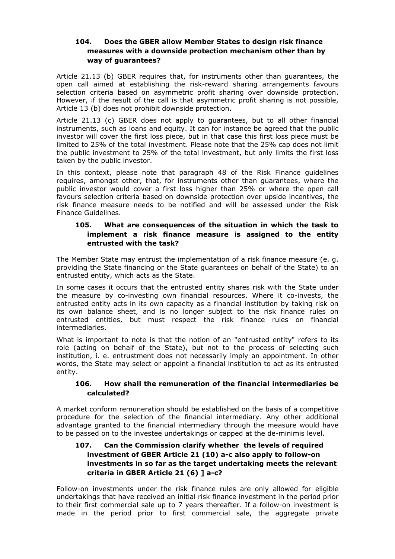## **104. Does the GBER allow Member States to design risk finance measures with a downside protection mechanism other than by way of guarantees?**

Article 21.13 (b) GBER requires that, for instruments other than guarantees, the open call aimed at establishing the risk-reward sharing arrangements favours selection criteria based on asymmetric profit sharing over downside protection. However, if the result of the call is that asymmetric profit sharing is not possible, Article 13 (b) does not prohibit downside protection.

Article 21.13 (c) GBER does not apply to guarantees, but to all other financial instruments, such as loans and equity. It can for instance be agreed that the public investor will cover the first loss piece, but in that case this first loss piece must be limited to 25% of the total investment. Please note that the 25% cap does not limit the public investment to 25% of the total investment, but only limits the first loss taken by the public investor.

In this context, please note that paragraph 48 of the Risk Finance guidelines requires, amongst other, that, for instruments other than guarantees, where the public investor would cover a first loss higher than 25% or where the open call favours selection criteria based on downside protection over upside incentives, the risk finance measure needs to be notified and will be assessed under the Risk Finance Guidelines.

## **105. What are consequences of the situation in which the task to implement a risk finance measure is assigned to the entity entrusted with the task?**

The Member State may entrust the implementation of a risk finance measure (e. g. providing the State financing or the State guarantees on behalf of the State) to an entrusted entity, which acts as the State.

In some cases it occurs that the entrusted entity shares risk with the State under the measure by co-investing own financial resources. Where it co-invests, the entrusted entity acts in its own capacity as a financial institution by taking risk on its own balance sheet, and is no longer subject to the risk finance rules on entrusted entities, but must respect the risk finance rules on financial intermediaries.

What is important to note is that the notion of an "entrusted entity" refers to its role (acting on behalf of the State), but not to the process of selecting such institution, i. e. entrustment does not necessarily imply an appointment. In other words, the State may select or appoint a financial institution to act as its entrusted entity.

## **106. How shall the remuneration of the financial intermediaries be calculated?**

A market conform remuneration should be established on the basis of a competitive procedure for the selection of the financial intermediary. Any other additional advantage granted to the financial intermediary through the measure would have to be passed on to the investee undertakings or capped at the de-minimis level.

# **107. Can the Commission clarify whether the levels of required investment of GBER Article 21 (10) a-c also apply to follow-on investments in so far as the target undertaking meets the relevant criteria in GBER Article 21 (6) ] a-c?**

Follow-on investments under the risk finance rules are only allowed for eligible undertakings that have received an initial risk finance investment in the period prior to their first commercial sale up to 7 years thereafter. If a follow-on investment is made in the period prior to first commercial sale, the aggregate private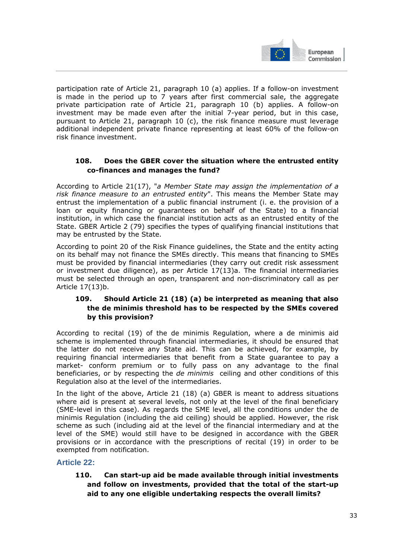

participation rate of Article 21, paragraph 10 (a) applies. If a follow-on investment is made in the period up to 7 years after first commercial sale, the aggregate private participation rate of Article 21, paragraph 10 (b) applies. A follow-on investment may be made even after the initial 7-year period, but in this case, pursuant to Article 21, paragraph 10 (c), the risk finance measure must leverage additional independent private finance representing at least 60% of the follow-on risk finance investment.

## **108. Does the GBER cover the situation where the entrusted entity co-finances and manages the fund?**

According to Article 21(17), "*a Member State may assign the implementation of a risk finance measure to an entrusted entity*". This means the Member State may entrust the implementation of a public financial instrument (i. e. the provision of a loan or equity financing or guarantees on behalf of the State) to a financial institution, in which case the financial institution acts as an entrusted entity of the State. GBER Article 2 (79) specifies the types of qualifying financial institutions that may be entrusted by the State.

According to point 20 of the Risk Finance guidelines, the State and the entity acting on its behalf may not finance the SMEs directly. This means that financing to SMEs must be provided by financial intermediaries (they carry out credit risk assessment or investment due diligence), as per Article 17(13)a. The financial intermediaries must be selected through an open, transparent and non-discriminatory call as per Article 17(13)b.

# **109. Should Article 21 (18) (a) be interpreted as meaning that also the de minimis threshold has to be respected by the SMEs covered by this provision?**

According to recital (19) of the de minimis Regulation, where a de minimis aid scheme is implemented through financial intermediaries, it should be ensured that the latter do not receive any State aid. This can be achieved, for example, by requiring financial intermediaries that benefit from a State guarantee to pay a market- conform premium or to fully pass on any advantage to the final beneficiaries, or by respecting the *de minimis* ceiling and other conditions of this Regulation also at the level of the intermediaries.

In the light of the above, Article 21 (18) (a) GBER is meant to address situations where aid is present at several levels, not only at the level of the final beneficiary (SME-level in this case). As regards the SME level, all the conditions under the de minimis Regulation (including the aid ceiling) should be applied. However, the risk scheme as such (including aid at the level of the financial intermediary and at the level of the SME) would still have to be designed in accordance with the GBER provisions or in accordance with the prescriptions of recital (19) in order to be exempted from notification.

# **Article 22:**

## **110. Can start-up aid be made available through initial investments and follow on investments, provided that the total of the start-up aid to any one eligible undertaking respects the overall limits?**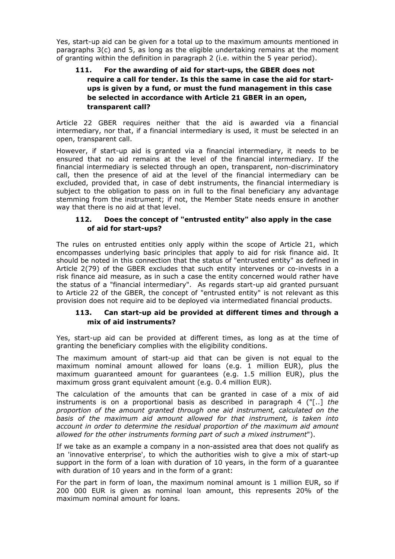Yes, start-up aid can be given for a total up to the maximum amounts mentioned in paragraphs 3(c) and 5, as long as the eligible undertaking remains at the moment of granting within the definition in paragraph 2 (i.e. within the 5 year period).

# **111. For the awarding of aid for start-ups, the GBER does not require a call for tender. Is this the same in case the aid for startups is given by a fund, or must the fund management in this case be selected in accordance with Article 21 GBER in an open, transparent call?**

Article 22 GBER requires neither that the aid is awarded via a financial intermediary, nor that, if a financial intermediary is used, it must be selected in an open, transparent call.

However, if start-up aid is granted via a financial intermediary, it needs to be ensured that no aid remains at the level of the financial intermediary. If the financial intermediary is selected through an open, transparent, non-discriminatory call, then the presence of aid at the level of the financial intermediary can be excluded, provided that, in case of debt instruments, the financial intermediary is subject to the obligation to pass on in full to the final beneficiary any advantage stemming from the instrument; if not, the Member State needs ensure in another way that there is no aid at that level.

## **112. Does the concept of "entrusted entity" also apply in the case of aid for start-ups?**

The rules on entrusted entities only apply within the scope of Article 21, which encompasses underlying basic principles that apply to aid for risk finance aid. It should be noted in this connection that the status of "entrusted entity" as defined in Article 2(79) of the GBER excludes that such entity intervenes or co-invests in a risk finance aid measure, as in such a case the entity concerned would rather have the status of a "financial intermediary". As regards start-up aid granted pursuant to Article 22 of the GBER, the concept of "entrusted entity" is not relevant as this provision does not require aid to be deployed via intermediated financial products.

#### **113. Can start-up aid be provided at different times and through a mix of aid instruments?**

Yes, start-up aid can be provided at different times, as long as at the time of granting the beneficiary complies with the eligibility conditions.

The maximum amount of start-up aid that can be given is not equal to the maximum nominal amount allowed for loans (e.g. 1 million EUR), plus the maximum guaranteed amount for guarantees (e.g. 1.5 million EUR), plus the maximum gross grant equivalent amount (e.g. 0.4 million EUR)*.* 

The calculation of the amounts that can be granted in case of a mix of aid instruments is on a proportional basis as described in paragraph 4 ("[..] *the proportion of the amount granted through one aid instrument, calculated on the basis of the maximum aid amount allowed for that instrument, is taken into account in order to determine the residual proportion of the maximum aid amount allowed for the other instruments forming part of such a mixed instrument*").

If we take as an example a company in a non-assisted area that does not qualify as an 'innovative enterprise', to which the authorities wish to give a mix of start-up support in the form of a loan with duration of 10 years, in the form of a guarantee with duration of 10 years and in the form of a grant:

For the part in form of loan, the maximum nominal amount is 1 million EUR, so if 200 000 EUR is given as nominal loan amount, this represents 20% of the maximum nominal amount for loans.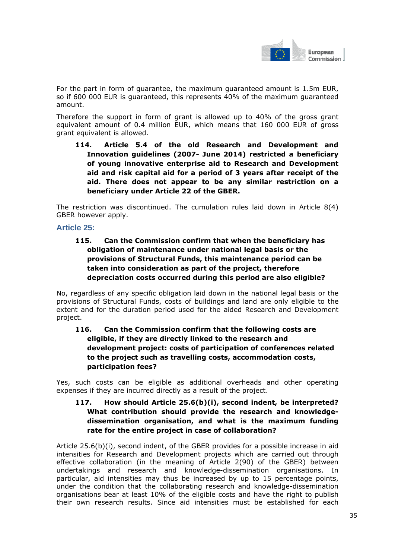

For the part in form of guarantee, the maximum guaranteed amount is 1.5m EUR, so if 600 000 EUR is guaranteed, this represents 40% of the maximum guaranteed amount.

Therefore the support in form of grant is allowed up to 40% of the gross grant equivalent amount of 0.4 million EUR, which means that 160 000 EUR of gross grant equivalent is allowed.

**114. Article 5.4 of the old Research and Development and Innovation guidelines (2007- June 2014) restricted a beneficiary of young innovative enterprise aid to Research and Development aid and risk capital aid for a period of 3 years after receipt of the aid. There does not appear to be any similar restriction on a beneficiary under Article 22 of the GBER.** 

The restriction was discontinued. The cumulation rules laid down in Article 8(4) GBER however apply.

## **Article 25:**

**115. Can the Commission confirm that when the beneficiary has obligation of maintenance under national legal basis or the provisions of Structural Funds, this maintenance period can be taken into consideration as part of the project, therefore depreciation costs occurred during this period are also eligible?** 

No, regardless of any specific obligation laid down in the national legal basis or the provisions of Structural Funds, costs of buildings and land are only eligible to the extent and for the duration period used for the aided Research and Development project.

# **116. Can the Commission confirm that the following costs are eligible, if they are directly linked to the research and development project: costs of participation of conferences related to the project such as travelling costs, accommodation costs, participation fees?**

Yes, such costs can be eligible as additional overheads and other operating expenses if they are incurred directly as a result of the project.

## **117. How should Article 25.6(b)(i), second indent, be interpreted? What contribution should provide the research and knowledgedissemination organisation, and what is the maximum funding rate for the entire project in case of collaboration?**

Article 25.6(b)(i), second indent, of the GBER provides for a possible increase in aid intensities for Research and Development projects which are carried out through effective collaboration (in the meaning of Article 2(90) of the GBER) between undertakings and research and knowledge-dissemination organisations. In particular, aid intensities may thus be increased by up to 15 percentage points, under the condition that the collaborating research and knowledge-dissemination organisations bear at least 10% of the eligible costs and have the right to publish their own research results. Since aid intensities must be established for each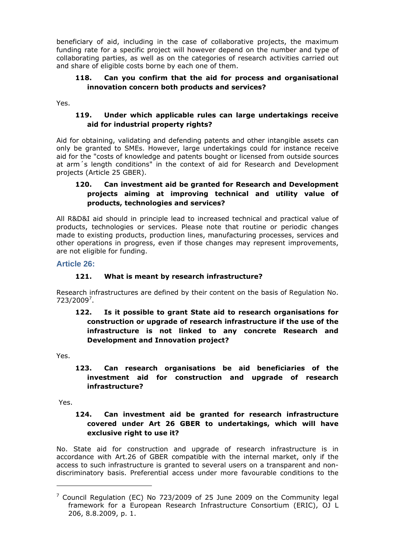beneficiary of aid, including in the case of collaborative projects, the maximum funding rate for a specific project will however depend on the number and type of collaborating parties, as well as on the categories of research activities carried out and share of eligible costs borne by each one of them.

## **118. Can you confirm that the aid for process and organisational innovation concern both products and services?**

Yes.

## **119. Under which applicable rules can large undertakings receive aid for industrial property rights?**

Aid for obtaining, validating and defending patents and other intangible assets can only be granted to SMEs. However, large undertakings could for instance receive aid for the "costs of knowledge and patents bought or licensed from outside sources at arm´s length conditions" in the context of aid for Research and Development projects (Article 25 GBER).

## **120. Can investment aid be granted for Research and Development projects aiming at improving technical and utility value of products, technologies and services?**

All R&D&I aid should in principle lead to increased technical and practical value of products, technologies or services. Please note that routine or periodic changes made to existing products, production lines, manufacturing processes, services and other operations in progress, even if those changes may represent improvements, are not eligible for funding.

## **Article 26:**

## **121. What is meant by research infrastructure?**

Research infrastructures are defined by their content on the basis of Regulation No. 723/2009<sup>7</sup>.

# **122. Is it possible to grant State aid to research organisations for construction or upgrade of research infrastructure if the use of the infrastructure is not linked to any concrete Research and Development and Innovation project?**

Yes.

**123. Can research organisations be aid beneficiaries of the investment aid for construction and upgrade of research infrastructure?** 

Yes.

-

## **124. Can investment aid be granted for research infrastructure covered under Art 26 GBER to undertakings, which will have exclusive right to use it?**

No. State aid for construction and upgrade of research infrastructure is in accordance with Art.26 of GBER compatible with the internal market, only if the access to such infrastructure is granted to several users on a transparent and nondiscriminatory basis. Preferential access under more favourable conditions to the

 $7$  Council Regulation (EC) No 723/2009 of 25 June 2009 on the Community legal framework for a European Research Infrastructure Consortium (ERIC), OJ L 206, 8.8.2009, p. 1.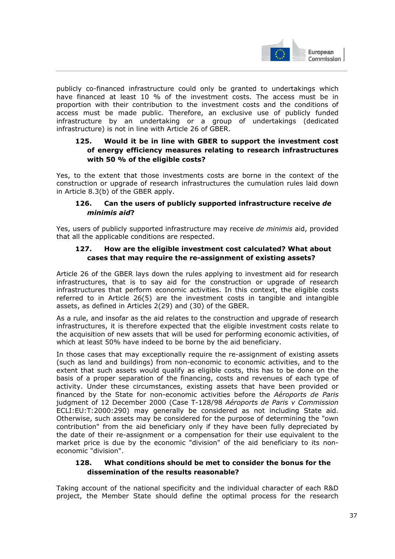

publicly co-financed infrastructure could only be granted to undertakings which have financed at least 10 % of the investment costs. The access must be in proportion with their contribution to the investment costs and the conditions of access must be made public. Therefore, an exclusive use of publicly funded infrastructure by an undertaking or a group of undertakings (dedicated infrastructure) is not in line with Article 26 of GBER.

## **125. Would it be in line with GBER to support the investment cost of energy efficiency measures relating to research infrastructures with 50 % of the eligible costs?**

Yes, to the extent that those investments costs are borne in the context of the construction or upgrade of research infrastructures the cumulation rules laid down in Article 8.3(b) of the GBER apply.

### **126. Can the users of publicly supported infrastructure receive** *de minimis aid***?**

Yes, users of publicly supported infrastructure may receive *de minimis* aid, provided that all the applicable conditions are respected.

#### **127. How are the eligible investment cost calculated? What about cases that may require the re-assignment of existing assets?**

Article 26 of the GBER lays down the rules applying to investment aid for research infrastructures, that is to say aid for the construction or upgrade of research infrastructures that perform economic activities. In this context, the eligible costs referred to in Article 26(5) are the investment costs in tangible and intangible assets, as defined in Articles 2(29) and (30) of the GBER.

As a rule, and insofar as the aid relates to the construction and upgrade of research infrastructures, it is therefore expected that the eligible investment costs relate to the acquisition of new assets that will be used for performing economic activities, of which at least 50% have indeed to be borne by the aid beneficiary.

In those cases that may exceptionally require the re-assignment of existing assets (such as land and buildings) from non-economic to economic activities, and to the extent that such assets would qualify as eligible costs, this has to be done on the basis of a proper separation of the financing, costs and revenues of each type of activity. Under these circumstances, existing assets that have been provided or financed by the State for non-economic activities before the *Aéroports de Paris*  judgment of 12 December 2000 (Case T-128/98 *Aéroports de Paris v Commission* ECLI:EU:T:2000:290) may generally be considered as not including State aid. Otherwise, such assets may be considered for the purpose of determining the "own contribution" from the aid beneficiary only if they have been fully depreciated by the date of their re-assignment or a compensation for their use equivalent to the market price is due by the economic "division" of the aid beneficiary to its noneconomic "division".

#### **128. What conditions should be met to consider the bonus for the dissemination of the results reasonable?**

Taking account of the national specificity and the individual character of each R&D project, the Member State should define the optimal process for the research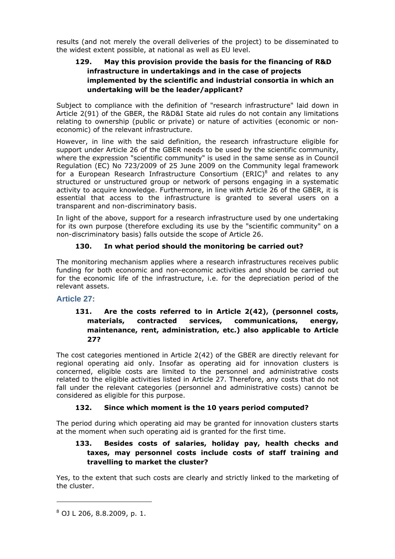results (and not merely the overall deliveries of the project) to be disseminated to the widest extent possible, at national as well as EU level.

# **129. May this provision provide the basis for the financing of R&D infrastructure in undertakings and in the case of projects implemented by the scientific and industrial consortia in which an undertaking will be the leader/applicant?**

Subject to compliance with the definition of "research infrastructure" laid down in Article 2(91) of the GBER, the R&D&I State aid rules do not contain any limitations relating to ownership (public or private) or nature of activities (economic or noneconomic) of the relevant infrastructure.

However, in line with the said definition, the research infrastructure eligible for support under Article 26 of the GBER needs to be used by the scientific community, where the expression "scientific community" is used in the same sense as in Council Regulation (EC) No 723/2009 of 25 June 2009 on the Community legal framework for a European Research Infrastructure Consortium (ERIC) $8$  and relates to any structured or unstructured group or network of persons engaging in a systematic activity to acquire knowledge. Furthermore, in line with Article 26 of the GBER, it is essential that access to the infrastructure is granted to several users on a transparent and non-discriminatory basis.

In light of the above, support for a research infrastructure used by one undertaking for its own purpose (therefore excluding its use by the "scientific community" on a non-discriminatory basis) falls outside the scope of Article 26.

# **130. In what period should the monitoring be carried out?**

The monitoring mechanism applies where a research infrastructures receives public funding for both economic and non-economic activities and should be carried out for the economic life of the infrastructure, i.e. for the depreciation period of the relevant assets.

# **Article 27:**

## **131. Are the costs referred to in Article 2(42), (personnel costs, materials, contracted services, communications, energy, maintenance, rent, administration, etc.) also applicable to Article 27?**

The cost categories mentioned in Article 2(42) of the GBER are directly relevant for regional operating aid only. Insofar as operating aid for innovation clusters is concerned, eligible costs are limited to the personnel and administrative costs related to the eligible activities listed in Article 27. Therefore, any costs that do not fall under the relevant categories (personnel and administrative costs) cannot be considered as eligible for this purpose.

### **132. Since which moment is the 10 years period computed?**

The period during which operating aid may be granted for innovation clusters starts at the moment when such operating aid is granted for the first time.

# **133. Besides costs of salaries, holiday pay, health checks and taxes, may personnel costs include costs of staff training and travelling to market the cluster?**

Yes, to the extent that such costs are clearly and strictly linked to the marketing of the cluster.

-

<sup>8</sup> OJ L 206, 8.8.2009, p. 1.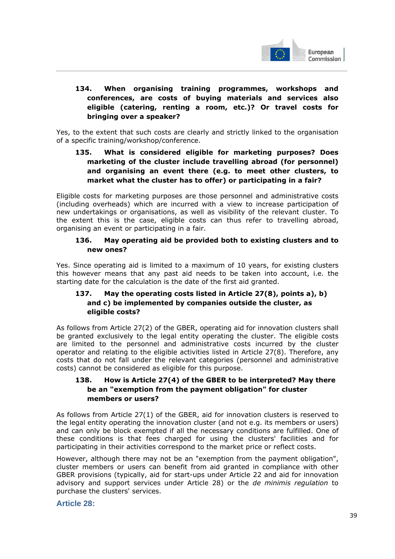

# **134. When organising training programmes, workshops and conferences, are costs of buying materials and services also eligible (catering, renting a room, etc.)? Or travel costs for bringing over a speaker?**

Yes, to the extent that such costs are clearly and strictly linked to the organisation of a specific training/workshop/conference.

## **135. What is considered eligible for marketing purposes? Does marketing of the cluster include travelling abroad (for personnel) and organising an event there (e.g. to meet other clusters, to market what the cluster has to offer) or participating in a fair?**

Eligible costs for marketing purposes are those personnel and administrative costs (including overheads) which are incurred with a view to increase participation of new undertakings or organisations, as well as visibility of the relevant cluster. To the extent this is the case, eligible costs can thus refer to travelling abroad, organising an event or participating in a fair.

#### **136. May operating aid be provided both to existing clusters and to new ones?**

Yes. Since operating aid is limited to a maximum of 10 years, for existing clusters this however means that any past aid needs to be taken into account, i.e. the starting date for the calculation is the date of the first aid granted.

### **137. May the operating costs listed in Article 27(8), points a), b) and c) be implemented by companies outside the cluster, as eligible costs?**

As follows from Article 27(2) of the GBER, operating aid for innovation clusters shall be granted exclusively to the legal entity operating the cluster. The eligible costs are limited to the personnel and administrative costs incurred by the cluster operator and relating to the eligible activities listed in Article 27(8). Therefore, any costs that do not fall under the relevant categories (personnel and administrative costs) cannot be considered as eligible for this purpose.

# **138. How is Article 27(4) of the GBER to be interpreted? May there be an "exemption from the payment obligation" for cluster members or users?**

As follows from Article 27(1) of the GBER, aid for innovation clusters is reserved to the legal entity operating the innovation cluster (and not e.g. its members or users) and can only be block exempted if all the necessary conditions are fulfilled. One of these conditions is that fees charged for using the clusters' facilities and for participating in their activities correspond to the market price or reflect costs.

However, although there may not be an "exemption from the payment obligation", cluster members or users can benefit from aid granted in compliance with other GBER provisions (typically, aid for start-ups under Article 22 and aid for innovation advisory and support services under Article 28) or the *de minimis regulation* to purchase the clusters' services.

### **Article 28:**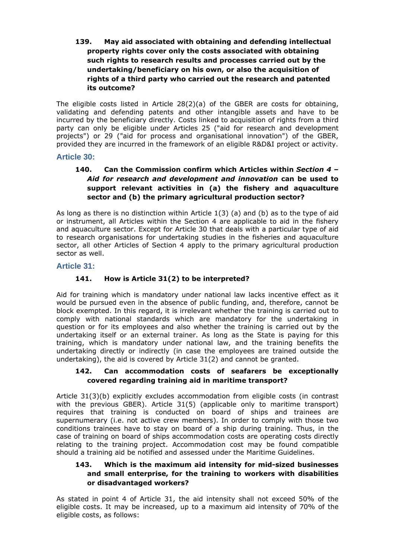## **139. May aid associated with obtaining and defending intellectual property rights cover only the costs associated with obtaining such rights to research results and processes carried out by the undertaking/beneficiary on his own, or also the acquisition of rights of a third party who carried out the research and patented its outcome?**

The eligible costs listed in Article 28(2)(a) of the GBER are costs for obtaining, validating and defending patents and other intangible assets and have to be incurred by the beneficiary directly. Costs linked to acquisition of rights from a third party can only be eligible under Articles 25 ("aid for research and development projects") or 29 ("aid for process and organisational innovation") of the GBER, provided they are incurred in the framework of an eligible R&D&I project or activity.

### **Article 30:**

# **140. Can the Commission confirm which Articles within** *Section 4 – Aid for research and development and innovation* **can be used to support relevant activities in (a) the fishery and aquaculture sector and (b) the primary agricultural production sector?**

As long as there is no distinction within Article  $1(3)$  (a) and (b) as to the type of aid or instrument, all Articles within the Section 4 are applicable to aid in the fishery and aquaculture sector. Except for Article 30 that deals with a particular type of aid to research organisations for undertaking studies in the fisheries and aquaculture sector, all other Articles of Section 4 apply to the primary agricultural production sector as well.

### **Article 31:**

# **141. How is Article 31(2) to be interpreted?**

Aid for training which is mandatory under national law lacks incentive effect as it would be pursued even in the absence of public funding, and, therefore, cannot be block exempted. In this regard, it is irrelevant whether the training is carried out to comply with national standards which are mandatory for the undertaking in question or for its employees and also whether the training is carried out by the undertaking itself or an external trainer. As long as the State is paying for this training, which is mandatory under national law, and the training benefits the undertaking directly or indirectly (in case the employees are trained outside the undertaking), the aid is covered by Article 31(2) and cannot be granted.

#### **142. Can accommodation costs of seafarers be exceptionally covered regarding training aid in maritime transport?**

Article 31(3)(b) explicitly excludes accommodation from eligible costs (in contrast with the previous GBER). Article 31(5) (applicable only to maritime transport) requires that training is conducted on board of ships and trainees are supernumerary (i.e. not active crew members). In order to comply with those two conditions trainees have to stay on board of a ship during training. Thus, in the case of training on board of ships accommodation costs are operating costs directly relating to the training project. Accommodation cost may be found compatible should a training aid be notified and assessed under the Maritime Guidelines.

### **143. Which is the maximum aid intensity for mid-sized businesses and small enterprise, for the training to workers with disabilities or disadvantaged workers?**

As stated in point 4 of Article 31, the aid intensity shall not exceed 50% of the eligible costs. It may be increased, up to a maximum aid intensity of 70% of the eligible costs, as follows: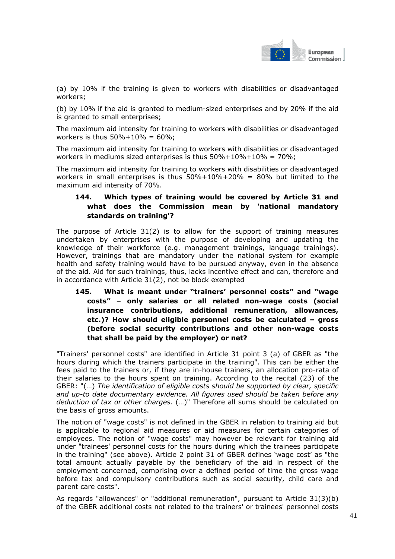

(a) by 10% if the training is given to workers with disabilities or disadvantaged workers;

(b) by 10% if the aid is granted to medium-sized enterprises and by 20% if the aid is granted to small enterprises;

The maximum aid intensity for training to workers with disabilities or disadvantaged workers is thus  $50\% + 10\% = 60\%$ ;

The maximum aid intensity for training to workers with disabilities or disadvantaged workers in mediums sized enterprises is thus  $50\% + 10\% + 10\% = 70\%$ ;

The maximum aid intensity for training to workers with disabilities or disadvantaged workers in small enterprises is thus  $50\% + 10\% + 20\% = 80\%$  but limited to the maximum aid intensity of 70%.

## **144. Which types of training would be covered by Article 31 and what does the Commission mean by 'national mandatory standards on training'?**

The purpose of Article 31(2) is to allow for the support of training measures undertaken by enterprises with the purpose of developing and updating the knowledge of their workforce (e.g. management trainings, language trainings). However, trainings that are mandatory under the national system for example health and safety training would have to be pursued anyway, even in the absence of the aid. Aid for such trainings, thus, lacks incentive effect and can, therefore and in accordance with Article 31(2), not be block exempted

**145. What is meant under "trainers' personnel costs" and "wage costs" – only salaries or all related non-wage costs (social insurance contributions, additional remuneration, allowances, etc.)? How should eligible personnel costs be calculated – gross (before social security contributions and other non-wage costs that shall be paid by the employer) or net?** 

"Trainers' personnel costs" are identified in Article 31 point 3 (a) of GBER as "the hours during which the trainers participate in the training". This can be either the fees paid to the trainers or, if they are in-house trainers, an allocation pro-rata of their salaries to the hours spent on training. According to the recital (23) of the GBER: "(…) *The identification of eligible costs should be supported by clear, specific and up-to date documentary evidence. All figures used should be taken before any deduction of tax or other charges.* (…)" Therefore all sums should be calculated on the basis of gross amounts.

The notion of "wage costs" is not defined in the GBER in relation to training aid but is applicable to regional aid measures or aid measures for certain categories of employees. The notion of "wage costs" may however be relevant for training aid under "trainees' personnel costs for the hours during which the trainees participate in the training" (see above). Article 2 point 31 of GBER defines 'wage cost' as "the total amount actually payable by the beneficiary of the aid in respect of the employment concerned, comprising over a defined period of time the gross wage before tax and compulsory contributions such as social security, child care and parent care costs".

As regards "allowances" or "additional remuneration", pursuant to Article 31(3)(b) of the GBER additional costs not related to the trainers' or trainees' personnel costs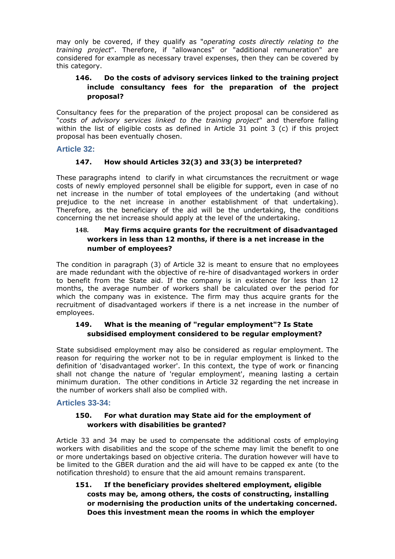may only be covered, if they qualify as "*operating costs directly relating to the training project*". Therefore, if "allowances" or "additional remuneration" are considered for example as necessary travel expenses, then they can be covered by this category.

## **146. Do the costs of advisory services linked to the training project include consultancy fees for the preparation of the project proposal?**

Consultancy fees for the preparation of the project proposal can be considered as "*costs of advisory services linked to the training project*" and therefore falling within the list of eligible costs as defined in Article 31 point 3 (c) if this project proposal has been eventually chosen.

## **Article 32:**

# **147. How should Articles 32(3) and 33(3) be interpreted?**

These paragraphs intend to clarify in what circumstances the recruitment or wage costs of newly employed personnel shall be eligible for support, even in case of no net increase in the number of total employees of the undertaking (and without prejudice to the net increase in another establishment of that undertaking). Therefore, as the beneficiary of the aid will be the undertaking, the conditions concerning the net increase should apply at the level of the undertaking.

### **148. May firms acquire grants for the recruitment of disadvantaged workers in less than 12 months, if there is a net increase in the number of employees?**

The condition in paragraph (3) of Article 32 is meant to ensure that no employees are made redundant with the objective of re-hire of disadvantaged workers in order to benefit from the State aid. If the company is in existence for less than 12 months, the average number of workers shall be calculated over the period for which the company was in existence. The firm may thus acquire grants for the recruitment of disadvantaged workers if there is a net increase in the number of employees.

## **149. What is the meaning of "regular employment"? Is State subsidised employment considered to be regular employment?**

State subsidised employment may also be considered as regular employment. The reason for requiring the worker not to be in regular employment is linked to the definition of 'disadvantaged worker'. In this context, the type of work or financing shall not change the nature of 'regular employment', meaning lasting a certain minimum duration. The other conditions in Article 32 regarding the net increase in the number of workers shall also be complied with.

### **Articles 33-34:**

### **150. For what duration may State aid for the employment of workers with disabilities be granted?**

Article 33 and 34 may be used to compensate the additional costs of employing workers with disabilities and the scope of the scheme may limit the benefit to one or more undertakings based on objective criteria. The duration however will have to be limited to the GBER duration and the aid will have to be capped ex ante (to the notification threshold) to ensure that the aid amount remains transparent.

**151. If the beneficiary provides sheltered employment, eligible costs may be, among others, the costs of constructing, installing or modernising the production units of the undertaking concerned. Does this investment mean the rooms in which the employer**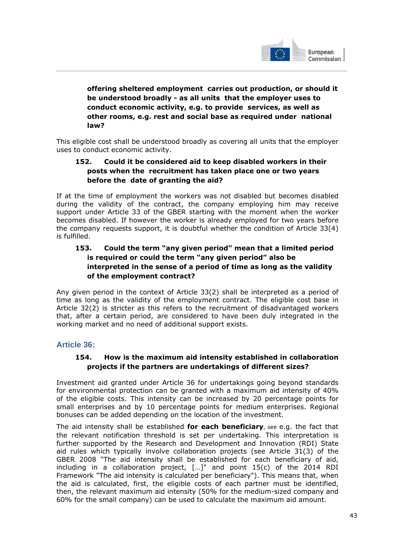

**offering sheltered employment carries out production, or should it be understood broadly - as all units that the employer uses to conduct economic activity, e.g. to provide services, as well as other rooms, e.g. rest and social base as required under national law?** 

This eligible cost shall be understood broadly as covering all units that the employer uses to conduct economic activity.

### **152. Could it be considered aid to keep disabled workers in their posts when the recruitment has taken place one or two years before the date of granting the aid?**

If at the time of employment the workers was not disabled but becomes disabled during the validity of the contract, the company employing him may receive support under Article 33 of the GBER starting with the moment when the worker becomes disabled. If however the worker is already employed for two years before the company requests support, it is doubtful whether the condition of Article 33(4) is fulfilled.

# **153. Could the term "any given period" mean that a limited period is required or could the term "any given period" also be interpreted in the sense of a period of time as long as the validity of the employment contract?**

Any given period in the context of Article 33(2) shall be interpreted as a period of time as long as the validity of the employment contract. The eligible cost base in Article 32(2) is stricter as this refers to the recruitment of disadvantaged workers that, after a certain period, are considered to have been duly integrated in the working market and no need of additional support exists.

# **Article 36:**

### **154. How is the maximum aid intensity established in collaboration projects if the partners are undertakings of different sizes?**

Investment aid granted under Article 36 for undertakings going beyond standards for environmental protection can be granted with a maximum aid intensity of 40% of the eligible costs. This intensity can be increased by 20 percentage points for small enterprises and by 10 percentage points for medium enterprises. Regional bonuses can be added depending on the location of the investment.

The aid intensity shall be established **for each beneficiary**, see e.g. the fact that the relevant notification threshold is set per undertaking. This interpretation is further supported by the Research and Development and Innovation (RDI) State aid rules which typically involve collaboration projects (see Article 31(3) of the GBER 2008 "The aid intensity shall be established for each beneficiary of aid, including in a collaboration project, […]" and point 15(c) of the 2014 RDI Framework "The aid intensity is calculated per beneficiary"). This means that, when the aid is calculated, first, the eligible costs of each partner must be identified, then, the relevant maximum aid intensity (50% for the medium-sized company and 60% for the small company) can be used to calculate the maximum aid amount.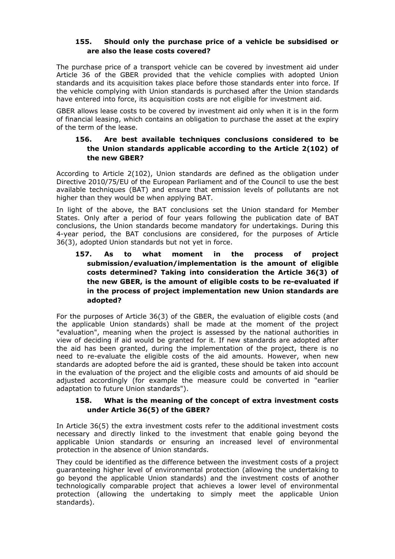#### **155. Should only the purchase price of a vehicle be subsidised or are also the lease costs covered?**

The purchase price of a transport vehicle can be covered by investment aid under Article 36 of the GBER provided that the vehicle complies with adopted Union standards and its acquisition takes place before those standards enter into force. If the vehicle complying with Union standards is purchased after the Union standards have entered into force, its acquisition costs are not eligible for investment aid.

GBER allows lease costs to be covered by investment aid only when it is in the form of financial leasing, which contains an obligation to purchase the asset at the expiry of the term of the lease.

### **156. Are best available techniques conclusions considered to be the Union standards applicable according to the Article 2(102) of the new GBER?**

According to Article 2(102), Union standards are defined as the obligation under Directive 2010/75/EU of the European Parliament and of the Council to use the best available techniques (BAT) and ensure that emission levels of pollutants are not higher than they would be when applying BAT.

In light of the above, the BAT conclusions set the Union standard for Member States. Only after a period of four years following the publication date of BAT conclusions, the Union standards become mandatory for undertakings. During this 4-year period, the BAT conclusions are considered, for the purposes of Article 36(3), adopted Union standards but not yet in force.

# **157. As to what moment in the process of project submission/evaluation/implementation is the amount of eligible costs determined? Taking into consideration the Article 36(3) of the new GBER, is the amount of eligible costs to be re-evaluated if in the process of project implementation new Union standards are adopted?**

For the purposes of Article 36(3) of the GBER, the evaluation of eligible costs (and the applicable Union standards) shall be made at the moment of the project "evaluation", meaning when the project is assessed by the national authorities in view of deciding if aid would be granted for it. If new standards are adopted after the aid has been granted, during the implementation of the project, there is no need to re-evaluate the eligible costs of the aid amounts. However, when new standards are adopted before the aid is granted, these should be taken into account in the evaluation of the project and the eligible costs and amounts of aid should be adjusted accordingly (for example the measure could be converted in "earlier adaptation to future Union standards").

#### **158. What is the meaning of the concept of extra investment costs under Article 36(5) of the GBER?**

In Article 36(5) the extra investment costs refer to the additional investment costs necessary and directly linked to the investment that enable going beyond the applicable Union standards or ensuring an increased level of environmental protection in the absence of Union standards.

They could be identified as the difference between the investment costs of a project guaranteeing higher level of environmental protection (allowing the undertaking to go beyond the applicable Union standards) and the investment costs of another technologically comparable project that achieves a lower level of environmental protection (allowing the undertaking to simply meet the applicable Union standards).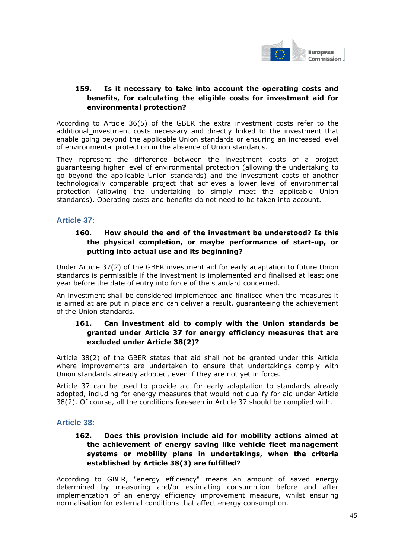

### **159. Is it necessary to take into account the operating costs and benefits, for calculating the eligible costs for investment aid for environmental protection?**

According to Article 36(5) of the GBER the extra investment costs refer to the additional investment costs necessary and directly linked to the investment that enable going beyond the applicable Union standards or ensuring an increased level of environmental protection in the absence of Union standards.

They represent the difference between the investment costs of a project guaranteeing higher level of environmental protection (allowing the undertaking to go beyond the applicable Union standards) and the investment costs of another technologically comparable project that achieves a lower level of environmental protection (allowing the undertaking to simply meet the applicable Union standards). Operating costs and benefits do not need to be taken into account.

## **Article 37:**

## **160. How should the end of the investment be understood? Is this the physical completion, or maybe performance of start-up, or putting into actual use and its beginning?**

Under Article 37(2) of the GBER investment aid for early adaptation to future Union standards is permissible if the investment is implemented and finalised at least one year before the date of entry into force of the standard concerned.

An investment shall be considered implemented and finalised when the measures it is aimed at are put in place and can deliver a result, guaranteeing the achievement of the Union standards.

## **161. Can investment aid to comply with the Union standards be granted under Article 37 for energy efficiency measures that are excluded under Article 38(2)?**

Article 38(2) of the GBER states that aid shall not be granted under this Article where improvements are undertaken to ensure that undertakings comply with Union standards already adopted, even if they are not yet in force.

Article 37 can be used to provide aid for early adaptation to standards already adopted, including for energy measures that would not qualify for aid under Article 38(2). Of course, all the conditions foreseen in Article 37 should be complied with.

### **Article 38:**

### **162. Does this provision include aid for mobility actions aimed at the achievement of energy saving like vehicle fleet management systems or mobility plans in undertakings, when the criteria established by Article 38(3) are fulfilled?**

According to GBER, "energy efficiency" means an amount of saved energy determined by measuring and/or estimating consumption before and after implementation of an energy efficiency improvement measure, whilst ensuring normalisation for external conditions that affect energy consumption.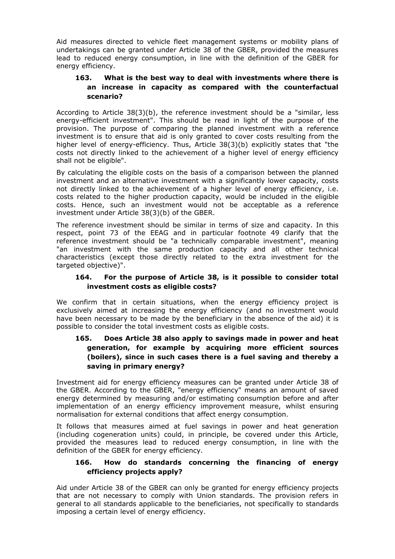Aid measures directed to vehicle fleet management systems or mobility plans of undertakings can be granted under Article 38 of the GBER, provided the measures lead to reduced energy consumption, in line with the definition of the GBER for energy efficiency.

### **163. What is the best way to deal with investments where there is an increase in capacity as compared with the counterfactual scenario?**

According to Article 38(3)(b), the reference investment should be a "similar, less energy-efficient investment". This should be read in light of the purpose of the provision. The purpose of comparing the planned investment with a reference investment is to ensure that aid is only granted to cover costs resulting from the higher level of energy-efficiency. Thus, Article 38(3)(b) explicitly states that "the costs not directly linked to the achievement of a higher level of energy efficiency shall not be eligible".

By calculating the eligible costs on the basis of a comparison between the planned investment and an alternative investment with a significantly lower capacity, costs not directly linked to the achievement of a higher level of energy efficiency, i.e. costs related to the higher production capacity, would be included in the eligible costs. Hence, such an investment would not be acceptable as a reference investment under Article 38(3)(b) of the GBER.

The reference investment should be similar in terms of size and capacity. In this respect, point 73 of the EEAG and in particular footnote 49 clarify that the reference investment should be "a technically comparable investment", meaning "an investment with the same production capacity and all other technical characteristics (except those directly related to the extra investment for the targeted objective)".

#### **164. For the purpose of Article 38, is it possible to consider total investment costs as eligible costs?**

We confirm that in certain situations, when the energy efficiency project is exclusively aimed at increasing the energy efficiency (and no investment would have been necessary to be made by the beneficiary in the absence of the aid) it is possible to consider the total investment costs as eligible costs.

## **165. Does Article 38 also apply to savings made in power and heat generation, for example by acquiring more efficient sources (boilers), since in such cases there is a fuel saving and thereby a saving in primary energy?**

Investment aid for energy efficiency measures can be granted under Article 38 of the GBER. According to the GBER, "energy efficiency" means an amount of saved energy determined by measuring and/or estimating consumption before and after implementation of an energy efficiency improvement measure, whilst ensuring normalisation for external conditions that affect energy consumption.

It follows that measures aimed at fuel savings in power and heat generation (including cogeneration units) could, in principle, be covered under this Article, provided the measures lead to reduced energy consumption, in line with the definition of the GBER for energy efficiency.

### **166. How do standards concerning the financing of energy efficiency projects apply?**

Aid under Article 38 of the GBER can only be granted for energy efficiency projects that are not necessary to comply with Union standards. The provision refers in general to all standards applicable to the beneficiaries, not specifically to standards imposing a certain level of energy efficiency.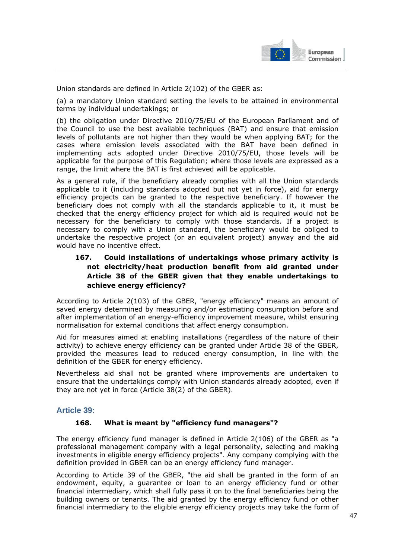

Union standards are defined in Article 2(102) of the GBER as:

(a) a mandatory Union standard setting the levels to be attained in environmental terms by individual undertakings; or

(b) the obligation under Directive 2010/75/EU of the European Parliament and of the Council to use the best available techniques (BAT) and ensure that emission levels of pollutants are not higher than they would be when applying BAT; for the cases where emission levels associated with the BAT have been defined in implementing acts adopted under Directive 2010/75/EU, those levels will be applicable for the purpose of this Regulation; where those levels are expressed as a range, the limit where the BAT is first achieved will be applicable.

As a general rule, if the beneficiary already complies with all the Union standards applicable to it (including standards adopted but not yet in force), aid for energy efficiency projects can be granted to the respective beneficiary. If however the beneficiary does not comply with all the standards applicable to it, it must be checked that the energy efficiency project for which aid is required would not be necessary for the beneficiary to comply with those standards. If a project is necessary to comply with a Union standard, the beneficiary would be obliged to undertake the respective project (or an equivalent project) anyway and the aid would have no incentive effect.

## **167. Could installations of undertakings whose primary activity is not electricity/heat production benefit from aid granted under Article 38 of the GBER given that they enable undertakings to achieve energy efficiency?**

According to Article 2(103) of the GBER, "energy efficiency" means an amount of saved energy determined by measuring and/or estimating consumption before and after implementation of an energy-efficiency improvement measure, whilst ensuring normalisation for external conditions that affect energy consumption.

Aid for measures aimed at enabling installations (regardless of the nature of their activity) to achieve energy efficiency can be granted under Article 38 of the GBER, provided the measures lead to reduced energy consumption, in line with the definition of the GBER for energy efficiency.

Nevertheless aid shall not be granted where improvements are undertaken to ensure that the undertakings comply with Union standards already adopted, even if they are not yet in force (Article 38(2) of the GBER).

### **Article 39:**

#### **168. What is meant by "efficiency fund managers"?**

The energy efficiency fund manager is defined in Article 2(106) of the GBER as "a professional management company with a legal personality, selecting and making investments in eligible energy efficiency projects". Any company complying with the definition provided in GBER can be an energy efficiency fund manager.

According to Article 39 of the GBER, "the aid shall be granted in the form of an endowment, equity, a guarantee or loan to an energy efficiency fund or other financial intermediary, which shall fully pass it on to the final beneficiaries being the building owners or tenants. The aid granted by the energy efficiency fund or other financial intermediary to the eligible energy efficiency projects may take the form of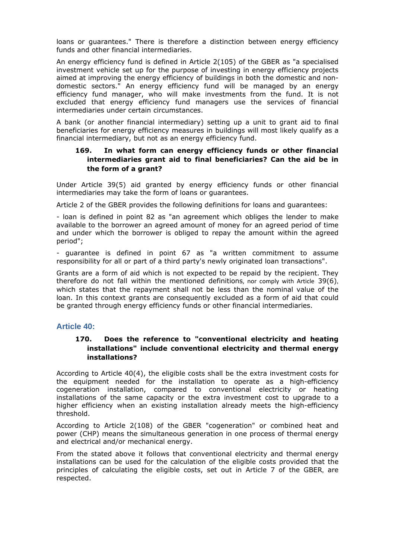loans or guarantees." There is therefore a distinction between energy efficiency funds and other financial intermediaries.

An energy efficiency fund is defined in Article 2(105) of the GBER as "a specialised investment vehicle set up for the purpose of investing in energy efficiency projects aimed at improving the energy efficiency of buildings in both the domestic and nondomestic sectors." An energy efficiency fund will be managed by an energy efficiency fund manager, who will make investments from the fund. It is not excluded that energy efficiency fund managers use the services of financial intermediaries under certain circumstances.

A bank (or another financial intermediary) setting up a unit to grant aid to final beneficiaries for energy efficiency measures in buildings will most likely qualify as a financial intermediary, but not as an energy efficiency fund.

### **169. In what form can energy efficiency funds or other financial intermediaries grant aid to final beneficiaries? Can the aid be in the form of a grant?**

Under Article 39(5) aid granted by energy efficiency funds or other financial intermediaries may take the form of loans or guarantees.

Article 2 of the GBER provides the following definitions for loans and guarantees:

- loan is defined in point 82 as "an agreement which obliges the lender to make available to the borrower an agreed amount of money for an agreed period of time and under which the borrower is obliged to repay the amount within the agreed period";

- guarantee is defined in point 67 as "a written commitment to assume responsibility for all or part of a third party's newly originated loan transactions".

Grants are a form of aid which is not expected to be repaid by the recipient. They therefore do not fall within the mentioned definitions, nor comply with Article 39(6), which states that the repayment shall not be less than the nominal value of the loan. In this context grants are consequently excluded as a form of aid that could be granted through energy efficiency funds or other financial intermediaries.

### **Article 40:**

### **170. Does the reference to "conventional electricity and heating installations" include conventional electricity and thermal energy installations?**

According to Article 40(4), the eligible costs shall be the extra investment costs for the equipment needed for the installation to operate as a high-efficiency cogeneration installation, compared to conventional electricity or heating installations of the same capacity or the extra investment cost to upgrade to a higher efficiency when an existing installation already meets the high-efficiency threshold.

According to Article 2(108) of the GBER "cogeneration" or combined heat and power (CHP) means the simultaneous generation in one process of thermal energy and electrical and/or mechanical energy.

From the stated above it follows that conventional electricity and thermal energy installations can be used for the calculation of the eligible costs provided that the principles of calculating the eligible costs, set out in Article 7 of the GBER, are respected.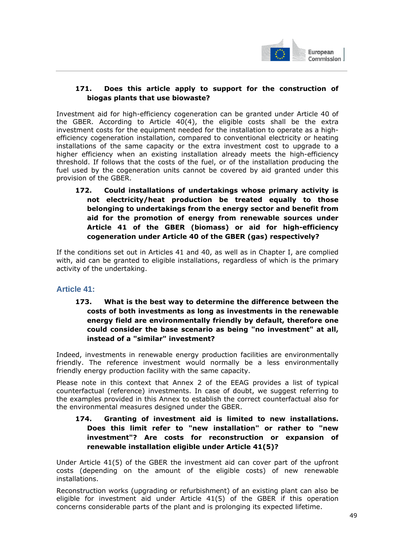

## **171. Does this article apply to support for the construction of biogas plants that use biowaste?**

Investment aid for high-efficiency cogeneration can be granted under Article 40 of the GBER. According to Article 40(4), the eligible costs shall be the extra investment costs for the equipment needed for the installation to operate as a highefficiency cogeneration installation, compared to conventional electricity or heating installations of the same capacity or the extra investment cost to upgrade to a higher efficiency when an existing installation already meets the high-efficiency threshold. If follows that the costs of the fuel, or of the installation producing the fuel used by the cogeneration units cannot be covered by aid granted under this provision of the GBER.

**172. Could installations of undertakings whose primary activity is not electricity/heat production be treated equally to those belonging to undertakings from the energy sector and benefit from aid for the promotion of energy from renewable sources under Article 41 of the GBER (biomass) or aid for high-efficiency cogeneration under Article 40 of the GBER (gas) respectively?** 

If the conditions set out in Articles 41 and 40, as well as in Chapter I, are complied with, aid can be granted to eligible installations, regardless of which is the primary activity of the undertaking.

### **Article 41:**

**173. What is the best way to determine the difference between the costs of both investments as long as investments in the renewable energy field are environmentally friendly by default, therefore one could consider the base scenario as being "no investment" at all, instead of a "similar" investment?** 

Indeed, investments in renewable energy production facilities are environmentally friendly. The reference investment would normally be a less environmentally friendly energy production facility with the same capacity.

Please note in this context that Annex 2 of the EEAG provides a list of typical counterfactual (reference) investments. In case of doubt, we suggest referring to the examples provided in this Annex to establish the correct counterfactual also for the environmental measures designed under the GBER.

### **174. Granting of investment aid is limited to new installations. Does this limit refer to "new installation" or rather to "new investment"? Are costs for reconstruction or expansion of renewable installation eligible under Article 41(5)?**

Under Article 41(5) of the GBER the investment aid can cover part of the upfront costs (depending on the amount of the eligible costs) of new renewable installations.

Reconstruction works (upgrading or refurbishment) of an existing plant can also be eligible for investment aid under Article 41(5) of the GBER if this operation concerns considerable parts of the plant and is prolonging its expected lifetime.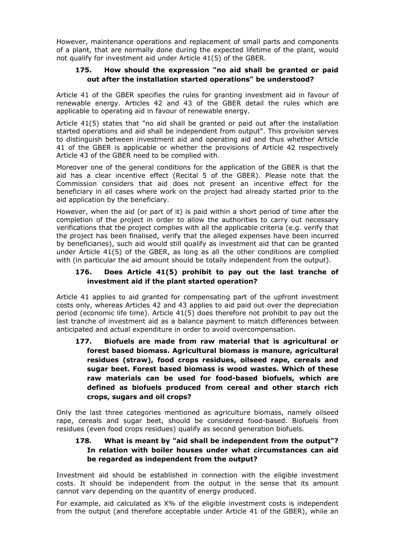However, maintenance operations and replacement of small parts and components of a plant, that are normally done during the expected lifetime of the plant, would not qualify for investment aid under Article 41(5) of the GBER.

### **175. How should the expression "no aid shall be granted or paid out after the installation started operations" be understood?**

Article 41 of the GBER specifies the rules for granting investment aid in favour of renewable energy. Articles 42 and 43 of the GBER detail the rules which are applicable to operating aid in favour of renewable energy.

Article 41(5) states that "no aid shall be granted or paid out after the installation started operations and aid shall be independent from output". This provision serves to distinguish between investment aid and operating aid and thus whether Article 41 of the GBER is applicable or whether the provisions of Article 42 respectively Article 43 of the GBER need to be complied with.

Moreover one of the general conditions for the application of the GBER is that the aid has a clear incentive effect (Recital 5 of the GBER). Please note that the Commission considers that aid does not present an incentive effect for the beneficiary in all cases where work on the project had already started prior to the aid application by the beneficiary.

However, when the aid (or part of it) is paid within a short period of time after the completion of the project in order to allow the authorities to carry out necessary verifications that the project complies with all the applicable criteria (e.g. verify that the project has been finalised, verify that the alleged expenses have been incurred by beneficiaries), such aid would still qualify as investment aid that can be granted under Article 41(5) of the GBER, as long as all the other conditions are complied with (in particular the aid amount should be totally independent from the output).

## **176. Does Article 41(5) prohibit to pay out the last tranche of investment aid if the plant started operation?**

Article 41 applies to aid granted for compensating part of the upfront investment costs only, whereas Articles 42 and 43 applies to aid paid out over the depreciation period (economic life time). Article 41(5) does therefore not prohibit to pay out the last tranche of investment aid as a balance payment to match differences between anticipated and actual expenditure in order to avoid overcompensation.

**177. Biofuels are made from raw material that is agricultural or forest based biomass. Agricultural biomass is manure, agricultural residues (straw), food crops residues, oilseed rape, cereals and sugar beet. Forest based biomass is wood wastes. Which of these raw materials can be used for food-based biofuels, which are defined as biofuels produced from cereal and other starch rich crops, sugars and oil crops?** 

Only the last three categories mentioned as agriculture biomass, namely oilseed rape, cereals and sugar beet, should be considered food-based. Biofuels from residues (even food crops residues) qualify as second generation biofuels.

## **178. What is meant by "aid shall be independent from the output"? In relation with boiler houses under what circumstances can aid be regarded as independent from the output?**

Investment aid should be established in connection with the eligible investment costs. It should be independent from the output in the sense that its amount cannot vary depending on the quantity of energy produced.

For example, aid calculated as X% of the eligible investment costs is independent from the output (and therefore acceptable under Article 41 of the GBER), while an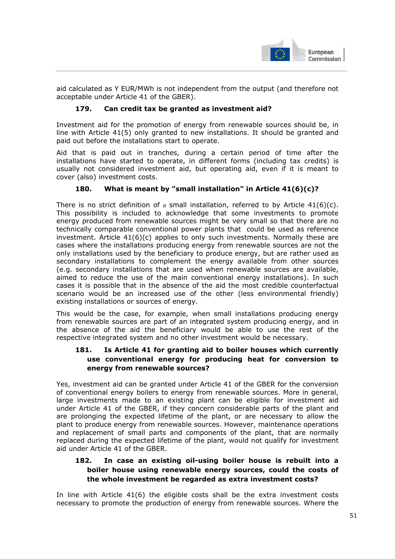

aid calculated as Y EUR/MWh is not independent from the output (and therefore not acceptable under Article 41 of the GBER).

#### **179. Can credit tax be granted as investment aid?**

Investment aid for the promotion of energy from renewable sources should be, in line with Article 41(5) only granted to new installations. It should be granted and paid out before the installations start to operate.

Aid that is paid out in tranches, during a certain period of time after the installations have started to operate, in different forms (including tax credits) is usually not considered investment aid, but operating aid, even if it is meant to cover (also) investment costs.

### **180. What is meant by "small installation" in Article 41(6)(c)?**

There is no strict definition of a small installation, referred to by Article  $41(6)(c)$ . This possibility is included to acknowledge that some investments to promote energy produced from renewable sources might be very small so that there are no technically comparable conventional power plants that could be used as reference investment. Article  $41(6)(c)$  applies to only such investments. Normally these are cases where the installations producing energy from renewable sources are not the only installations used by the beneficiary to produce energy, but are rather used as secondary installations to complement the energy available from other sources (e.g. secondary installations that are used when renewable sources are available, aimed to reduce the use of the main conventional energy installations). In such cases it is possible that in the absence of the aid the most credible counterfactual scenario would be an increased use of the other (less environmental friendly) existing installations or sources of energy.

This would be the case, for example, when small installations producing energy from renewable sources are part of an integrated system producing energy, and in the absence of the aid the beneficiary would be able to use the rest of the respective integrated system and no other investment would be necessary.

### **181. Is Article 41 for granting aid to boiler houses which currently use conventional energy for producing heat for conversion to energy from renewable sources?**

Yes, investment aid can be granted under Article 41 of the GBER for the conversion of conventional energy boilers to energy from renewable sources. More in general, large investments made to an existing plant can be eligible for investment aid under Article 41 of the GBER, if they concern considerable parts of the plant and are prolonging the expected lifetime of the plant, or are necessary to allow the plant to produce energy from renewable sources. However, maintenance operations and replacement of small parts and components of the plant, that are normally replaced during the expected lifetime of the plant, would not qualify for investment aid under Article 41 of the GBER.

### **182. In case an existing oil-using boiler house is rebuilt into a boiler house using renewable energy sources, could the costs of the whole investment be regarded as extra investment costs?**

In line with Article 41(6) the eligible costs shall be the extra investment costs necessary to promote the production of energy from renewable sources. Where the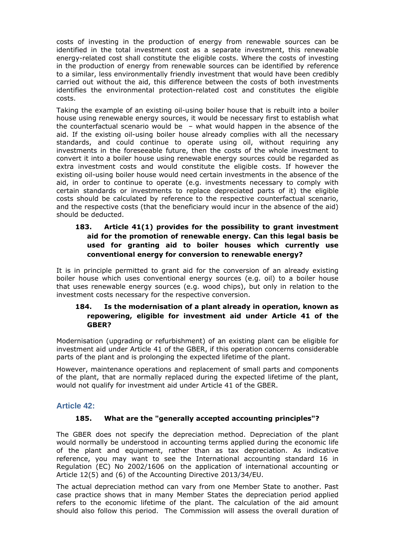costs of investing in the production of energy from renewable sources can be identified in the total investment cost as a separate investment, this renewable energy-related cost shall constitute the eligible costs. Where the costs of investing in the production of energy from renewable sources can be identified by reference to a similar, less environmentally friendly investment that would have been credibly carried out without the aid, this difference between the costs of both investments identifies the environmental protection-related cost and constitutes the eligible costs.

Taking the example of an existing oil-using boiler house that is rebuilt into a boiler house using renewable energy sources, it would be necessary first to establish what the counterfactual scenario would be – what would happen in the absence of the aid. If the existing oil-using boiler house already complies with all the necessary standards, and could continue to operate using oil, without requiring any investments in the foreseeable future, then the costs of the whole investment to convert it into a boiler house using renewable energy sources could be regarded as extra investment costs and would constitute the eligible costs. If however the existing oil-using boiler house would need certain investments in the absence of the aid, in order to continue to operate (e.g. investments necessary to comply with certain standards or investments to replace depreciated parts of it) the eligible costs should be calculated by reference to the respective counterfactual scenario, and the respective costs (that the beneficiary would incur in the absence of the aid) should be deducted.

# **183. Article 41(1) provides for the possibility to grant investment aid for the promotion of renewable energy. Can this legal basis be used for granting aid to boiler houses which currently use conventional energy for conversion to renewable energy?**

It is in principle permitted to grant aid for the conversion of an already existing boiler house which uses conventional energy sources (e.g. oil) to a boiler house that uses renewable energy sources (e.g. wood chips), but only in relation to the investment costs necessary for the respective conversion.

### **184. Is the modernisation of a plant already in operation, known as repowering, eligible for investment aid under Article 41 of the GBER?**

Modernisation (upgrading or refurbishment) of an existing plant can be eligible for investment aid under Article 41 of the GBER, if this operation concerns considerable parts of the plant and is prolonging the expected lifetime of the plant.

However, maintenance operations and replacement of small parts and components of the plant, that are normally replaced during the expected lifetime of the plant, would not qualify for investment aid under Article 41 of the GBER.

# **Article 42:**

### **185. What are the "generally accepted accounting principles"?**

The GBER does not specify the depreciation method. Depreciation of the plant would normally be understood in accounting terms applied during the economic life of the plant and equipment, rather than as tax depreciation. As indicative reference, you may want to see the International accounting standard 16 in Regulation (EC) No 2002/1606 on the application of international accounting or Article 12(5) and (6) of the Accounting Directive 2013/34/EU.

The actual depreciation method can vary from one Member State to another. Past case practice shows that in many Member States the depreciation period applied refers to the economic lifetime of the plant. The calculation of the aid amount should also follow this period. The Commission will assess the overall duration of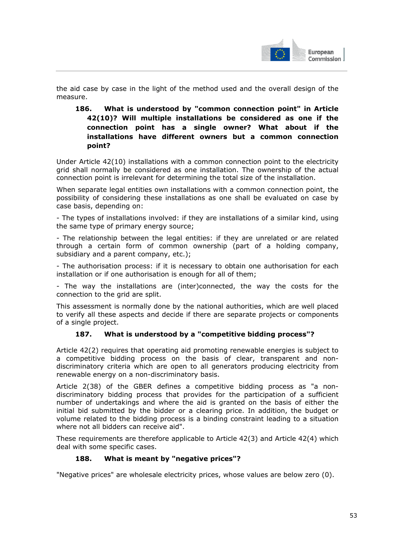

the aid case by case in the light of the method used and the overall design of the measure.

## **186. What is understood by "common connection point" in Article 42(10)? Will multiple installations be considered as one if the connection point has a single owner? What about if the installations have different owners but a common connection point?**

Under Article 42(10) installations with a common connection point to the electricity grid shall normally be considered as one installation. The ownership of the actual connection point is irrelevant for determining the total size of the installation.

When separate legal entities own installations with a common connection point, the possibility of considering these installations as one shall be evaluated on case by case basis, depending on:

- The types of installations involved: if they are installations of a similar kind, using the same type of primary energy source;

- The relationship between the legal entities: if they are unrelated or are related through a certain form of common ownership (part of a holding company, subsidiary and a parent company, etc.);

- The authorisation process: if it is necessary to obtain one authorisation for each installation or if one authorisation is enough for all of them;

- The way the installations are (inter)connected, the way the costs for the connection to the grid are split.

This assessment is normally done by the national authorities, which are well placed to verify all these aspects and decide if there are separate projects or components of a single project.

### **187. What is understood by a "competitive bidding process"?**

Article 42(2) requires that operating aid promoting renewable energies is subject to a competitive bidding process on the basis of clear, transparent and nondiscriminatory criteria which are open to all generators producing electricity from renewable energy on a non-discriminatory basis.

Article 2(38) of the GBER defines a competitive bidding process as "a nondiscriminatory bidding process that provides for the participation of a sufficient number of undertakings and where the aid is granted on the basis of either the initial bid submitted by the bidder or a clearing price. In addition, the budget or volume related to the bidding process is a binding constraint leading to a situation where not all bidders can receive aid".

These requirements are therefore applicable to Article 42(3) and Article 42(4) which deal with some specific cases.

### **188. What is meant by "negative prices"?**

"Negative prices" are wholesale electricity prices, whose values are below zero (0).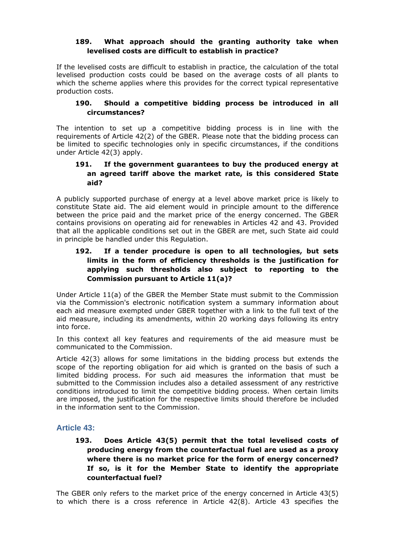#### **189. What approach should the granting authority take when levelised costs are difficult to establish in practice?**

If the levelised costs are difficult to establish in practice, the calculation of the total levelised production costs could be based on the average costs of all plants to which the scheme applies where this provides for the correct typical representative production costs.

#### **190. Should a competitive bidding process be introduced in all circumstances?**

The intention to set up a competitive bidding process is in line with the requirements of Article 42(2) of the GBER. Please note that the bidding process can be limited to specific technologies only in specific circumstances, if the conditions under Article 42(3) apply.

#### **191. If the government guarantees to buy the produced energy at an agreed tariff above the market rate, is this considered State aid?**

A publicly supported purchase of energy at a level above market price is likely to constitute State aid. The aid element would in principle amount to the difference between the price paid and the market price of the energy concerned. The GBER contains provisions on operating aid for renewables in Articles 42 and 43. Provided that all the applicable conditions set out in the GBER are met, such State aid could in principle be handled under this Regulation.

## **192. If a tender procedure is open to all technologies, but sets limits in the form of efficiency thresholds is the justification for applying such thresholds also subject to reporting to the Commission pursuant to Article 11(a)?**

Under Article 11(a) of the GBER the Member State must submit to the Commission via the Commission's electronic notification system a summary information about each aid measure exempted under GBER together with a link to the full text of the aid measure, including its amendments, within 20 working days following its entry into force.

In this context all key features and requirements of the aid measure must be communicated to the Commission.

Article 42(3) allows for some limitations in the bidding process but extends the scope of the reporting obligation for aid which is granted on the basis of such a limited bidding process. For such aid measures the information that must be submitted to the Commission includes also a detailed assessment of any restrictive conditions introduced to limit the competitive bidding process. When certain limits are imposed, the justification for the respective limits should therefore be included in the information sent to the Commission.

### **Article 43:**

**193. Does Article 43(5) permit that the total levelised costs of producing energy from the counterfactual fuel are used as a proxy where there is no market price for the form of energy concerned? If so, is it for the Member State to identify the appropriate counterfactual fuel?** 

The GBER only refers to the market price of the energy concerned in Article 43(5) to which there is a cross reference in Article 42(8). Article 43 specifies the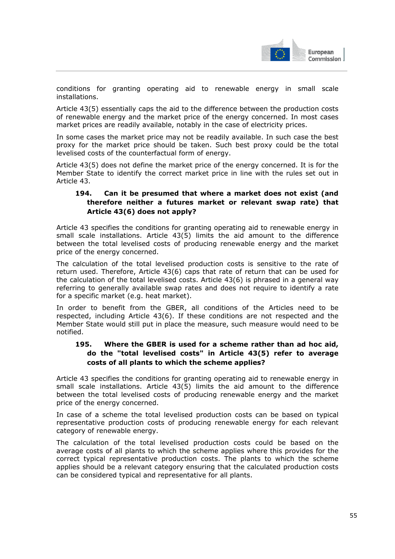

conditions for granting operating aid to renewable energy in small scale installations.

Article 43(5) essentially caps the aid to the difference between the production costs of renewable energy and the market price of the energy concerned. In most cases market prices are readily available, notably in the case of electricity prices.

In some cases the market price may not be readily available. In such case the best proxy for the market price should be taken. Such best proxy could be the total levelised costs of the counterfactual form of energy.

Article 43(5) does not define the market price of the energy concerned. It is for the Member State to identify the correct market price in line with the rules set out in Article 43.

## **194. Can it be presumed that where a market does not exist (and therefore neither a futures market or relevant swap rate) that Article 43(6) does not apply?**

Article 43 specifies the conditions for granting operating aid to renewable energy in small scale installations. Article 43(5) limits the aid amount to the difference between the total levelised costs of producing renewable energy and the market price of the energy concerned.

The calculation of the total levelised production costs is sensitive to the rate of return used. Therefore, Article 43(6) caps that rate of return that can be used for the calculation of the total levelised costs. Article 43(6) is phrased in a general way referring to generally available swap rates and does not require to identify a rate for a specific market (e.g. heat market).

In order to benefit from the GBER, all conditions of the Articles need to be respected, including Article 43(6). If these conditions are not respected and the Member State would still put in place the measure, such measure would need to be notified.

# **195. Where the GBER is used for a scheme rather than ad hoc aid, do the "total levelised costs" in Article 43(5) refer to average costs of all plants to which the scheme applies?**

Article 43 specifies the conditions for granting operating aid to renewable energy in small scale installations. Article 43(5) limits the aid amount to the difference between the total levelised costs of producing renewable energy and the market price of the energy concerned.

In case of a scheme the total levelised production costs can be based on typical representative production costs of producing renewable energy for each relevant category of renewable energy.

The calculation of the total levelised production costs could be based on the average costs of all plants to which the scheme applies where this provides for the correct typical representative production costs. The plants to which the scheme applies should be a relevant category ensuring that the calculated production costs can be considered typical and representative for all plants.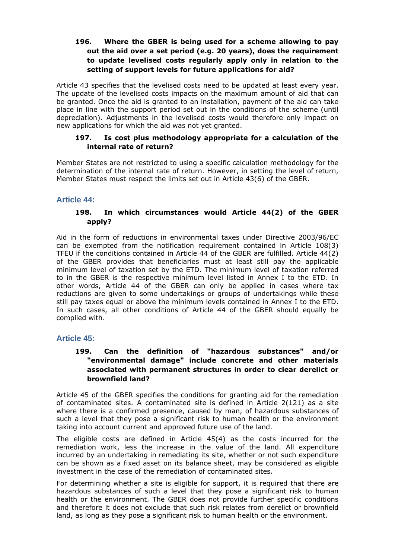### **196. Where the GBER is being used for a scheme allowing to pay out the aid over a set period (e.g. 20 years), does the requirement to update levelised costs regularly apply only in relation to the setting of support levels for future applications for aid?**

Article 43 specifies that the levelised costs need to be updated at least every year. The update of the levelised costs impacts on the maximum amount of aid that can be granted. Once the aid is granted to an installation, payment of the aid can take place in line with the support period set out in the conditions of the scheme (until depreciation). Adjustments in the levelised costs would therefore only impact on new applications for which the aid was not yet granted.

#### **197. Is cost plus methodology appropriate for a calculation of the internal rate of return?**

Member States are not restricted to using a specific calculation methodology for the determination of the internal rate of return. However, in setting the level of return, Member States must respect the limits set out in Article 43(6) of the GBER.

#### **Article 44:**

### **198. In which circumstances would Article 44(2) of the GBER apply?**

Aid in the form of reductions in environmental taxes under Directive 2003/96/EC can be exempted from the notification requirement contained in Article 108(3) TFEU if the conditions contained in Article 44 of the GBER are fulfilled. Article 44(2) of the GBER provides that beneficiaries must at least still pay the applicable minimum level of taxation set by the ETD. The minimum level of taxation referred to in the GBER is the respective minimum level listed in Annex I to the ETD. In other words, Article 44 of the GBER can only be applied in cases where tax reductions are given to some undertakings or groups of undertakings while these still pay taxes equal or above the minimum levels contained in Annex I to the ETD. In such cases, all other conditions of Article 44 of the GBER should equally be complied with.

#### **Article 45:**

### **199. Can the definition of "hazardous substances" and/or "environmental damage" include concrete and other materials associated with permanent structures in order to clear derelict or brownfield land?**

Article 45 of the GBER specifies the conditions for granting aid for the remediation of contaminated sites. A contaminated site is defined in Article 2(121) as a site where there is a confirmed presence, caused by man, of hazardous substances of such a level that they pose a significant risk to human health or the environment taking into account current and approved future use of the land.

The eligible costs are defined in Article 45(4) as the costs incurred for the remediation work, less the increase in the value of the land. All expenditure incurred by an undertaking in remediating its site, whether or not such expenditure can be shown as a fixed asset on its balance sheet, may be considered as eligible investment in the case of the remediation of contaminated sites.

For determining whether a site is eligible for support, it is required that there are hazardous substances of such a level that they pose a significant risk to human health or the environment. The GBER does not provide further specific conditions and therefore it does not exclude that such risk relates from derelict or brownfield land, as long as they pose a significant risk to human health or the environment.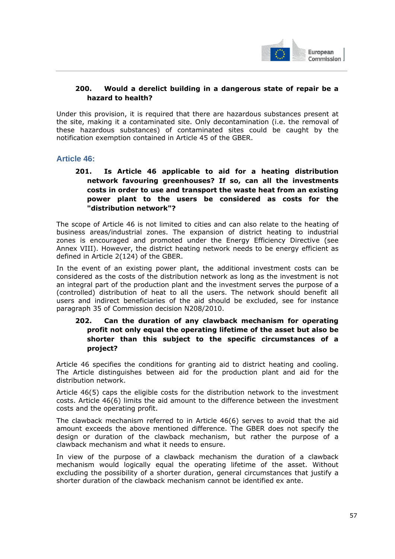

## **200. Would a derelict building in a dangerous state of repair be a hazard to health?**

Under this provision, it is required that there are hazardous substances present at the site, making it a contaminated site. Only decontamination (i.e. the removal of these hazardous substances) of contaminated sites could be caught by the notification exemption contained in Article 45 of the GBER.

### **Article 46:**

**201. Is Article 46 applicable to aid for a heating distribution network favouring greenhouses? If so, can all the investments costs in order to use and transport the waste heat from an existing power plant to the users be considered as costs for the "distribution network"?** 

The scope of Article 46 is not limited to cities and can also relate to the heating of business areas/industrial zones. The expansion of district heating to industrial zones is encouraged and promoted under the Energy Efficiency Directive (see Annex VIII). However, the district heating network needs to be energy efficient as defined in Article 2(124) of the GBER.

In the event of an existing power plant, the additional investment costs can be considered as the costs of the distribution network as long as the investment is not an integral part of the production plant and the investment serves the purpose of a (controlled) distribution of heat to all the users. The network should benefit all users and indirect beneficiaries of the aid should be excluded, see for instance paragraph 35 of Commission decision N208/2010.

### **202. Can the duration of any clawback mechanism for operating profit not only equal the operating lifetime of the asset but also be shorter than this subject to the specific circumstances of a project?**

Article 46 specifies the conditions for granting aid to district heating and cooling. The Article distinguishes between aid for the production plant and aid for the distribution network.

Article 46(5) caps the eligible costs for the distribution network to the investment costs. Article 46(6) limits the aid amount to the difference between the investment costs and the operating profit.

The clawback mechanism referred to in Article 46(6) serves to avoid that the aid amount exceeds the above mentioned difference. The GBER does not specify the design or duration of the clawback mechanism, but rather the purpose of a clawback mechanism and what it needs to ensure.

In view of the purpose of a clawback mechanism the duration of a clawback mechanism would logically equal the operating lifetime of the asset. Without excluding the possibility of a shorter duration, general circumstances that justify a shorter duration of the clawback mechanism cannot be identified ex ante.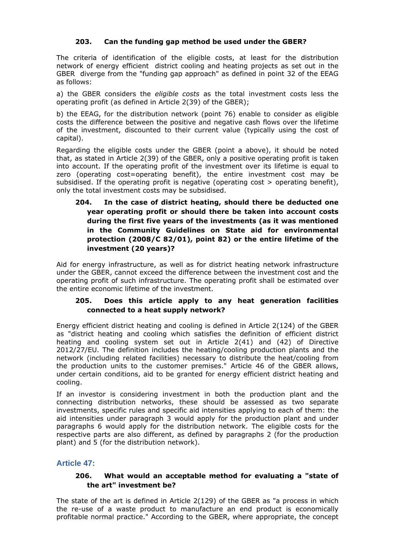#### **203. Can the funding gap method be used under the GBER?**

The criteria of identification of the eligible costs, at least for the distribution network of energy efficient district cooling and heating projects as set out in the GBER diverge from the "funding gap approach" as defined in point 32 of the EEAG as follows:

a) the GBER considers the *eligible costs* as the total investment costs less the operating profit (as defined in Article 2(39) of the GBER);

b) the EEAG, for the distribution network (point 76) enable to consider as eligible costs the difference between the positive and negative cash flows over the lifetime of the investment, discounted to their current value (typically using the cost of capital).

Regarding the eligible costs under the GBER (point a above), it should be noted that, as stated in Article 2(39) of the GBER, only a positive operating profit is taken into account. If the operating profit of the investment over its lifetime is equal to zero (operating cost=operating benefit), the entire investment cost may be subsidised. If the operating profit is negative (operating  $cost$  > operating benefit), only the total investment costs may be subsidised.

### **204. In the case of district heating, should there be deducted one year operating profit or should there be taken into account costs during the first five years of the investments (as it was mentioned in the Community Guidelines on State aid for environmental protection (2008/C 82/01), point 82) or the entire lifetime of the investment (20 years)?**

Aid for energy infrastructure, as well as for district heating network infrastructure under the GBER, cannot exceed the difference between the investment cost and the operating profit of such infrastructure. The operating profit shall be estimated over the entire economic lifetime of the investment.

### **205. Does this article apply to any heat generation facilities connected to a heat supply network?**

Energy efficient district heating and cooling is defined in Article 2(124) of the GBER as "district heating and cooling which satisfies the definition of efficient district heating and cooling system set out in Article 2(41) and (42) of Directive 2012/27/EU. The definition includes the heating/cooling production plants and the network (including related facilities) necessary to distribute the heat/cooling from the production units to the customer premises." Article 46 of the GBER allows, under certain conditions, aid to be granted for energy efficient district heating and cooling.

If an investor is considering investment in both the production plant and the connecting distribution networks, these should be assessed as two separate investments, specific rules and specific aid intensities applying to each of them: the aid intensities under paragraph 3 would apply for the production plant and under paragraphs 6 would apply for the distribution network. The eligible costs for the respective parts are also different, as defined by paragraphs 2 (for the production plant) and 5 (for the distribution network).

### **Article 47:**

### **206. What would an acceptable method for evaluating a "state of the art" investment be?**

The state of the art is defined in Article 2(129) of the GBER as "a process in which the re-use of a waste product to manufacture an end product is economically profitable normal practice." According to the GBER, where appropriate, the concept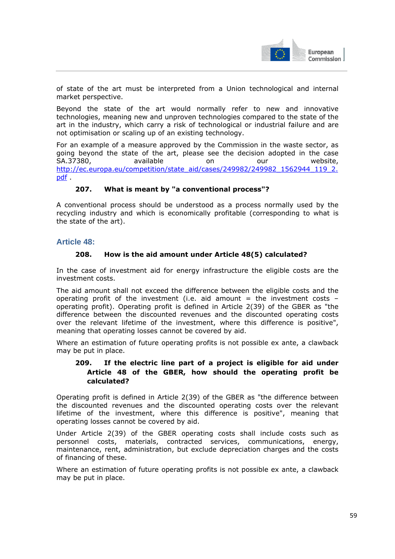

of state of the art must be interpreted from a Union technological and internal market perspective.

Beyond the state of the art would normally refer to new and innovative technologies, meaning new and unproven technologies compared to the state of the art in the industry, which carry a risk of technological or industrial failure and are not optimisation or scaling up of an existing technology.

For an example of a measure approved by the Commission in the waste sector, as going beyond the state of the art, please see the decision adopted in the case SA.37380, available on our website, [http://ec.europa.eu/competition/state\\_aid/cases/249982/249982\\_1562944\\_119\\_2.](http://ec.europa.eu/competition/state_aid/cases/249982/249982_1562944_119_2.pdf) [pdf](http://ec.europa.eu/competition/state_aid/cases/249982/249982_1562944_119_2.pdf) .

#### **207. What is meant by "a conventional process"?**

A conventional process should be understood as a process normally used by the recycling industry and which is economically profitable (corresponding to what is the state of the art).

### **Article 48:**

#### **208. How is the aid amount under Article 48(5) calculated?**

In the case of investment aid for energy infrastructure the eligible costs are the investment costs.

The aid amount shall not exceed the difference between the eligible costs and the operating profit of the investment (i.e. aid amount = the investment costs operating profit). Operating profit is defined in Article 2(39) of the GBER as "the difference between the discounted revenues and the discounted operating costs over the relevant lifetime of the investment, where this difference is positive", meaning that operating losses cannot be covered by aid.

Where an estimation of future operating profits is not possible ex ante, a clawback may be put in place.

### **209. If the electric line part of a project is eligible for aid under Article 48 of the GBER, how should the operating profit be calculated?**

Operating profit is defined in Article 2(39) of the GBER as "the difference between the discounted revenues and the discounted operating costs over the relevant lifetime of the investment, where this difference is positive", meaning that operating losses cannot be covered by aid.

Under Article 2(39) of the GBER operating costs shall include costs such as personnel costs, materials, contracted services, communications, energy, maintenance, rent, administration, but exclude depreciation charges and the costs of financing of these.

Where an estimation of future operating profits is not possible ex ante, a clawback may be put in place.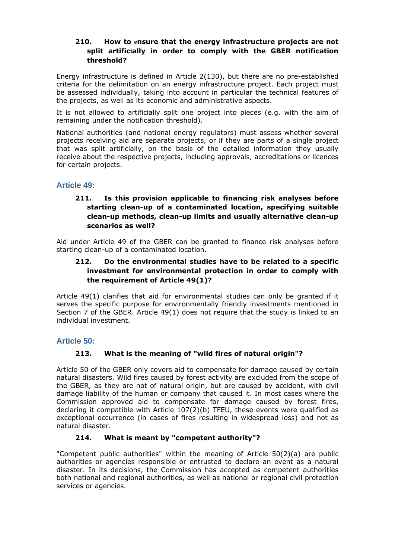### **210. How to ensure that the energy infrastructure projects are not split artificially in order to comply with the GBER notification threshold?**

Energy infrastructure is defined in Article 2(130), but there are no pre-established criteria for the delimitation on an energy infrastructure project. Each project must be assessed individually, taking into account in particular the technical features of the projects, as well as its economic and administrative aspects.

It is not allowed to artificially split one project into pieces (e.g. with the aim of remaining under the notification threshold).

National authorities (and national energy regulators) must assess whether several projects receiving aid are separate projects, or if they are parts of a single project that was split artificially, on the basis of the detailed information they usually receive about the respective projects, including approvals, accreditations or licences for certain projects.

# **Article 49:**

## **211. Is this provision applicable to financing risk analyses before starting clean-up of a contaminated location, specifying suitable clean-up methods, clean-up limits and usually alternative clean-up scenarios as well?**

Aid under Article 49 of the GBER can be granted to finance risk analyses before starting clean-up of a contaminated location.

## **212. Do the environmental studies have to be related to a specific investment for environmental protection in order to comply with the requirement of Article 49(1)?**

Article 49(1) clarifies that aid for environmental studies can only be granted if it serves the specific purpose for environmentally friendly investments mentioned in Section 7 of the GBER. Article 49(1) does not require that the study is linked to an individual investment.

### **Article 50:**

# **213. What is the meaning of "wild fires of natural origin"?**

Article 50 of the GBER only covers aid to compensate for damage caused by certain natural disasters. Wild fires caused by forest activity are excluded from the scope of the GBER, as they are not of natural origin, but are caused by accident, with civil damage liability of the human or company that caused it. In most cases where the Commission approved aid to compensate for damage caused by forest fires, declaring it compatible with Article 107(2)(b) TFEU, these events were qualified as exceptional occurrence (in cases of fires resulting in widespread loss) and not as natural disaster.

### **214. What is meant by "competent authority"?**

"Competent public authorities" within the meaning of Article 50(2)(a) are public authorities or agencies responsible or entrusted to declare an event as a natural disaster. In its decisions, the Commission has accepted as competent authorities both national and regional authorities, as well as national or regional civil protection services or agencies.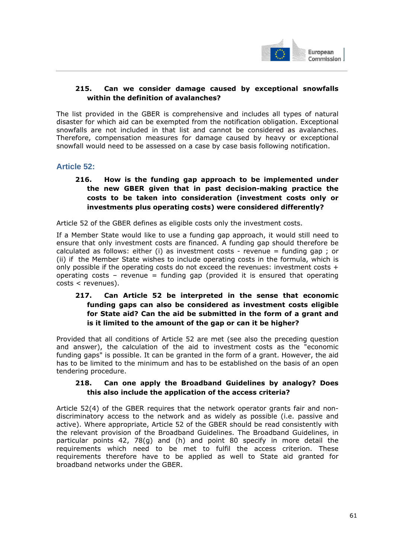

## **215. Can we consider damage caused by exceptional snowfalls within the definition of avalanches?**

The list provided in the GBER is comprehensive and includes all types of natural disaster for which aid can be exempted from the notification obligation. Exceptional snowfalls are not included in that list and cannot be considered as avalanches. Therefore, compensation measures for damage caused by heavy or exceptional snowfall would need to be assessed on a case by case basis following notification.

### **Article 52:**

## **216. How is the funding gap approach to be implemented under the new GBER given that in past decision-making practice the costs to be taken into consideration (investment costs only or investments plus operating costs) were considered differently?**

Article 52 of the GBER defines as eligible costs only the investment costs.

If a Member State would like to use a funding gap approach, it would still need to ensure that only investment costs are financed. A funding gap should therefore be calculated as follows: either (i) as investment costs - revenue = funding gap ; or (ii) if the Member State wishes to include operating costs in the formula, which is only possible if the operating costs do not exceed the revenues: investment costs + operating costs – revenue = funding gap (provided it is ensured that operating costs < revenues).

# **217. Can Article 52 be interpreted in the sense that economic funding gaps can also be considered as investment costs eligible for State aid? Can the aid be submitted in the form of a grant and is it limited to the amount of the gap or can it be higher?**

Provided that all conditions of Article 52 are met (see also the preceding question and answer), the calculation of the aid to investment costs as the "economic funding gaps" is possible. It can be granted in the form of a grant. However, the aid has to be limited to the minimum and has to be established on the basis of an open tendering procedure.

#### **218. Can one apply the Broadband Guidelines by analogy? Does this also include the application of the access criteria?**

Article 52(4) of the GBER requires that the network operator grants fair and nondiscriminatory access to the network and as widely as possible (i.e. passive and active). Where appropriate, Article 52 of the GBER should be read consistently with the relevant provision of the Broadband Guidelines. The Broadband Guidelines, in particular points 42, 78(g) and (h) and point 80 specify in more detail the requirements which need to be met to fulfil the access criterion. These requirements therefore have to be applied as well to State aid granted for broadband networks under the GBER.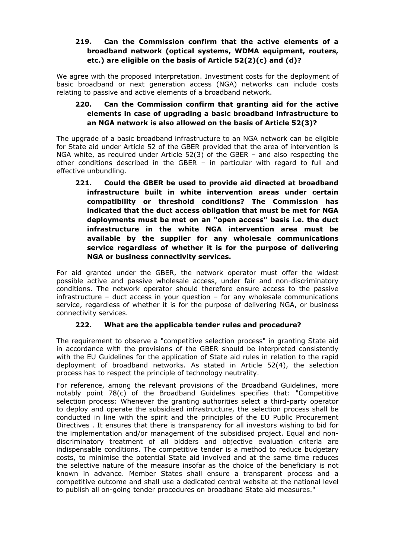## **219. Can the Commission confirm that the active elements of a broadband network (optical systems, WDMA equipment, routers, etc.) are eligible on the basis of Article 52(2)(c) and (d)?**

We agree with the proposed interpretation. Investment costs for the deployment of basic broadband or next generation access (NGA) networks can include costs relating to passive and active elements of a broadband network.

# **220. Can the Commission confirm that granting aid for the active elements in case of upgrading a basic broadband infrastructure to an NGA network is also allowed on the basis of Article 52(3)?**

The upgrade of a basic broadband infrastructure to an NGA network can be eligible for State aid under Article 52 of the GBER provided that the area of intervention is NGA white, as required under Article 52(3) of the GBER – and also respecting the other conditions described in the GBER – in particular with regard to full and effective unbundling.

**221. Could the GBER be used to provide aid directed at broadband infrastructure built in white intervention areas under certain compatibility or threshold conditions? The Commission has indicated that the duct access obligation that must be met for NGA deployments must be met on an "open access" basis i.e. the duct infrastructure in the white NGA intervention area must be available by the supplier for any wholesale communications service regardless of whether it is for the purpose of delivering NGA or business connectivity services.** 

For aid granted under the GBER, the network operator must offer the widest possible active and passive wholesale access, under fair and non-discriminatory conditions. The network operator should therefore ensure access to the passive infrastructure – duct access in your question – for any wholesale communications service, regardless of whether it is for the purpose of delivering NGA, or business connectivity services.

### **222. What are the applicable tender rules and procedure?**

The requirement to observe a "competitive selection process" in granting State aid in accordance with the provisions of the GBER should be interpreted consistently with the EU Guidelines for the application of State aid rules in relation to the rapid deployment of broadband networks. As stated in Article 52(4), the selection process has to respect the principle of technology neutrality.

For reference, among the relevant provisions of the Broadband Guidelines, more notably point 78(c) of the Broadband Guidelines specifies that: "Competitive selection process: Whenever the granting authorities select a third-party operator to deploy and operate the subsidised infrastructure, the selection process shall be conducted in line with the spirit and the principles of the EU Public Procurement Directives . It ensures that there is transparency for all investors wishing to bid for the implementation and/or management of the subsidised project. Equal and nondiscriminatory treatment of all bidders and objective evaluation criteria are indispensable conditions. The competitive tender is a method to reduce budgetary costs, to minimise the potential State aid involved and at the same time reduces the selective nature of the measure insofar as the choice of the beneficiary is not known in advance. Member States shall ensure a transparent process and a competitive outcome and shall use a dedicated central website at the national level to publish all on-going tender procedures on broadband State aid measures."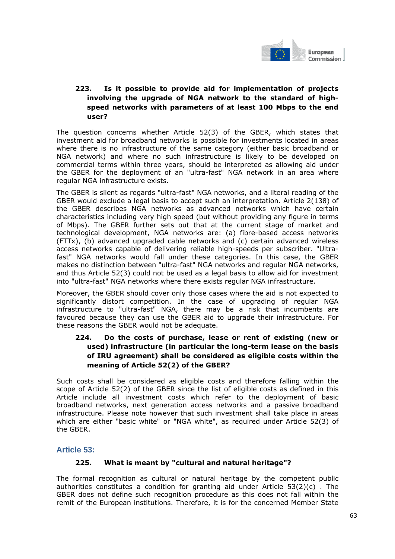

# **223. Is it possible to provide aid for implementation of projects involving the upgrade of NGA network to the standard of highspeed networks with parameters of at least 100 Mbps to the end user?**

The question concerns whether Article 52(3) of the GBER, which states that investment aid for broadband networks is possible for investments located in areas where there is no infrastructure of the same category (either basic broadband or NGA network) and where no such infrastructure is likely to be developed on commercial terms within three years, should be interpreted as allowing aid under the GBER for the deployment of an "ultra-fast" NGA network in an area where regular NGA infrastructure exists.

The GBER is silent as regards "ultra-fast" NGA networks, and a literal reading of the GBER would exclude a legal basis to accept such an interpretation. Article 2(138) of the GBER describes NGA networks as advanced networks which have certain characteristics including very high speed (but without providing any figure in terms of Mbps). The GBER further sets out that at the current stage of market and technological development, NGA networks are: (a) fibre-based access networks (FTTx), (b) advanced upgraded cable networks and (c) certain advanced wireless access networks capable of delivering reliable high-speeds per subscriber. "Ultrafast" NGA networks would fall under these categories. In this case, the GBER makes no distinction between "ultra-fast" NGA networks and regular NGA networks, and thus Article 52(3) could not be used as a legal basis to allow aid for investment into "ultra-fast" NGA networks where there exists regular NGA infrastructure.

Moreover, the GBER should cover only those cases where the aid is not expected to significantly distort competition. In the case of upgrading of regular NGA infrastructure to "ultra-fast" NGA, there may be a risk that incumbents are favoured because they can use the GBER aid to upgrade their infrastructure. For these reasons the GBER would not be adequate.

## **224. Do the costs of purchase, lease or rent of existing (new or used) infrastructure (in particular the long-term lease on the basis of IRU agreement) shall be considered as eligible costs within the meaning of Article 52(2) of the GBER?**

Such costs shall be considered as eligible costs and therefore falling within the scope of Article 52(2) of the GBER since the list of eligible costs as defined in this Article include all investment costs which refer to the deployment of basic broadband networks, next generation access networks and a passive broadband infrastructure. Please note however that such investment shall take place in areas which are either "basic white" or "NGA white", as required under Article 52(3) of the GBER.

# **Article 53:**

### **225. What is meant by "cultural and natural heritage"?**

The formal recognition as cultural or natural heritage by the competent public authorities constitutes a condition for granting aid under Article  $53(2)(c)$ . The GBER does not define such recognition procedure as this does not fall within the remit of the European institutions. Therefore, it is for the concerned Member State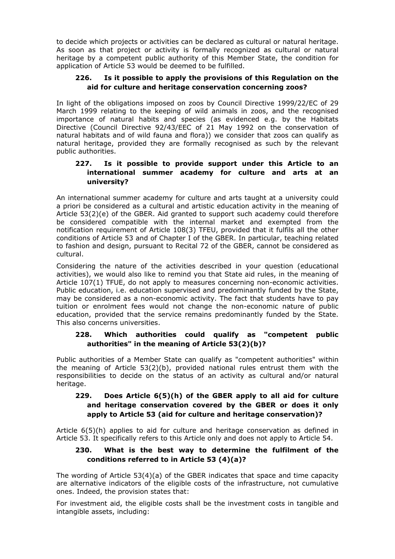to decide which projects or activities can be declared as cultural or natural heritage. As soon as that project or activity is formally recognized as cultural or natural heritage by a competent public authority of this Member State, the condition for application of Article 53 would be deemed to be fulfilled.

### **226. Is it possible to apply the provisions of this Regulation on the aid for culture and heritage conservation concerning zoos?**

In light of the obligations imposed on zoos by Council Directive 1999/22/EC of 29 March 1999 relating to the keeping of wild animals in zoos, and the recognised importance of natural habits and species (as evidenced e.g. by the Habitats Directive (Council Directive 92/43/EEC of 21 May 1992 on the conservation of natural habitats and of wild fauna and flora)) we consider that zoos can qualify as natural heritage, provided they are formally recognised as such by the relevant public authorities.

### **227. Is it possible to provide support under this Article to an international summer academy for culture and arts at an university?**

An international summer academy for culture and arts taught at a university could a priori be considered as a cultural and artistic education activity in the meaning of Article 53(2)(e) of the GBER. Aid granted to support such academy could therefore be considered compatible with the internal market and exempted from the notification requirement of Article 108(3) TFEU, provided that it fulfils all the other conditions of Article 53 and of Chapter I of the GBER. In particular, teaching related to fashion and design, pursuant to Recital 72 of the GBER, cannot be considered as cultural.

Considering the nature of the activities described in your question (educational activities), we would also like to remind you that State aid rules, in the meaning of Article 107(1) TFUE, do not apply to measures concerning non-economic activities. Public education, i.e. education supervised and predominantly funded by the State, may be considered as a non-economic activity. The fact that students have to pay tuition or enrolment fees would not change the non-economic nature of public education, provided that the service remains predominantly funded by the State. This also concerns universities.

# **228. Which authorities could qualify as "competent public authorities" in the meaning of Article 53(2)(b)?**

Public authorities of a Member State can qualify as "competent authorities" within the meaning of Article  $53(2)(b)$ , provided national rules entrust them with the responsibilities to decide on the status of an activity as cultural and/or natural heritage.

# **229. Does Article 6(5)(h) of the GBER apply to all aid for culture and heritage conservation covered by the GBER or does it only apply to Article 53 (aid for culture and heritage conservation)?**

Article 6(5)(h) applies to aid for culture and heritage conservation as defined in Article 53. It specifically refers to this Article only and does not apply to Article 54.

### **230. What is the best way to determine the fulfilment of the conditions referred to in Article 53 (4)(a)?**

The wording of Article 53(4)(a) of the GBER indicates that space and time capacity are alternative indicators of the eligible costs of the infrastructure, not cumulative ones. Indeed, the provision states that:

For investment aid, the eligible costs shall be the investment costs in tangible and intangible assets, including: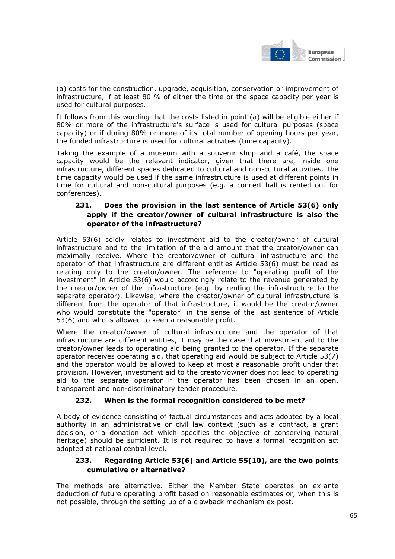

(a) costs for the construction, upgrade, acquisition, conservation or improvement of infrastructure, if at least 80 % of either the time or the space capacity per year is used for cultural purposes.

It follows from this wording that the costs listed in point (a) will be eligible either if 80% or more of the infrastructure's surface is used for cultural purposes (space capacity) or if during 80% or more of its total number of opening hours per year, the funded infrastructure is used for cultural activities (time capacity).

Taking the example of a museum with a souvenir shop and a café, the space capacity would be the relevant indicator, given that there are, inside one infrastructure, different spaces dedicated to cultural and non-cultural activities. The time capacity would be used if the same infrastructure is used at different points in time for cultural and non-cultural purposes (e.g. a concert hall is rented out for conferences).

# **231. Does the provision in the last sentence of Article 53(6) only apply if the creator/owner of cultural infrastructure is also the operator of the infrastructure?**

Article 53(6) solely relates to investment aid to the creator/owner of cultural infrastructure and to the limitation of the aid amount that the creator/owner can maximally receive. Where the creator/owner of cultural infrastructure and the operator of that infrastructure are different entities Article 53(6) must be read as relating only to the creator/owner. The reference to "operating profit of the investment" in Article 53(6) would accordingly relate to the revenue generated by the creator/owner of the infrastructure (e.g. by renting the infrastructure to the separate operator). Likewise, where the creator/owner of cultural infrastructure is different from the operator of that infrastructure, it would be the creator/owner who would constitute the "operator" in the sense of the last sentence of Article 53(6) and who is allowed to keep a reasonable profit.

Where the creator/owner of cultural infrastructure and the operator of that infrastructure are different entities, it may be the case that investment aid to the creator/owner leads to operating aid being granted to the operator. If the separate operator receives operating aid, that operating aid would be subject to Article 53(7) and the operator would be allowed to keep at most a reasonable profit under that provision. However, investment aid to the creator/owner does not lead to operating aid to the separate operator if the operator has been chosen in an open, transparent and non-discriminatory tender procedure.

### **232. When is the formal recognition considered to be met?**

A body of evidence consisting of factual circumstances and acts adopted by a local authority in an administrative or civil law context (such as a contract, a grant decision, or a donation act which specifies the objective of conserving natural heritage) should be sufficient. It is not required to have a formal recognition act adopted at national central level.

## **233. Regarding Article 53(6) and Article 55(10), are the two points cumulative or alternative?**

The methods are alternative. Either the Member State operates an ex-ante deduction of future operating profit based on reasonable estimates or, when this is not possible, through the setting up of a clawback mechanism ex post.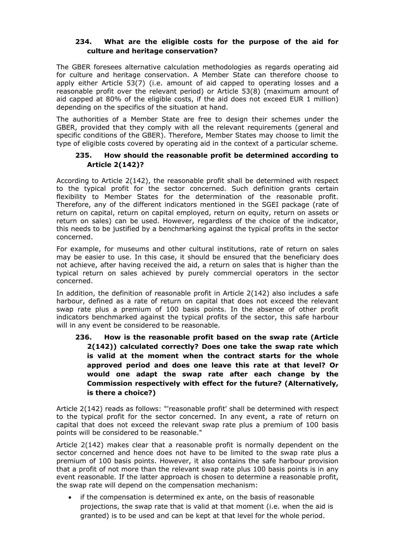#### **234. What are the eligible costs for the purpose of the aid for culture and heritage conservation?**

The GBER foresees alternative calculation methodologies as regards operating aid for culture and heritage conservation. A Member State can therefore choose to apply either Article 53(7) (i.e. amount of aid capped to operating losses and a reasonable profit over the relevant period) or Article 53(8) (maximum amount of aid capped at 80% of the eligible costs, if the aid does not exceed EUR 1 million) depending on the specifics of the situation at hand.

The authorities of a Member State are free to design their schemes under the GBER, provided that they comply with all the relevant requirements (general and specific conditions of the GBER). Therefore, Member States may choose to limit the type of eligible costs covered by operating aid in the context of a particular scheme.

#### **235. How should the reasonable profit be determined according to Article 2(142)?**

According to Article 2(142), the reasonable profit shall be determined with respect to the typical profit for the sector concerned. Such definition grants certain flexibility to Member States for the determination of the reasonable profit. Therefore, any of the different indicators mentioned in the SGEI package (rate of return on capital, return on capital employed, return on equity, return on assets or return on sales) can be used. However, regardless of the choice of the indicator, this needs to be justified by a benchmarking against the typical profits in the sector concerned.

For example, for museums and other cultural institutions, rate of return on sales may be easier to use. In this case, it should be ensured that the beneficiary does not achieve, after having received the aid, a return on sales that is higher than the typical return on sales achieved by purely commercial operators in the sector concerned.

In addition, the definition of reasonable profit in Article  $2(142)$  also includes a safe harbour, defined as a rate of return on capital that does not exceed the relevant swap rate plus a premium of 100 basis points. In the absence of other profit indicators benchmarked against the typical profits of the sector, this safe harbour will in any event be considered to be reasonable.

**236. How is the reasonable profit based on the swap rate (Article 2(142)) calculated correctly? Does one take the swap rate which is valid at the moment when the contract starts for the whole approved period and does one leave this rate at that level? Or would one adapt the swap rate after each change by the Commission respectively with effect for the future? (Alternatively, is there a choice?)** 

Article 2(142) reads as follows: "'reasonable profit' shall be determined with respect to the typical profit for the sector concerned. In any event, a rate of return on capital that does not exceed the relevant swap rate plus a premium of 100 basis points will be considered to be reasonable."

Article 2(142) makes clear that a reasonable profit is normally dependent on the sector concerned and hence does not have to be limited to the swap rate plus a premium of 100 basis points. However, it also contains the safe harbour provision that a profit of not more than the relevant swap rate plus 100 basis points is in any event reasonable. If the latter approach is chosen to determine a reasonable profit, the swap rate will depend on the compensation mechanism:

• if the compensation is determined ex ante, on the basis of reasonable projections, the swap rate that is valid at that moment (i.e. when the aid is granted) is to be used and can be kept at that level for the whole period.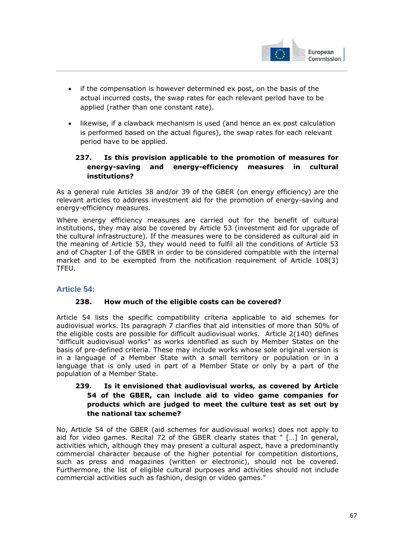

- if the compensation is however determined ex post, on the basis of the actual incurred costs, the swap rates for each relevant period have to be applied (rather than one constant rate).
- likewise, if a clawback mechanism is used (and hence an ex post calculation is performed based on the actual figures), the swap rates for each relevant period have to be applied.

# **237. Is this provision applicable to the promotion of measures for energy-saving and energy-efficiency measures in cultural institutions?**

As a general rule Articles 38 and/or 39 of the GBER (on energy efficiency) are the relevant articles to address investment aid for the promotion of energy-saving and energy-efficiency measures.

Where energy efficiency measures are carried out for the benefit of cultural institutions, they may also be covered by Article 53 (investment aid for upgrade of the cultural infrastructure). If the measures were to be considered as cultural aid in the meaning of Article 53, they would need to fulfil all the conditions of Article 53 and of Chapter I of the GBER in order to be considered compatible with the internal market and to be exempted from the notification requirement of Article 108(3) TFEU.

# **Article 54:**

### **238. How much of the eligible costs can be covered?**

Article 54 lists the specific compatibility criteria applicable to aid schemes for audiovisual works. Its paragraph 7 clarifies that aid intensities of more than 50% of the eligible costs are possible for difficult audiovisual works. Article 2(140) defines "difficult audiovisual works" as works identified as such by Member States on the basis of pre-defined criteria. These may include works whose sole original version is in a language of a Member State with a small territory or population or in a language that is only used in part of a Member State or only by a part of the population of a Member State.

## **239. Is it envisioned that audiovisual works, as covered by Article 54 of the GBER, can include aid to video game companies for products which are judged to meet the culture test as set out by the national tax scheme?**

No, Article 54 of the GBER (aid schemes for audiovisual works) does not apply to aid for video games. Recital 72 of the GBER clearly states that " […] In general, activities which, although they may present a cultural aspect, have a predominantly commercial character because of the higher potential for competition distortions, such as press and magazines (written or electronic), should not be covered. Furthermore, the list of eligible cultural purposes and activities should not include commercial activities such as fashion, design or video games."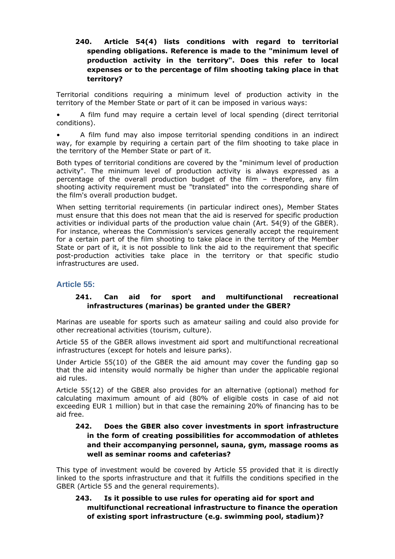## **240. Article 54(4) lists conditions with regard to territorial spending obligations. Reference is made to the "minimum level of production activity in the territory". Does this refer to local expenses or to the percentage of film shooting taking place in that territory?**

Territorial conditions requiring a minimum level of production activity in the territory of the Member State or part of it can be imposed in various ways:

• A film fund may require a certain level of local spending (direct territorial conditions).

• A film fund may also impose territorial spending conditions in an indirect way, for example by requiring a certain part of the film shooting to take place in the territory of the Member State or part of it.

Both types of territorial conditions are covered by the "minimum level of production activity". The minimum level of production activity is always expressed as a percentage of the overall production budget of the film – therefore, any film shooting activity requirement must be "translated" into the corresponding share of the film's overall production budget.

When setting territorial requirements (in particular indirect ones), Member States must ensure that this does not mean that the aid is reserved for specific production activities or individual parts of the production value chain (Art. 54(9) of the GBER). For instance, whereas the Commission's services generally accept the requirement for a certain part of the film shooting to take place in the territory of the Member State or part of it, it is not possible to link the aid to the requirement that specific post-production activities take place in the territory or that specific studio infrastructures are used.

### **Article 55:**

## **241. Can aid for sport and multifunctional recreational infrastructures (marinas) be granted under the GBER?**

Marinas are useable for sports such as amateur sailing and could also provide for other recreational activities (tourism, culture).

Article 55 of the GBER allows investment aid sport and multifunctional recreational infrastructures (except for hotels and leisure parks).

Under Article 55(10) of the GBER the aid amount may cover the funding gap so that the aid intensity would normally be higher than under the applicable regional aid rules.

Article 55(12) of the GBER also provides for an alternative (optional) method for calculating maximum amount of aid (80% of eligible costs in case of aid not exceeding EUR 1 million) but in that case the remaining 20% of financing has to be aid free.

### **242. Does the GBER also cover investments in sport infrastructure in the form of creating possibilities for accommodation of athletes and their accompanying personnel, sauna, gym, massage rooms as well as seminar rooms and cafeterias?**

This type of investment would be covered by Article 55 provided that it is directly linked to the sports infrastructure and that it fulfills the conditions specified in the GBER (Article 55 and the general requirements).

## **243. Is it possible to use rules for operating aid for sport and multifunctional recreational infrastructure to finance the operation of existing sport infrastructure (e.g. swimming pool, stadium)?**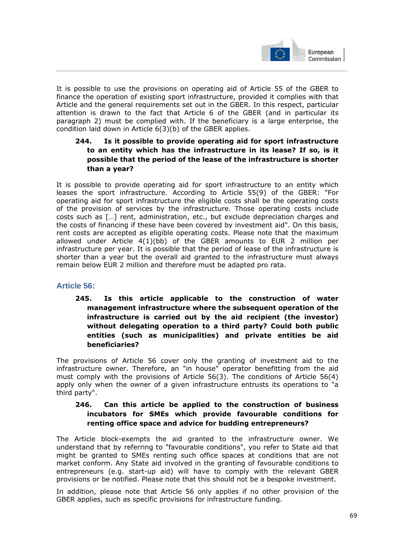

European Commission I

It is possible to use the provisions on operating aid of Article 55 of the GBER to finance the operation of existing sport infrastructure, provided it complies with that Article and the general requirements set out in the GBER. In this respect, particular attention is drawn to the fact that Article 6 of the GBER (and in particular its paragraph 2) must be complied with. If the beneficiary is a large enterprise, the condition laid down in Article 6(3)(b) of the GBER applies.

## **244. Is it possible to provide operating aid for sport infrastructure to an entity which has the infrastructure in its lease? If so, is it possible that the period of the lease of the infrastructure is shorter than a year?**

It is possible to provide operating aid for sport infrastructure to an entity which leases the sport infrastructure. According to Article 55(9) of the GBER: "For operating aid for sport infrastructure the eligible costs shall be the operating costs of the provision of services by the infrastructure. Those operating costs include costs such as […] rent, administration, etc., but exclude depreciation charges and the costs of financing if these have been covered by investment aid". On this basis, rent costs are accepted as eligible operating costs. Please note that the maximum allowed under Article 4(1)(bb) of the GBER amounts to EUR 2 million per infrastructure per year. It is possible that the period of lease of the infrastructure is shorter than a year but the overall aid granted to the infrastructure must always remain below EUR 2 million and therefore must be adapted pro rata.

# **Article 56:**

**245. Is this article applicable to the construction of water management infrastructure where the subsequent operation of the infrastructure is carried out by the aid recipient (the investor) without delegating operation to a third party? Could both public entities (such as municipalities) and private entities be aid beneficiaries?** 

The provisions of Article 56 cover only the granting of investment aid to the infrastructure owner. Therefore, an "in house" operator benefitting from the aid must comply with the provisions of Article 56(3). The conditions of Article 56(4) apply only when the owner of a given infrastructure entrusts its operations to "a third party".

### **246. Can this article be applied to the construction of business incubators for SMEs which provide favourable conditions for renting office space and advice for budding entrepreneurs?**

The Article block-exempts the aid granted to the infrastructure owner. We understand that by referring to "favourable conditions", you refer to State aid that might be granted to SMEs renting such office spaces at conditions that are not market conform. Any State aid involved in the granting of favourable conditions to entrepreneurs (e.g. start-up aid) will have to comply with the relevant GBER provisions or be notified. Please note that this should not be a bespoke investment.

In addition, please note that Article 56 only applies if no other provision of the GBER applies, such as specific provisions for infrastructure funding.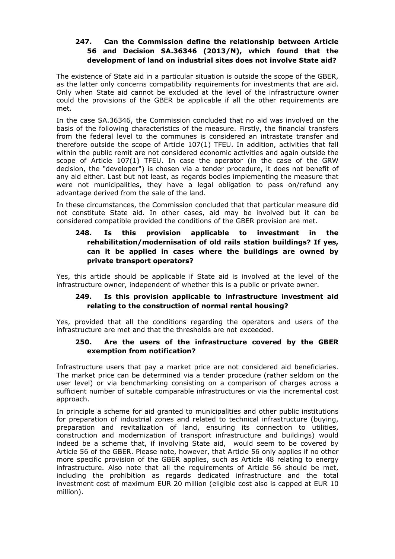# **247. Can the Commission define the relationship between Article 56 and Decision SA.36346 (2013/N), which found that the development of land on industrial sites does not involve State aid?**

The existence of State aid in a particular situation is outside the scope of the GBER, as the latter only concerns compatibility requirements for investments that are aid. Only when State aid cannot be excluded at the level of the infrastructure owner could the provisions of the GBER be applicable if all the other requirements are met.

In the case SA.36346, the Commission concluded that no aid was involved on the basis of the following characteristics of the measure. Firstly, the financial transfers from the federal level to the communes is considered an intrastate transfer and therefore outside the scope of Article 107(1) TFEU. In addition, activities that fall within the public remit are not considered economic activities and again outside the scope of Article 107(1) TFEU. In case the operator (in the case of the GRW decision, the "developer") is chosen via a tender procedure, it does not benefit of any aid either. Last but not least, as regards bodies implementing the measure that were not municipalities, they have a legal obligation to pass on/refund any advantage derived from the sale of the land.

In these circumstances, the Commission concluded that that particular measure did not constitute State aid. In other cases, aid may be involved but it can be considered compatible provided the conditions of the GBER provision are met.

## **248. Is this provision applicable to investment in the rehabilitation/modernisation of old rails station buildings? If yes, can it be applied in cases where the buildings are owned by private transport operators?**

Yes, this article should be applicable if State aid is involved at the level of the infrastructure owner, independent of whether this is a public or private owner.

### **249. Is this provision applicable to infrastructure investment aid relating to the construction of normal rental housing?**

Yes, provided that all the conditions regarding the operators and users of the infrastructure are met and that the thresholds are not exceeded.

#### **250. Are the users of the infrastructure covered by the GBER exemption from notification?**

Infrastructure users that pay a market price are not considered aid beneficiaries. The market price can be determined via a tender procedure (rather seldom on the user level) or via benchmarking consisting on a comparison of charges across a sufficient number of suitable comparable infrastructures or via the incremental cost approach.

In principle a scheme for aid granted to municipalities and other public institutions for preparation of industrial zones and related to technical infrastructure (buying, preparation and revitalization of land, ensuring its connection to utilities, construction and modernization of transport infrastructure and buildings) would indeed be a scheme that, if involving State aid, would seem to be covered by Article 56 of the GBER. Please note, however, that Article 56 only applies if no other more specific provision of the GBER applies, such as Article 48 relating to energy infrastructure. Also note that all the requirements of Article 56 should be met, including the prohibition as regards dedicated infrastructure and the total investment cost of maximum EUR 20 million (eligible cost also is capped at EUR 10 million).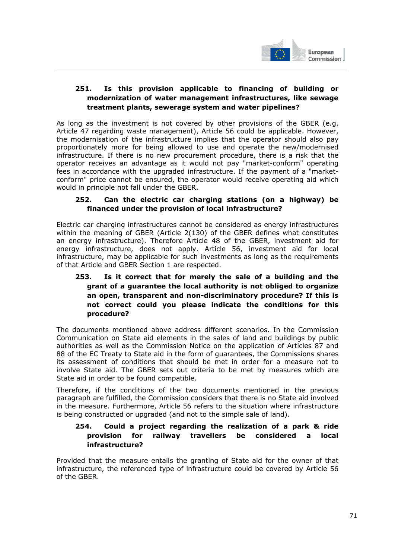

### **251. Is this provision applicable to financing of building or modernization of water management infrastructures, like sewage treatment plants, sewerage system and water pipelines?**

As long as the investment is not covered by other provisions of the GBER (e.g. Article 47 regarding waste management), Article 56 could be applicable. However, the modernisation of the infrastructure implies that the operator should also pay proportionately more for being allowed to use and operate the new/modernised infrastructure. If there is no new procurement procedure, there is a risk that the operator receives an advantage as it would not pay "market-conform" operating fees in accordance with the upgraded infrastructure. If the payment of a "marketconform" price cannot be ensured, the operator would receive operating aid which would in principle not fall under the GBER.

### **252. Can the electric car charging stations (on a highway) be financed under the provision of local infrastructure?**

Electric car charging infrastructures cannot be considered as energy infrastructures within the meaning of GBER (Article 2(130) of the GBER defines what constitutes an energy infrastructure). Therefore Article 48 of the GBER, investment aid for energy infrastructure, does not apply. Article 56, investment aid for local infrastructure, may be applicable for such investments as long as the requirements of that Article and GBER Section 1 are respected.

# **253. Is it correct that for merely the sale of a building and the grant of a guarantee the local authority is not obliged to organize an open, transparent and non-discriminatory procedure? If this is not correct could you please indicate the conditions for this procedure?**

The documents mentioned above address different scenarios. In the Commission Communication on State aid elements in the sales of land and buildings by public authorities as well as the Commission Notice on the application of Articles 87 and 88 of the EC Treaty to State aid in the form of guarantees, the Commissions shares its assessment of conditions that should be met in order for a measure not to involve State aid. The GBER sets out criteria to be met by measures which are State aid in order to be found compatible.

Therefore, if the conditions of the two documents mentioned in the previous paragraph are fulfilled, the Commission considers that there is no State aid involved in the measure. Furthermore, Article 56 refers to the situation where infrastructure is being constructed or upgraded (and not to the simple sale of land).

### **254. Could a project regarding the realization of a park & ride provision for railway travellers be considered a local infrastructure?**

Provided that the measure entails the granting of State aid for the owner of that infrastructure, the referenced type of infrastructure could be covered by Article 56 of the GBER.